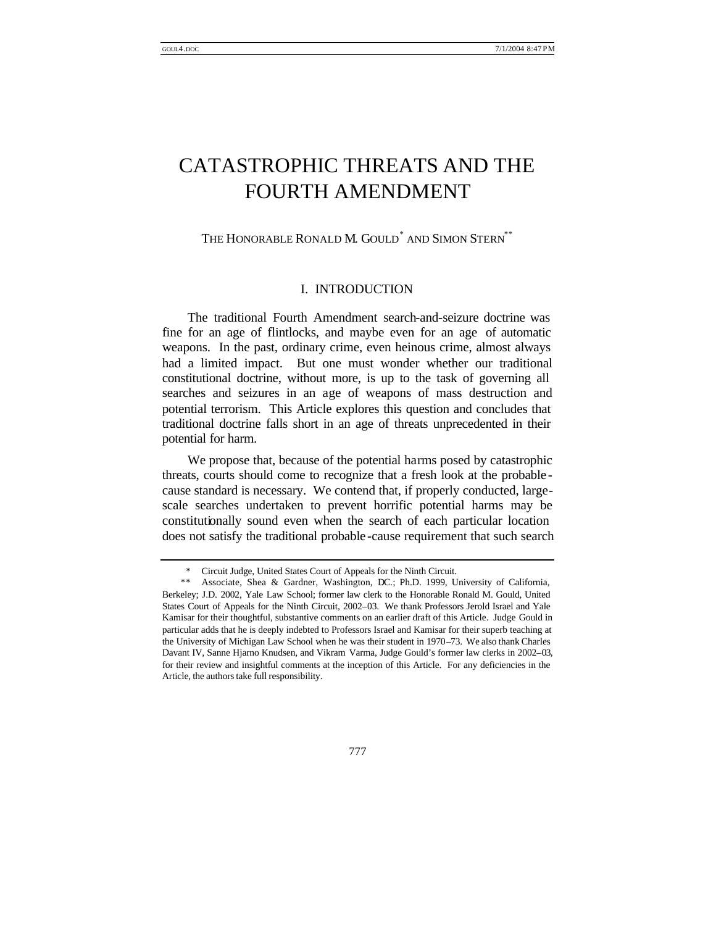# CATASTROPHIC THREATS AND THE FOURTH AMENDMENT

# THE HONORABLE RONALD M. GOULD<sup>\*</sup> AND SIMON STERN<sup>\*\*</sup>

# I. INTRODUCTION

The traditional Fourth Amendment search-and-seizure doctrine was fine for an age of flintlocks, and maybe even for an age of automatic weapons. In the past, ordinary crime, even heinous crime, almost always had a limited impact. But one must wonder whether our traditional constitutional doctrine, without more, is up to the task of governing all searches and seizures in an age of weapons of mass destruction and potential terrorism. This Article explores this question and concludes that traditional doctrine falls short in an age of threats unprecedented in their potential for harm.

We propose that, because of the potential harms posed by catastrophic threats, courts should come to recognize that a fresh look at the probable cause standard is necessary. We contend that, if properly conducted, largescale searches undertaken to prevent horrific potential harms may be constitutionally sound even when the search of each particular location does not satisfy the traditional probable -cause requirement that such search

<sup>\*</sup> Circuit Judge, United States Court of Appeals for the Ninth Circuit.

<sup>\*\*</sup> Associate, Shea & Gardner, Washington, DC.; Ph.D. 1999, University of California, Berkeley; J.D. 2002, Yale Law School; former law clerk to the Honorable Ronald M. Gould, United States Court of Appeals for the Ninth Circuit, 2002–03. We thank Professors Jerold Israel and Yale Kamisar for their thoughtful, substantive comments on an earlier draft of this Article. Judge Gould in particular adds that he is deeply indebted to Professors Israel and Kamisar for their superb teaching at the University of Michigan Law School when he was their student in 1970–73. We also thank Charles Davant IV, Sanne Hjarno Knudsen, and Vikram Varma, Judge Gould's former law clerks in 2002–03, for their review and insightful comments at the inception of this Article. For any deficiencies in the Article, the authors take full responsibility.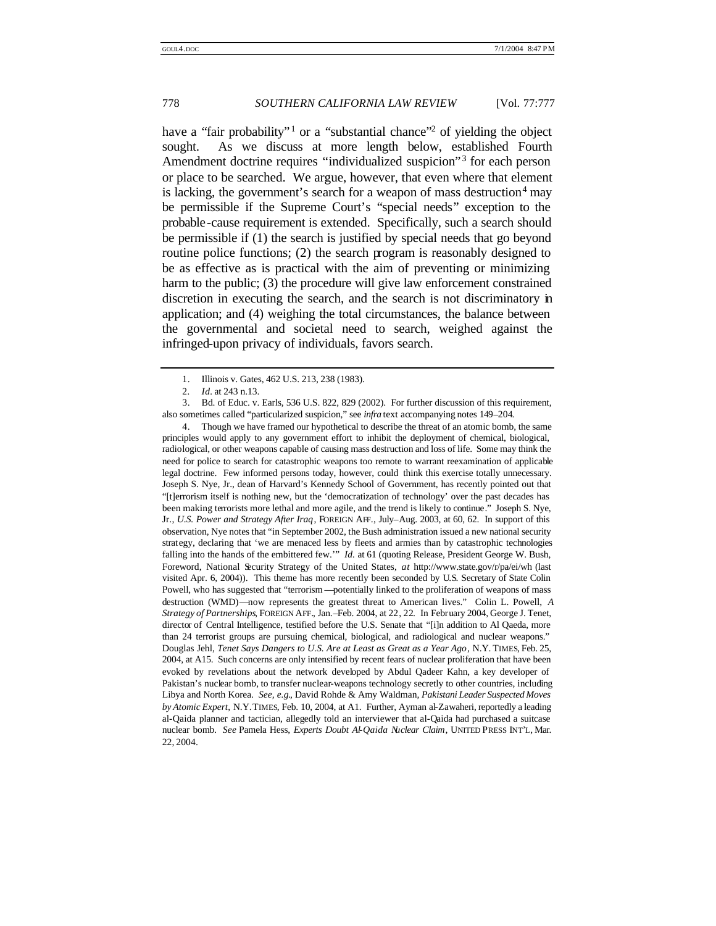have a "fair probability"<sup>1</sup> or a "substantial chance"<sup>2</sup> of yielding the object sought. As we discuss at more length below, established Fourth Amendment doctrine requires "individualized suspicion" 3 for each person or place to be searched. We argue, however, that even where that element is lacking, the government's search for a weapon of mass destruction $4$  may be permissible if the Supreme Court's "special needs" exception to the probable-cause requirement is extended. Specifically, such a search should be permissible if (1) the search is justified by special needs that go beyond routine police functions; (2) the search program is reasonably designed to be as effective as is practical with the aim of preventing or minimizing harm to the public; (3) the procedure will give law enforcement constrained discretion in executing the search, and the search is not discriminatory in application; and (4) weighing the total circumstances, the balance between the governmental and societal need to search, weighed against the infringed-upon privacy of individuals, favors search.

4. Though we have framed our hypothetical to describe the threat of an atomic bomb, the same principles would apply to any government effort to inhibit the deployment of chemical, biological, radiological, or other weapons capable of causing mass destruction and loss of life. Some may think the need for police to search for catastrophic weapons too remote to warrant reexamination of applicable legal doctrine. Few informed persons today, however, could think this exercise totally unnecessary. Joseph S. Nye, Jr., dean of Harvard's Kennedy School of Government, has recently pointed out that "[t]errorism itself is nothing new, but the 'democratization of technology' over the past decades has been making terrorists more lethal and more agile, and the trend is likely to continue." Joseph S. Nye, Jr., *U.S. Power and Strategy After Iraq*, FOREIGN AFF., July–Aug. 2003, at 60, 62. In support of this observation, Nye notes that "in September 2002, the Bush administration issued a new national security strategy, declaring that 'we are menaced less by fleets and armies than by catastrophic technologies falling into the hands of the embittered few." *Id.* at 61 (quoting Release, President George W. Bush, Foreword, National Security Strategy of the United States, *at* http://www.state.gov/r/pa/ei/wh (last visited Apr. 6, 2004)). This theme has more recently been seconded by U.S. Secretary of State Colin Powell, who has suggested that "terrorism —potentially linked to the proliferation of weapons of mass destruction (WMD)—now represents the greatest threat to American lives." Colin L. Powell, *A Strategy of Partnerships*, FOREIGN AFF., Jan.–Feb. 2004, at 22, 22. In February 2004, George J. Tenet, director of Central Intelligence, testified before the U.S. Senate that "[i]n addition to Al Qaeda, more than 24 terrorist groups are pursuing chemical, biological, and radiological and nuclear weapons." Douglas Jehl, *Tenet Says Dangers to U.S. Are at Least as Great as a Year Ago*, N.Y. TIMES, Feb. 25, 2004, at A15. Such concerns are only intensified by recent fears of nuclear proliferation that have been evoked by revelations about the network developed by Abdul Qadeer Kahn, a key developer of Pakistan's nuclear bomb, to transfer nuclear-weapons technology secretly to other countries, including Libya and North Korea. *See, e.g.*, David Rohde & Amy Waldman, *Pakistani Leader Suspected Moves by Atomic Expert*, N.Y.TIMES, Feb. 10, 2004, at A1. Further, Ayman al-Zawaheri, reportedly a leading al-Qaida planner and tactician, allegedly told an interviewer that al-Qaida had purchased a suitcase nuclear bomb. *See* Pamela Hess, *Experts Doubt Al-Qaida Nuclear Claim*, UNITED PRESS INT'L, Mar. 22, 2004.

<sup>1.</sup> Illinois v. Gates, 462 U.S. 213, 238 (1983).

<sup>2</sup>*. Id.* at 243 n.13.

<sup>3.</sup> Bd. of Educ. v. Earls, 536 U.S. 822, 829 (2002). For further discussion of this requirement, also sometimes called "particularized suspicion," see *infra* text accompanying notes 149–204.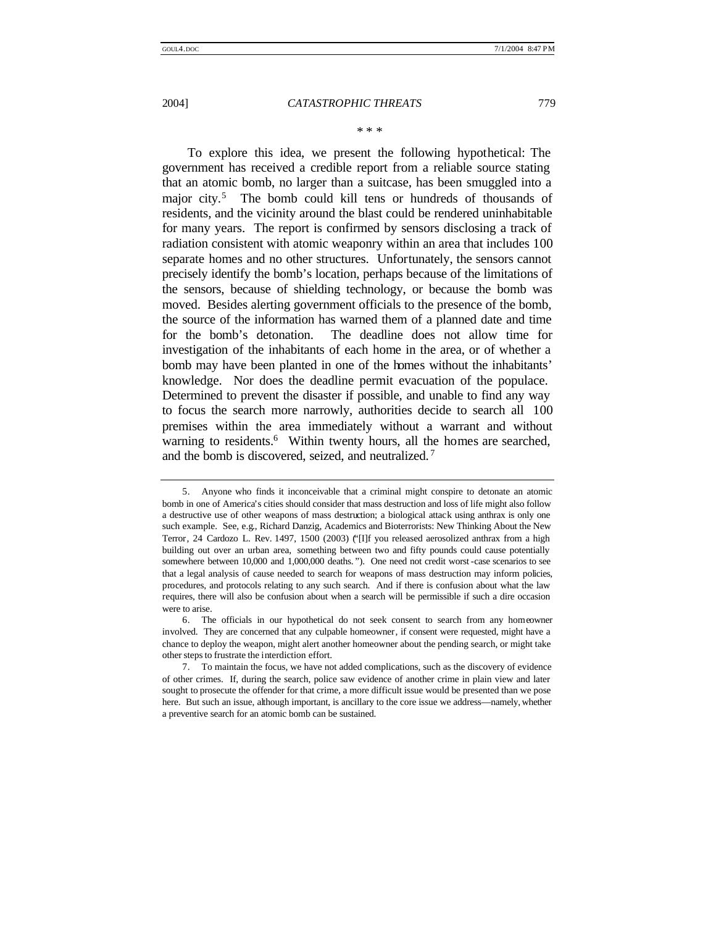\* \* \*

To explore this idea, we present the following hypothetical: The government has received a credible report from a reliable source stating that an atomic bomb, no larger than a suitcase, has been smuggled into a major city.<sup>5</sup> The bomb could kill tens or hundreds of thousands of residents, and the vicinity around the blast could be rendered uninhabitable for many years. The report is confirmed by sensors disclosing a track of radiation consistent with atomic weaponry within an area that includes 100 separate homes and no other structures. Unfortunately, the sensors cannot precisely identify the bomb's location, perhaps because of the limitations of the sensors, because of shielding technology, or because the bomb was moved. Besides alerting government officials to the presence of the bomb, the source of the information has warned them of a planned date and time for the bomb's detonation. The deadline does not allow time for investigation of the inhabitants of each home in the area, or of whether a bomb may have been planted in one of the homes without the inhabitants' knowledge. Nor does the deadline permit evacuation of the populace. Determined to prevent the disaster if possible, and unable to find any way to focus the search more narrowly, authorities decide to search all 100 premises within the area immediately without a warrant and without warning to residents.<sup>6</sup> Within twenty hours, all the homes are searched, and the bomb is discovered, seized, and neutralized. <sup>7</sup>

<sup>5.</sup> Anyone who finds it inconceivable that a criminal might conspire to detonate an atomic bomb in one of America's cities should consider that mass destruction and loss of life might also follow a destructive use of other weapons of mass destruction; a biological attack using anthrax is only one such example. See, e.g., Richard Danzig, Academics and Bioterrorists: New Thinking About the New Terror, 24 Cardozo L. Rev. 1497, 1500 (2003) ("[I]f you released aerosolized anthrax from a high building out over an urban area, something between two and fifty pounds could cause potentially somewhere between 10,000 and 1,000,000 deaths. "). One need not credit worst-case scenarios to see that a legal analysis of cause needed to search for weapons of mass destruction may inform policies, procedures, and protocols relating to any such search. And if there is confusion about what the law requires, there will also be confusion about when a search will be permissible if such a dire occasion were to arise.

<sup>6.</sup> The officials in our hypothetical do not seek consent to search from any homeowner involved. They are concerned that any culpable homeowner, if consent were requested, might have a chance to deploy the weapon, might alert another homeowner about the pending search, or might take other steps to frustrate the interdiction effort.

<sup>7.</sup> To maintain the focus, we have not added complications, such as the discovery of evidence of other crimes. If, during the search, police saw evidence of another crime in plain view and later sought to prosecute the offender for that crime, a more difficult issue would be presented than we pose here. But such an issue, although important, is ancillary to the core issue we address—namely, whether a preventive search for an atomic bomb can be sustained.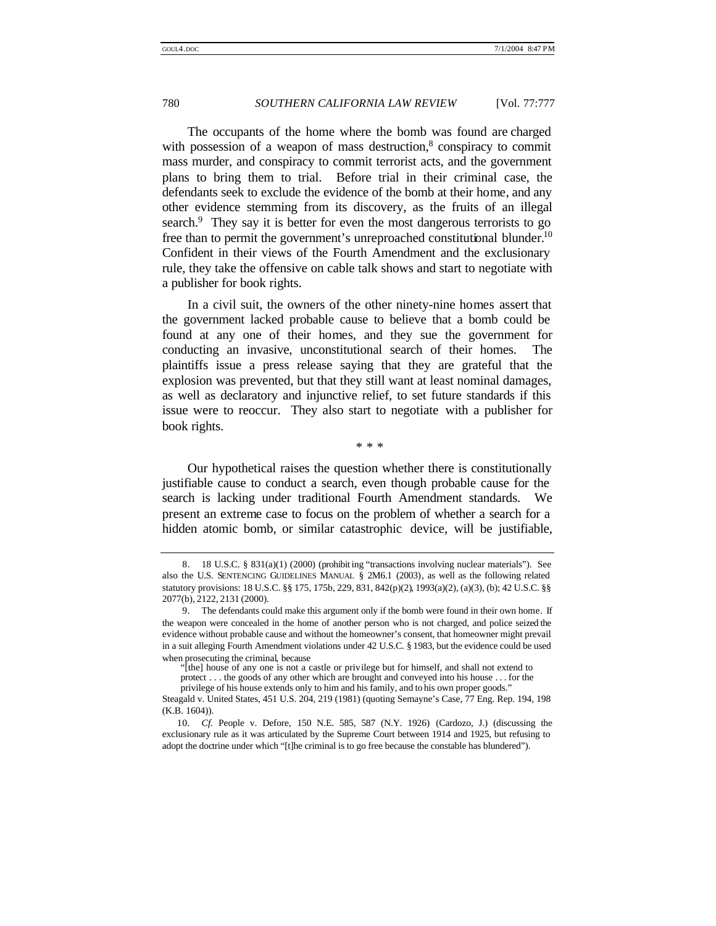The occupants of the home where the bomb was found are charged with possession of a weapon of mass destruction,<sup>8</sup> conspiracy to commit mass murder, and conspiracy to commit terrorist acts, and the government plans to bring them to trial. Before trial in their criminal case, the defendants seek to exclude the evidence of the bomb at their home, and any other evidence stemming from its discovery, as the fruits of an illegal search.<sup>9</sup> They say it is better for even the most dangerous terrorists to go free than to permit the government's unreproached constitutional blunder.<sup>10</sup> Confident in their views of the Fourth Amendment and the exclusionary rule, they take the offensive on cable talk shows and start to negotiate with a publisher for book rights.

In a civil suit, the owners of the other ninety-nine homes assert that the government lacked probable cause to believe that a bomb could be found at any one of their homes, and they sue the government for conducting an invasive, unconstitutional search of their homes. The plaintiffs issue a press release saying that they are grateful that the explosion was prevented, but that they still want at least nominal damages, as well as declaratory and injunctive relief, to set future standards if this issue were to reoccur. They also start to negotiate with a publisher for book rights.

\* \* \*

Our hypothetical raises the question whether there is constitutionally justifiable cause to conduct a search, even though probable cause for the search is lacking under traditional Fourth Amendment standards. We present an extreme case to focus on the problem of whether a search for a hidden atomic bomb, or similar catastrophic device, will be justifiable,

<sup>8.</sup> 18 U.S.C. § 831(a)(1) (2000) (prohibit ing "transactions involving nuclear materials"). See also the U.S. SENTENCING GUIDELINES MANUAL § 2M6.1 (2003), as well as the following related statutory provisions: 18 U.S.C. §§ 175, 175b, 229, 831, 842(p)(2), 1993(a)(2), (a)(3), (b); 42 U.S.C. §§ 2077(b), 2122, 2131 (2000).

<sup>9.</sup> The defendants could make this argument only if the bomb were found in their own home. If the weapon were concealed in the home of another person who is not charged, and police seized the evidence without probable cause and without the homeowner's consent, that homeowner might prevail in a suit alleging Fourth Amendment violations under 42 U.S.C. § 1983, but the evidence could be used when prosecuting the criminal, because

<sup>&</sup>quot;[the] house of any one is not a castle or privilege but for himself, and shall not extend to protect . . . the goods of any other which are brought and conveyed into his house . . . for the privilege of his house extends only to him and his family, and to his own proper goods."

Steagald v. United States, 451 U.S. 204, 219 (1981) (quoting Semayne's Case, 77 Eng. Rep. 194, 198 (K.B. 1604)).

<sup>10</sup>*. Cf.* People v. Defore, 150 N.E. 585, 587 (N.Y. 1926) (Cardozo, J.) (discussing the exclusionary rule as it was articulated by the Supreme Court between 1914 and 1925, but refusing to adopt the doctrine under which "[t]he criminal is to go free because the constable has blundered").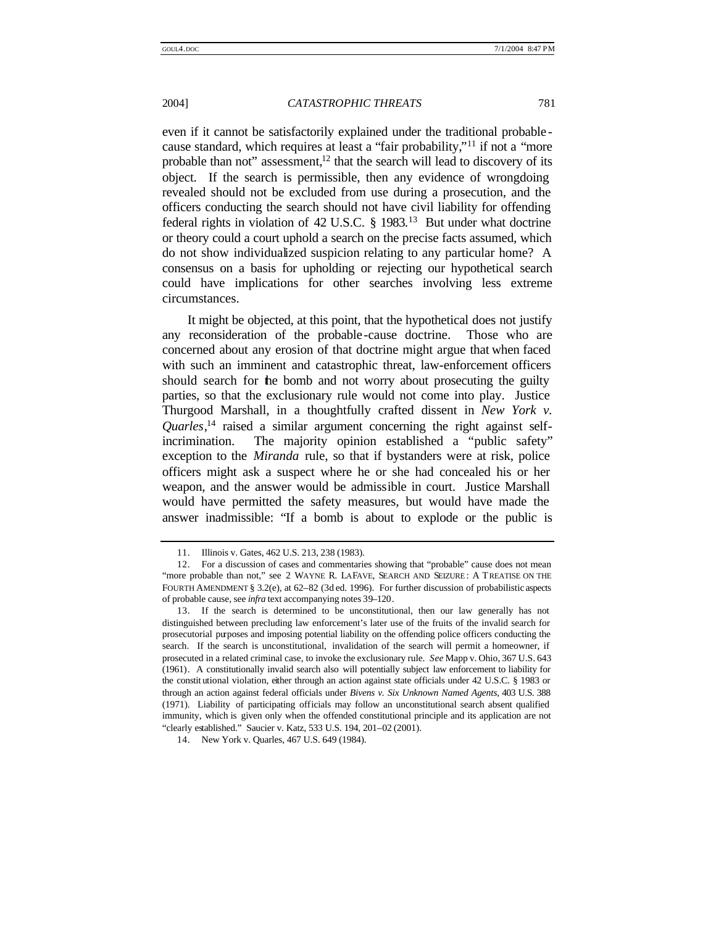even if it cannot be satisfactorily explained under the traditional probable cause standard, which requires at least a "fair probability,"<sup>11</sup> if not a "more probable than not" assessment, $12$  that the search will lead to discovery of its object. If the search is permissible, then any evidence of wrongdoing revealed should not be excluded from use during a prosecution, and the officers conducting the search should not have civil liability for offending federal rights in violation of 42 U.S.C. § 1983.<sup>13</sup> But under what doctrine or theory could a court uphold a search on the precise facts assumed, which do not show individualized suspicion relating to any particular home? A consensus on a basis for upholding or rejecting our hypothetical search could have implications for other searches involving less extreme circumstances.

It might be objected, at this point, that the hypothetical does not justify any reconsideration of the probable -cause doctrine. Those who are concerned about any erosion of that doctrine might argue that when faced with such an imminent and catastrophic threat, law-enforcement officers should search for the bomb and not worry about prosecuting the guilty parties, so that the exclusionary rule would not come into play. Justice Thurgood Marshall, in a thoughtfully crafted dissent in *New York v. Quarles*, 14 raised a similar argument concerning the right against selfincrimination. The majority opinion established a "public safety" exception to the *Miranda* rule, so that if bystanders were at risk, police officers might ask a suspect where he or she had concealed his or her weapon, and the answer would be admissible in court. Justice Marshall would have permitted the safety measures, but would have made the answer inadmissible: "If a bomb is about to explode or the public is

<sup>11.</sup> Illinois v. Gates, 462 U.S. 213, 238 (1983).

<sup>12.</sup> For a discussion of cases and commentaries showing that "probable" cause does not mean "more probable than not," see 2 WAYNE R. LAFAVE, SEARCH AND SEIZURE : A TREATISE ON THE FOURTH AMENDMENT § 3.2(e), at 62–82 (3d ed. 1996). For further discussion of probabilistic aspects of probable cause, see *infra* text accompanying notes 39–120.

<sup>13.</sup> If the search is determined to be unconstitutional, then our law generally has not distinguished between precluding law enforcement's later use of the fruits of the invalid search for prosecutorial purposes and imposing potential liability on the offending police officers conducting the search. If the search is unconstitutional, invalidation of the search will permit a homeowner, if prosecuted in a related criminal case, to invoke the exclusionary rule. *See* Mapp v. Ohio, 367 U.S. 643 (1961). A constitutionally invalid search also will potentially subject law enforcement to liability for the constitutional violation, either through an action against state officials under 42 U.S.C. § 1983 or through an action against federal officials under *Bivens v. Six Unknown Named Agents*, 403 U.S. 388 (1971). Liability of participating officials may follow an unconstitutional search absent qualified immunity, which is given only when the offended constitutional principle and its application are not "clearly established." Saucier v. Katz, 533 U.S. 194, 201–02 (2001).

<sup>14.</sup> New York v. Quarles, 467 U.S. 649 (1984).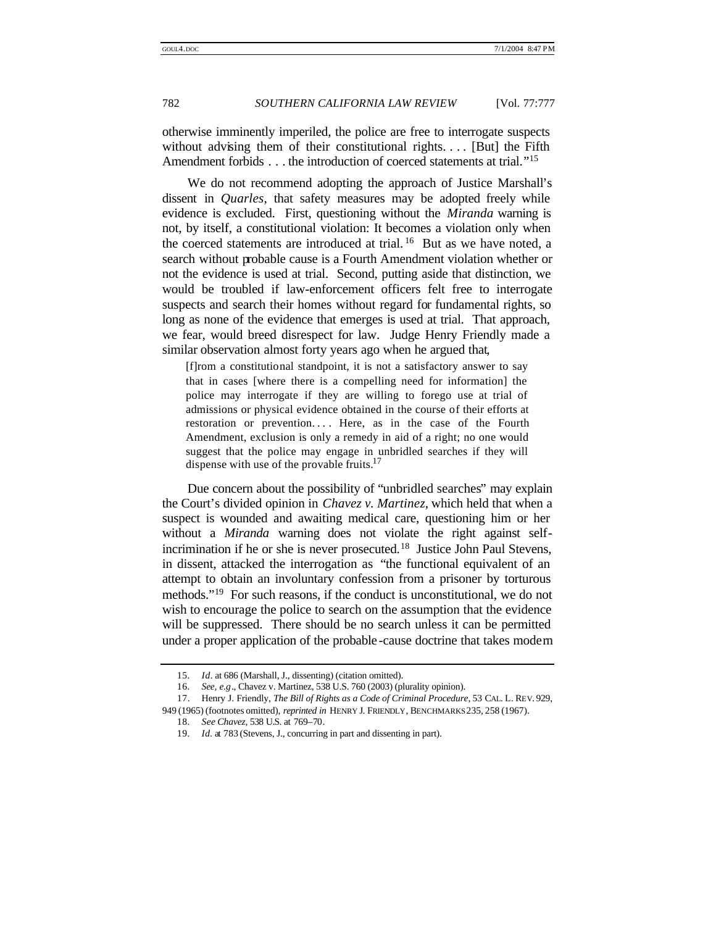otherwise imminently imperiled, the police are free to interrogate suspects without advising them of their constitutional rights.... [But] the Fifth Amendment forbids . . . the introduction of coerced statements at trial."<sup>15</sup>

We do not recommend adopting the approach of Justice Marshall's dissent in *Quarles*, that safety measures may be adopted freely while evidence is excluded. First, questioning without the *Miranda* warning is not, by itself, a constitutional violation: It becomes a violation only when the coerced statements are introduced at trial.<sup>16</sup> But as we have noted, a search without probable cause is a Fourth Amendment violation whether or not the evidence is used at trial. Second, putting aside that distinction, we would be troubled if law-enforcement officers felt free to interrogate suspects and search their homes without regard for fundamental rights, so long as none of the evidence that emerges is used at trial. That approach, we fear, would breed disrespect for law. Judge Henry Friendly made a similar observation almost forty years ago when he argued that,

[f]rom a constitutional standpoint, it is not a satisfactory answer to say that in cases [where there is a compelling need for information] the police may interrogate if they are willing to forego use at trial of admissions or physical evidence obtained in the course of their efforts at restoration or prevention.... Here, as in the case of the Fourth Amendment, exclusion is only a remedy in aid of a right; no one would suggest that the police may engage in unbridled searches if they will dispense with use of the provable fruits.<sup>17</sup>

Due concern about the possibility of "unbridled searches" may explain the Court's divided opinion in *Chavez v. Martinez*, which held that when a suspect is wounded and awaiting medical care, questioning him or her without a *Miranda* warning does not violate the right against selfincrimination if he or she is never prosecuted.<sup>18</sup> Justice John Paul Stevens, in dissent, attacked the interrogation as "the functional equivalent of an attempt to obtain an involuntary confession from a prisoner by torturous methods." <sup>19</sup> For such reasons, if the conduct is unconstitutional, we do not wish to encourage the police to search on the assumption that the evidence will be suppressed. There should be no search unless it can be permitted under a proper application of the probable -cause doctrine that takes modern

<sup>15</sup>*. Id*. at 686 (Marshall, J., dissenting) (citation omitted).

<sup>16</sup>*. See, e.g*., Chavez v. Martinez, 538 U.S. 760 (2003) (plurality opinion).

<sup>17.</sup> Henry J. Friendly, *The Bill of Rights as a Code of Criminal Procedure*, 53 CAL. L. REV. 929, 949 (1965) (footnotes omitted), *reprinted in* HENRY J. FRIENDLY, BENCHMARKS 235, 258 (1967).

<sup>18</sup>*. See Chavez*, 538 U.S. at 769–70.

<sup>19</sup>*. Id.* at 783 (Stevens, J., concurring in part and dissenting in part).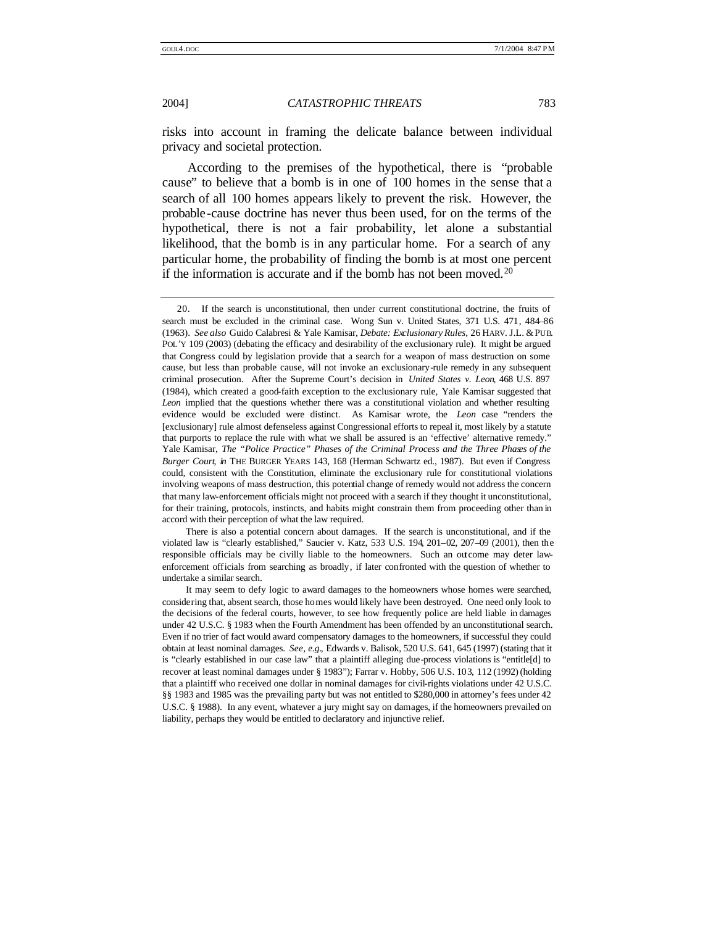risks into account in framing the delicate balance between individual privacy and societal protection.

According to the premises of the hypothetical, there is "probable cause" to believe that a bomb is in one of 100 homes in the sense that a search of all 100 homes appears likely to prevent the risk. However, the probable-cause doctrine has never thus been used, for on the terms of the hypothetical, there is not a fair probability, let alone a substantial likelihood, that the bomb is in any particular home. For a search of any particular home, the probability of finding the bomb is at most one percent if the information is accurate and if the bomb has not been moved.<sup>20</sup>

There is also a potential concern about damages. If the search is unconstitutional, and if the violated law is "clearly established," Saucier v. Katz, 533 U.S. 194, 201–02, 207–09 (2001), then the responsible officials may be civilly liable to the homeowners. Such an outcome may deter lawenforcement officials from searching as broadly, if later confronted with the question of whether to undertake a similar search.

<sup>20.</sup> If the search is unconstitutional, then under current constitutional doctrine, the fruits of search must be excluded in the criminal case. Wong Sun v. United States, 371 U.S. 471, 484–86 (1963). *See also* Guido Calabresi & Yale Kamisar, *Debate: Exclusionary Rules*, 26 HARV. J.L. &PUB. POL'Y 109 (2003) (debating the efficacy and desirability of the exclusionary rule). It might be argued that Congress could by legislation provide that a search for a weapon of mass destruction on some cause, but less than probable cause, will not invoke an exclusionary-rule remedy in any subsequent criminal prosecution. After the Supreme Court's decision in *United States v. Leon*, 468 U.S. 897 (1984), which created a good-faith exception to the exclusionary rule, Yale Kamisar suggested that *Leon* implied that the questions whether there was a constitutional violation and whether resulting evidence would be excluded were distinct. As Kamisar wrote, the *Leon* case "renders the [exclusionary] rule almost defenseless against Congressional efforts to repeal it, most likely by a statute that purports to replace the rule with what we shall be assured is an 'effective' alternative remedy." Yale Kamisar, *The "Police Practice" Phases of the Criminal Process and the Three Phases of the Burger Court*, *in* THE BURGER YEARS 143, 168 (Herman Schwartz ed., 1987). But even if Congress could, consistent with the Constitution, eliminate the exclusionary rule for constitutional violations involving weapons of mass destruction, this potential change of remedy would not address the concern that many law-enforcement officials might not proceed with a search if they thought it unconstitutional, for their training, protocols, instincts, and habits might constrain them from proceeding other than in accord with their perception of what the law required.

It may seem to defy logic to award damages to the homeowners whose homes were searched, considering that, absent search, those homes would likely have been destroyed. One need only look to the decisions of the federal courts, however, to see how frequently police are held liable in damages under 42 U.S.C. § 1983 when the Fourth Amendment has been offended by an unconstitutional search. Even if no trier of fact would award compensatory damages to the homeowners, if successful they could obtain at least nominal damages. *See, e.g.*, Edwards v. Balisok, 520 U.S. 641, 645 (1997) (stating that it is "clearly established in our case law" that a plaintiff alleging due-process violations is "entitle[d] to recover at least nominal damages under § 1983"); Farrar v. Hobby, 506 U.S. 103, 112 (1992) (holding that a plaintiff who received one dollar in nominal damages for civil-rights violations under 42 U.S.C. §§ 1983 and 1985 was the prevailing party but was not entitled to \$280,000 in attorney's fees under 42 U.S.C. § 1988). In any event, whatever a jury might say on damages, if the homeowners prevailed on liability, perhaps they would be entitled to declaratory and injunctive relief.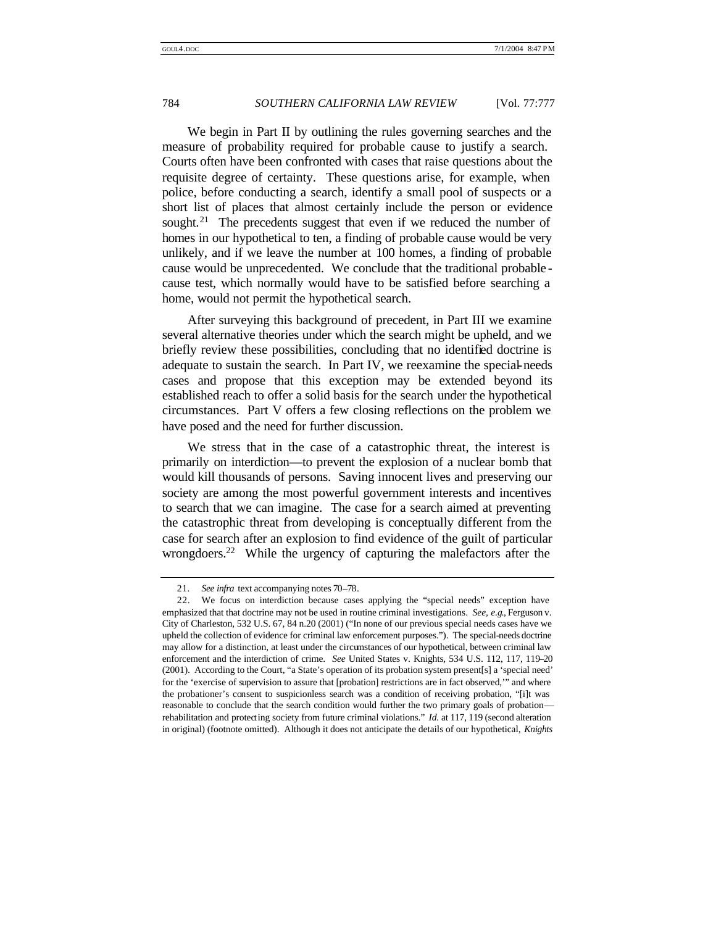We begin in Part II by outlining the rules governing searches and the measure of probability required for probable cause to justify a search. Courts often have been confronted with cases that raise questions about the requisite degree of certainty. These questions arise, for example, when police, before conducting a search, identify a small pool of suspects or a short list of places that almost certainly include the person or evidence sought.<sup>21</sup> The precedents suggest that even if we reduced the number of homes in our hypothetical to ten, a finding of probable cause would be very unlikely, and if we leave the number at 100 homes, a finding of probable cause would be unprecedented. We conclude that the traditional probable cause test, which normally would have to be satisfied before searching a home, would not permit the hypothetical search.

After surveying this background of precedent, in Part III we examine several alternative theories under which the search might be upheld, and we briefly review these possibilities, concluding that no identified doctrine is adequate to sustain the search. In Part IV, we reexamine the special-needs cases and propose that this exception may be extended beyond its established reach to offer a solid basis for the search under the hypothetical circumstances. Part V offers a few closing reflections on the problem we have posed and the need for further discussion.

We stress that in the case of a catastrophic threat, the interest is primarily on interdiction—to prevent the explosion of a nuclear bomb that would kill thousands of persons. Saving innocent lives and preserving our society are among the most powerful government interests and incentives to search that we can imagine. The case for a search aimed at preventing the catastrophic threat from developing is conceptually different from the case for search after an explosion to find evidence of the guilt of particular wrongdoers.<sup>22</sup> While the urgency of capturing the malefactors after the

<sup>21</sup>*. See infra* text accompanying notes 70–78.

<sup>22.</sup> We focus on interdiction because cases applying the "special needs" exception have emphasized that that doctrine may not be used in routine criminal investigations. *See, e.g*., Ferguson v. City of Charleston, 532 U.S. 67, 84 n.20 (2001) ("In none of our previous special needs cases have we upheld the collection of evidence for criminal law enforcement purposes."). The special-needs doctrine may allow for a distinction, at least under the circumstances of our hypothetical, between criminal law enforcement and the interdiction of crime. *See* United States v. Knights, 534 U.S. 112, 117, 119–20 (2001). According to the Court, "a State's operation of its probation system present[s] a 'special need' for the 'exercise of supervision to assure that [probation] restrictions are in fact observed,'" and where the probationer's consent to suspicionless search was a condition of receiving probation, "[i]t was reasonable to conclude that the search condition would further the two primary goals of probation rehabilitation and protecting society from future criminal violations." *Id.* at 117, 119 (second alteration in original) (footnote omitted). Although it does not anticipate the details of our hypothetical, *Knights*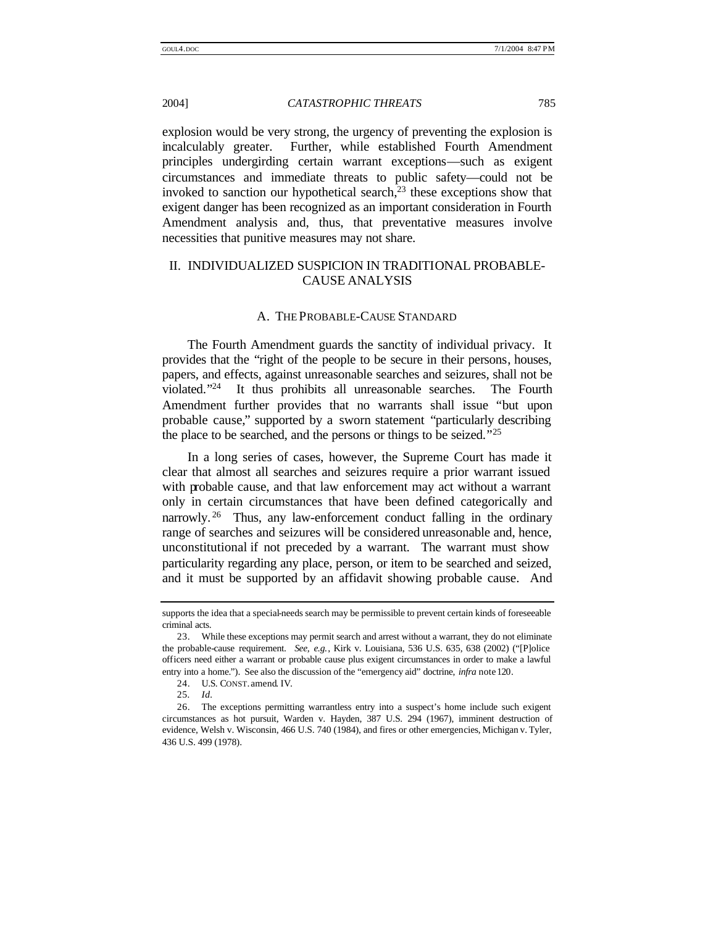explosion would be very strong, the urgency of preventing the explosion is incalculably greater. Further, while established Fourth Amendment principles undergirding certain warrant exceptions—such as exigent circumstances and immediate threats to public safety—could not be invoked to sanction our hypothetical search, $2<sup>3</sup>$  these exceptions show that exigent danger has been recognized as an important consideration in Fourth Amendment analysis and, thus, that preventative measures involve necessities that punitive measures may not share.

# II. INDIVIDUALIZED SUSPICION IN TRADITIONAL PROBABLE-CAUSE ANALYSIS

### A. THE PROBABLE-CAUSE STANDARD

The Fourth Amendment guards the sanctity of individual privacy. It provides that the "right of the people to be secure in their persons, houses, papers, and effects, against unreasonable searches and seizures, shall not be violated."<sup>24</sup> It thus prohibits all unreasonable searches. The Fourth Amendment further provides that no warrants shall issue "but upon probable cause," supported by a sworn statement "particularly describing the place to be searched, and the persons or things to be seized." 25

In a long series of cases, however, the Supreme Court has made it clear that almost all searches and seizures require a prior warrant issued with probable cause, and that law enforcement may act without a warrant only in certain circumstances that have been defined categorically and narrowly.<sup>26</sup> Thus, any law-enforcement conduct falling in the ordinary range of searches and seizures will be considered unreasonable and, hence, unconstitutional if not preceded by a warrant. The warrant must show particularity regarding any place, person, or item to be searched and seized, and it must be supported by an affidavit showing probable cause. And

supports the idea that a special-needs search may be permissible to prevent certain kinds of foreseeable criminal acts.

<sup>23.</sup> While these exceptions may permit search and arrest without a warrant, they do not eliminate the probable-cause requirement. *See, e.g.*, Kirk v. Louisiana, 536 U.S. 635, 638 (2002) ("[P]olice officers need either a warrant or probable cause plus exigent circumstances in order to make a lawful entry into a home."). See also the discussion of the "emergency aid" doctrine, *infra* note 120.

<sup>24.</sup> U.S. CONST. amend. IV.

<sup>25</sup>*. Id.*

<sup>26.</sup> The exceptions permitting warrantless entry into a suspect's home include such exigent circumstances as hot pursuit, Warden v. Hayden, 387 U.S. 294 (1967), imminent destruction of evidence, Welsh v. Wisconsin, 466 U.S. 740 (1984), and fires or other emergencies, Michigan v. Tyler, 436 U.S. 499 (1978).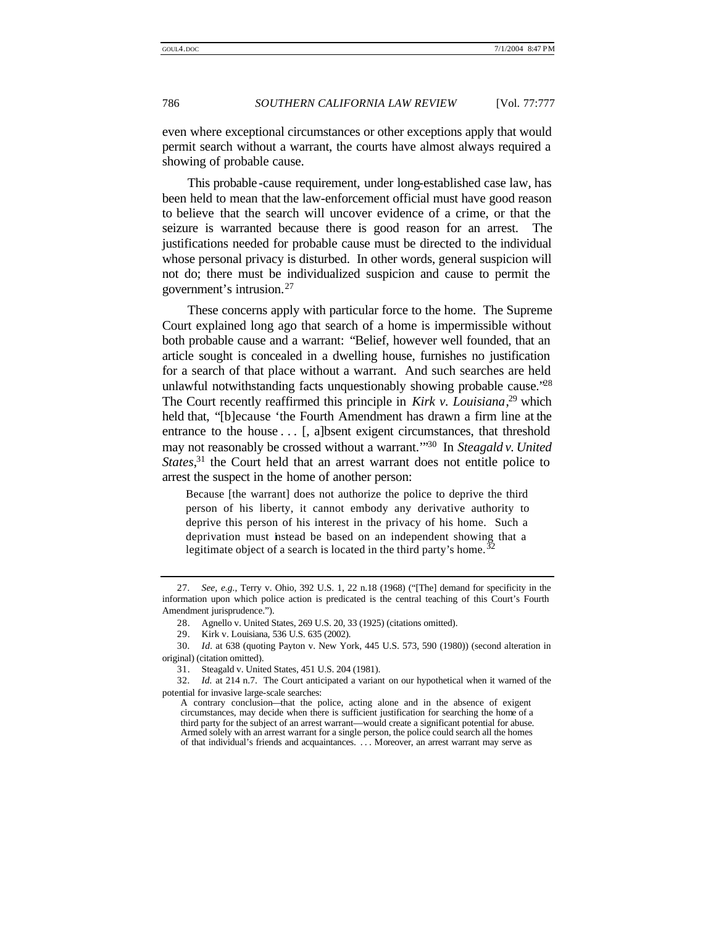even where exceptional circumstances or other exceptions apply that would permit search without a warrant, the courts have almost always required a showing of probable cause.

This probable-cause requirement, under long-established case law, has been held to mean that the law-enforcement official must have good reason to believe that the search will uncover evidence of a crime, or that the seizure is warranted because there is good reason for an arrest. The justifications needed for probable cause must be directed to the individual whose personal privacy is disturbed. In other words, general suspicion will not do; there must be individualized suspicion and cause to permit the government's intrusion.<sup>27</sup>

These concerns apply with particular force to the home. The Supreme Court explained long ago that search of a home is impermissible without both probable cause and a warrant: "Belief, however well founded, that an article sought is concealed in a dwelling house, furnishes no justification for a search of that place without a warrant. And such searches are held unlawful notwithstanding facts unquestionably showing probable cause.<sup>228</sup> The Court recently reaffirmed this principle in *Kirk v. Louisiana*, <sup>29</sup> which held that, "[b]ecause 'the Fourth Amendment has drawn a firm line at the entrance to the house  $\dots$  [, a]bsent exigent circumstances, that threshold may not reasonably be crossed without a warrant.'" <sup>30</sup> In *Steagald v. United*  States,<sup>31</sup> the Court held that an arrest warrant does not entitle police to arrest the suspect in the home of another person:

Because [the warrant] does not authorize the police to deprive the third person of his liberty, it cannot embody any derivative authority to deprive this person of his interest in the privacy of his home. Such a deprivation must instead be based on an independent showing that a legitimate object of a search is located in the third party's home.  $32$ 

<sup>27</sup>*. See, e.g.*, Terry v. Ohio, 392 U.S. 1, 22 n.18 (1968) ("[The] demand for specificity in the information upon which police action is predicated is the central teaching of this Court's Fourth Amendment jurisprudence.").

<sup>28.</sup> Agnello v. United States, 269 U.S. 20, 33 (1925) (citations omitted).

<sup>29.</sup> Kirk v. Louisiana, 536 U.S. 635 (2002).

<sup>30</sup>*. Id.* at 638 (quoting Payton v. New York, 445 U.S. 573, 590 (1980)) (second alteration in original) (citation omitted).

<sup>31.</sup> Steagald v. United States, 451 U.S. 204 (1981).

<sup>32</sup>*. Id.* at 214 n.7. The Court anticipated a variant on our hypothetical when it warned of the potential for invasive large-scale searches:

A contrary conclusion—that the police, acting alone and in the absence of exigent circumstances, may decide when there is sufficient justification for searching the home of a third party for the subject of an arrest warrant—would create a significant potential for abuse. Armed solely with an arrest warrant for a single person, the police could search all the homes of that individual's friends and acquaintances. . . . Moreover, an arrest warrant may serve as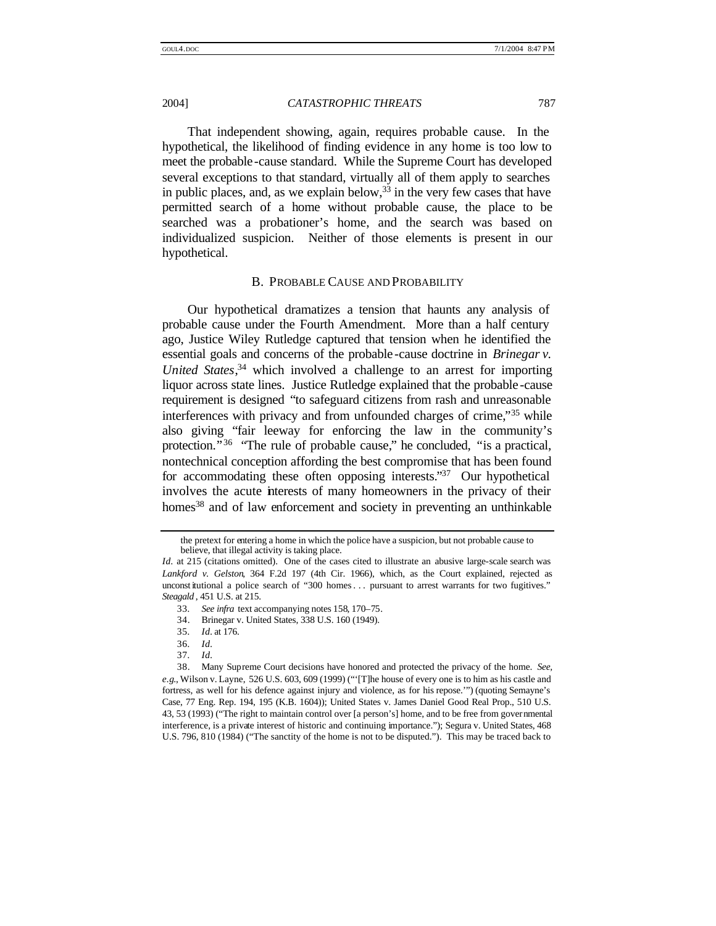That independent showing, again, requires probable cause. In the hypothetical, the likelihood of finding evidence in any home is too low to meet the probable -cause standard. While the Supreme Court has developed several exceptions to that standard, virtually all of them apply to searches in public places, and, as we explain below,  $33$  in the very few cases that have permitted search of a home without probable cause, the place to be searched was a probationer's home, and the search was based on individualized suspicion. Neither of those elements is present in our hypothetical.

#### B. PROBABLE CAUSE AND PROBABILITY

Our hypothetical dramatizes a tension that haunts any analysis of probable cause under the Fourth Amendment. More than a half century ago, Justice Wiley Rutledge captured that tension when he identified the essential goals and concerns of the probable -cause doctrine in *Brinegar v. United States*, <sup>34</sup> which involved a challenge to an arrest for importing liquor across state lines. Justice Rutledge explained that the probable -cause requirement is designed "to safeguard citizens from rash and unreasonable interferences with privacy and from unfounded charges of crime,"<sup>35</sup> while also giving "fair leeway for enforcing the law in the community's protection."<sup>36</sup> "The rule of probable cause," he concluded, "is a practical, nontechnical conception affording the best compromise that has been found for accommodating these often opposing interests."<sup>37</sup> Our hypothetical involves the acute interests of many homeowners in the privacy of their homes<sup>38</sup> and of law enforcement and society in preventing an unthinkable

36*. Id.*

the pretext for entering a home in which the police have a suspicion, but not probable cause to believe, that illegal activity is taking place.

*Id.* at 215 (citations omitted). One of the cases cited to illustrate an abusive large-scale search was *Lankford v. Gelston*, 364 F.2d 197 (4th Cir. 1966), which, as the Court explained, rejected as unconst itutional a police search of "300 homes. . . pursuant to arrest warrants for two fugitives." *Steagald* , 451 U.S. at 215.

<sup>33</sup>*. See infra* text accompanying notes 158, 170–75.

<sup>34.</sup> Brinegar v. United States, 338 U.S. 160 (1949).

<sup>35</sup>*. Id.* at 176.

<sup>37</sup>*. Id.*

<sup>38.</sup> Many Supreme Court decisions have honored and protected the privacy of the home. *See, e.g*., Wilson v. Layne, 526 U.S. 603, 609 (1999) ("'[T]he house of every one is to him as his castle and fortress, as well for his defence against injury and violence, as for his repose.'") (quoting Semayne's Case, 77 Eng. Rep. 194, 195 (K.B. 1604)); United States v. James Daniel Good Real Prop., 510 U.S. 43, 53 (1993) ("The right to maintain control over [a person's] home, and to be free from governmental interference, is a private interest of historic and continuing importance."); Segura v. United States, 468 U.S. 796, 810 (1984) ("The sanctity of the home is not to be disputed."). This may be traced back to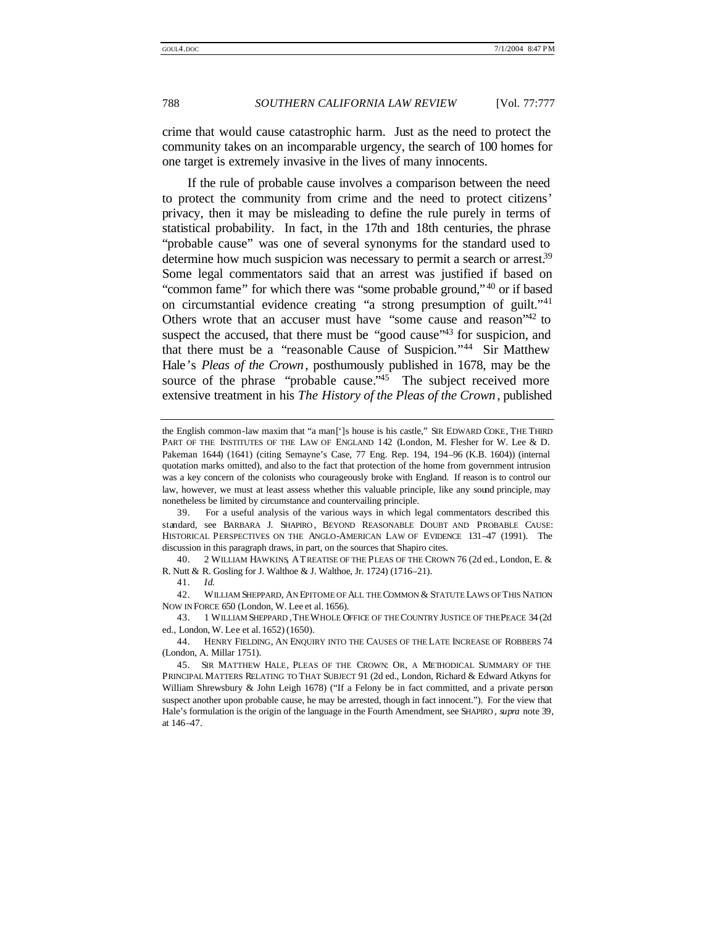crime that would cause catastrophic harm. Just as the need to protect the community takes on an incomparable urgency, the search of 100 homes for one target is extremely invasive in the lives of many innocents.

If the rule of probable cause involves a comparison between the need to protect the community from crime and the need to protect citizens' privacy, then it may be misleading to define the rule purely in terms of statistical probability. In fact, in the 17th and 18th centuries, the phrase "probable cause" was one of several synonyms for the standard used to determine how much suspicion was necessary to permit a search or arrest.<sup>39</sup> Some legal commentators said that an arrest was justified if based on "common fame" for which there was "some probable ground,"<sup>40</sup> or if based on circumstantial evidence creating "a strong presumption of guilt." 41 Others wrote that an accuser must have "some cause and reason"<sup>42</sup> to suspect the accused, that there must be "good cause"<sup>43</sup> for suspicion, and that there must be a "reasonable Cause of Suspicion." <sup>44</sup> Sir Matthew Hale's *Pleas of the Crown*, posthumously published in 1678, may be the source of the phrase "probable cause."<sup>45</sup> The subject received more extensive treatment in his *The History of the Pleas of the Crown* , published

39. For a useful analysis of the various ways in which legal commentators described this standard, see BARBARA J. SHAPIRO, BEYOND REASONABLE DOUBT AND PROBABLE CAUSE: HISTORICAL PERSPECTIVES ON THE ANGLO-AMERICAN LAW OF EVIDENCE 131–47 (1991). The discussion in this paragraph draws, in part, on the sources that Shapiro cites.

40. 2 WILLIAM HAWKINS, ATREATISE OF THE PLEAS OF THE CROWN 76 (2d ed., London, E. & R. Nutt & R. Gosling for J. Walthoe & J. Walthoe, Jr. 1724) (1716–21).

41. *Id*.

42. WILLIAM SHEPPARD, AN EPITOME OF ALL THE COMMON & STATUTE LAWS OF THIS NATION NOW IN FORCE 650 (London, W. Lee et al. 1656).

43. 1 WILLIAM SHEPPARD ,THE WHOLE OFFICE OF THE COUNTRY JUSTICE OF THE PEACE 34 (2d ed., London, W. Lee et al. 1652) (1650).

44. HENRY FIELDING, AN ENQUIRY INTO THE CAUSES OF THE LATE INCREASE OF ROBBERS 74 (London, A. Millar 1751).

the English common-law maxim that "a man[']s house is his castle," SIR EDWARD COKE, THE THIRD PART OF THE INSTITUTES OF THE LAW OF ENGLAND 142 (London, M. Flesher for W. Lee & D. Pakeman 1644) (1641) (citing Semayne's Case, 77 Eng. Rep. 194, 194–96 (K.B. 1604)) (internal quotation marks omitted), and also to the fact that protection of the home from government intrusion was a key concern of the colonists who courageously broke with England. If reason is to control our law, however, we must at least assess whether this valuable principle, like any sound principle, may nonetheless be limited by circumstance and countervailing principle.

<sup>45.</sup> SIR MATTHEW HALE, PLEAS OF THE CROWN: OR, A METHODICAL SUMMARY OF THE PRINCIPAL MATTERS RELATING TO THAT SUBJECT 91 (2d ed., London, Richard & Edward Atkyns for William Shrewsbury & John Leigh 1678) ("If a Felony be in fact committed, and a private person suspect another upon probable cause, he may be arrested, though in fact innocent."). For the view that Hale's formulation is the origin of the language in the Fourth Amendment, see SHAPIRO , *supra* note 39, at 146–47.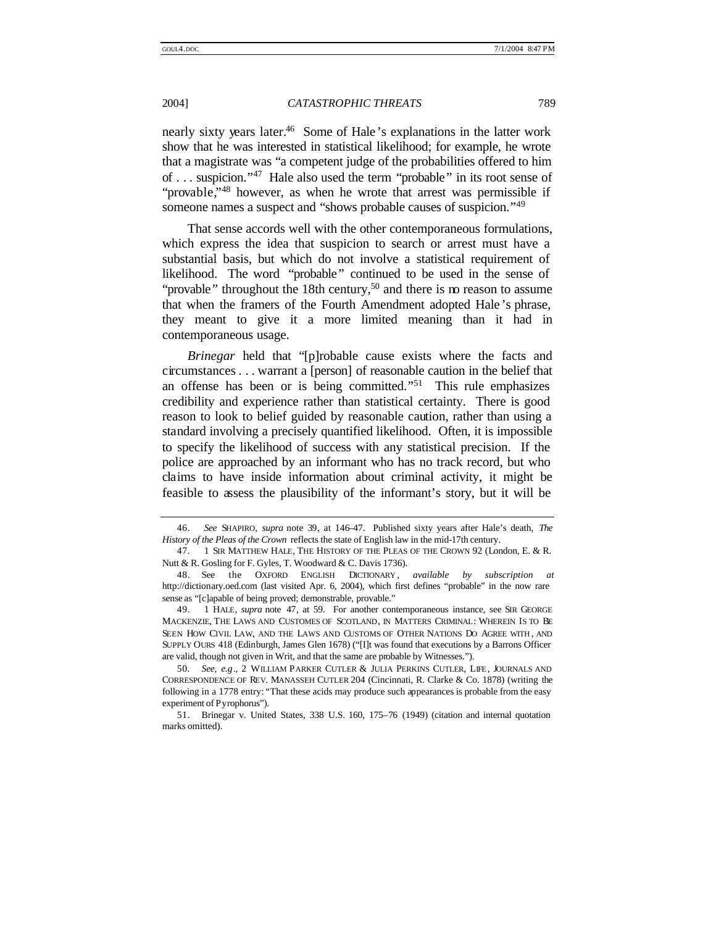nearly sixty years later.<sup>46</sup> Some of Hale 's explanations in the latter work show that he was interested in statistical likelihood; for example, he wrote that a magistrate was "a competent judge of the probabilities offered to him of . . . suspicion."<sup>47</sup> Hale also used the term "probable" in its root sense of "provable,"<sup>48</sup> however, as when he wrote that arrest was permissible if someone names a suspect and "shows probable causes of suspicion."<sup>49</sup>

That sense accords well with the other contemporaneous formulations, which express the idea that suspicion to search or arrest must have a substantial basis, but which do not involve a statistical requirement of likelihood. The word "probable" continued to be used in the sense of "provable" throughout the 18th century,<sup>50</sup> and there is no reason to assume that when the framers of the Fourth Amendment adopted Hale 's phrase, they meant to give it a more limited meaning than it had in contemporaneous usage.

*Brinegar* held that "[p]robable cause exists where the facts and circumstances . . . warrant a [person] of reasonable caution in the belief that an offense has been or is being committed."<sup>51</sup> This rule emphasizes credibility and experience rather than statistical certainty. There is good reason to look to belief guided by reasonable caution, rather than using a standard involving a precisely quantified likelihood. Often, it is impossible to specify the likelihood of success with any statistical precision. If the police are approached by an informant who has no track record, but who claims to have inside information about criminal activity, it might be feasible to assess the plausibility of the informant's story, but it will be

<sup>46.</sup> *See* SHAPIRO, *supra* note 39, at 146–47. Published sixty years after Hale's death, *The History of the Pleas of the Crown* reflects the state of English law in the mid-17th century.

<sup>47. 1</sup> SIR MATTHEW HALE, THE HISTORY OF THE PLEAS OF THE CROWN 92 (London, E. & R. Nutt & R. Gosling for F. Gyles, T. Woodward & C. Davis 1736).

<sup>48.</sup> See the OXFORD ENGLISH DICTIONARY , *available by subscription at* http://dictionary.oed.com (last visited Apr. 6, 2004), which first defines "probable" in the now rare sense as "[c]apable of being proved; demonstrable, provable."

<sup>49. 1</sup> HALE, *supra* note 47, at 59. For another contemporaneous instance, see SIR GEORGE MACKENZIE, THE LAWS AND CUSTOMES OF SCOTLAND, IN MATTERS CRIMINAL: WHEREIN IS TO BE SEEN HOW CIVIL LAW, AND THE LAWS AND CUSTOMS OF OTHER NATIONS DO AGREE WITH , AND SUPPLY OURS 418 (Edinburgh, James Glen 1678) ("[I]t was found that executions by a Barrons Officer are valid, though not given in Writ, and that the same are probable by Witnesses.").

<sup>50</sup>*. See, e.g*., 2 WILLIAM PARKER CUTLER & JULIA PERKINS CUTLER, LIFE, JOURNALS AND CORRESPONDENCE OF REV. MANASSEH CUTLER 204 (Cincinnati, R. Clarke & Co. 1878) (writing the following in a 1778 entry: "That these acids may produce such appearances is probable from the easy experiment of Pyrophorus").

<sup>51.</sup> Brinegar v. United States, 338 U.S. 160, 175–76 (1949) (citation and internal quotation marks omitted).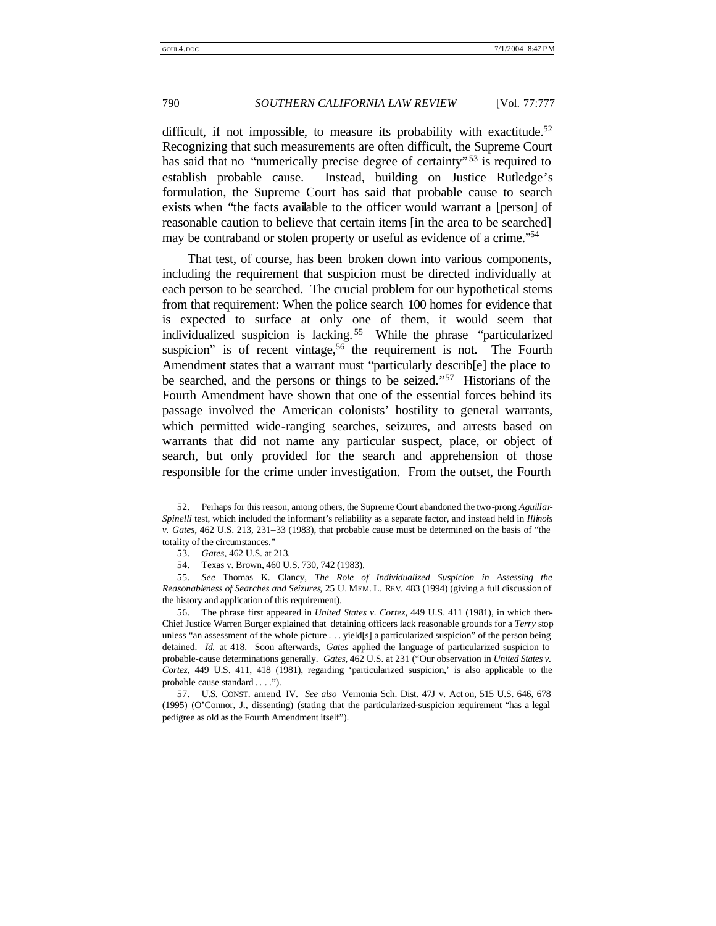difficult, if not impossible, to measure its probability with exactitude.<sup>52</sup> Recognizing that such measurements are often difficult, the Supreme Court has said that no "numerically precise degree of certainty"<sup>53</sup> is required to establish probable cause. Instead, building on Justice Rutledge's formulation, the Supreme Court has said that probable cause to search exists when "the facts available to the officer would warrant a [person] of reasonable caution to believe that certain items [in the area to be searched] may be contraband or stolen property or useful as evidence of a crime." 54

That test, of course, has been broken down into various components, including the requirement that suspicion must be directed individually at each person to be searched. The crucial problem for our hypothetical stems from that requirement: When the police search 100 homes for evidence that is expected to surface at only one of them, it would seem that individualized suspicion is lacking. <sup>55</sup> While the phrase "particularized suspicion" is of recent vintage,  $56$  the requirement is not. The Fourth Amendment states that a warrant must "particularly describ[e] the place to be searched, and the persons or things to be seized." <sup>57</sup> Historians of the Fourth Amendment have shown that one of the essential forces behind its passage involved the American colonists' hostility to general warrants, which permitted wide-ranging searches, seizures, and arrests based on warrants that did not name any particular suspect, place, or object of search, but only provided for the search and apprehension of those responsible for the crime under investigation. From the outset, the Fourth

<sup>52.</sup> Perhaps for this reason, among others, the Supreme Court abandoned the two-prong *Aguillar-Spinelli* test, which included the informant's reliability as a separate factor, and instead held in *Illinois v. Gates*, 462 U.S. 213, 231–33 (1983), that probable cause must be determined on the basis of "the totality of the circumstances."

<sup>53</sup>*. Gates*, 462 U.S. at 213.

<sup>54.</sup> Texas v. Brown, 460 U.S. 730, 742 (1983).

<sup>55</sup>*. See* Thomas K. Clancy, *The Role of Individualized Suspicion in Assessing the Reasonableness of Searches and Seizures*, 25 U. MEM. L. REV. 483 (1994) (giving a full discussion of the history and application of this requirement).

<sup>56.</sup> The phrase first appeared in *United States v. Cortez*, 449 U.S. 411 (1981), in which then-Chief Justice Warren Burger explained that detaining officers lack reasonable grounds for a *Terry* stop unless "an assessment of the whole picture . . . yield[s] a particularized suspicion" of the person being detained. *Id.* at 418. Soon afterwards, *Gates* applied the language of particularized suspicion to probable-cause determinations generally. *Gates*, 462 U.S. at 231 ("Our observation in *United States v. Cortez*, 449 U.S. 411, 418 (1981), regarding 'particularized suspicion,' is also applicable to the probable cause standard . . . .").

<sup>57.</sup> U.S. CONST. amend. IV. *See also* Vernonia Sch. Dist. 47J v. Act on, 515 U.S. 646, 678 (1995) (O'Connor, J., dissenting) (stating that the particularized-suspicion requirement "has a legal pedigree as old as the Fourth Amendment itself").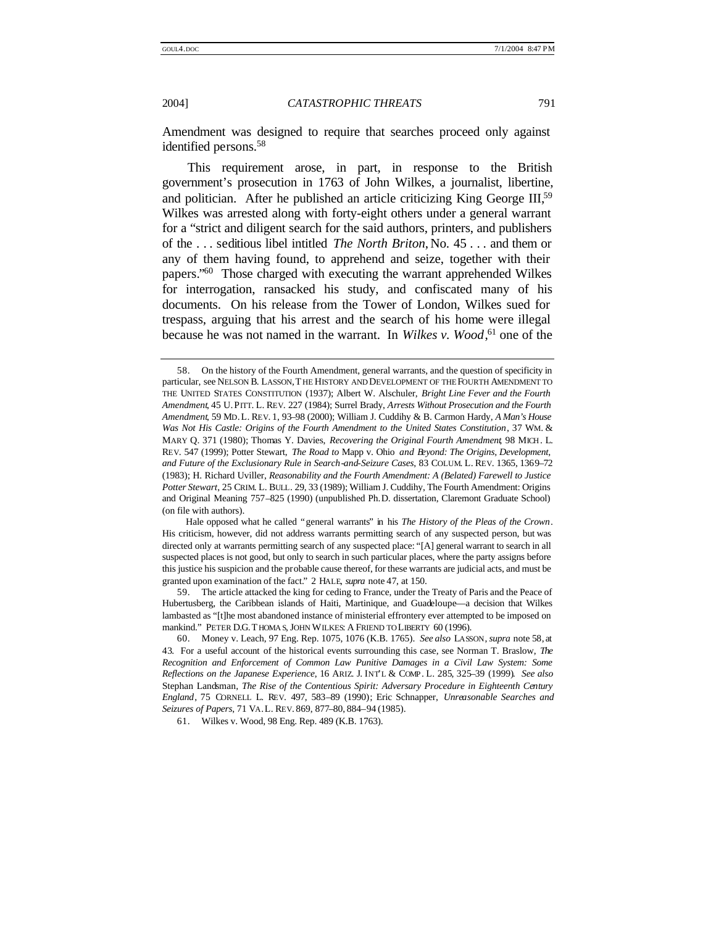Amendment was designed to require that searches proceed only against identified persons.<sup>58</sup>

This requirement arose, in part, in response to the British government's prosecution in 1763 of John Wilkes, a journalist, libertine, and politician. After he published an article criticizing King George III,<sup>59</sup> Wilkes was arrested along with forty-eight others under a general warrant for a "strict and diligent search for the said authors, printers, and publishers of the . . . seditious libel intitled *The North Briton*, No. 45 . . . and them or any of them having found, to apprehend and seize, together with their papers."<sup>60</sup> Those charged with executing the warrant apprehended Wilkes for interrogation, ransacked his study, and confiscated many of his documents. On his release from the Tower of London, Wilkes sued for trespass, arguing that his arrest and the search of his home were illegal because he was not named in the warrant. In *Wilkes v. Wood*<sup>61</sup> one of the

59. The article attacked the king for ceding to France, under the Treaty of Paris and the Peace of Hubertusberg, the Caribbean islands of Haiti, Martinique, and Guadeloupe—a decision that Wilkes lambasted as "[t]he most abandoned instance of ministerial effrontery ever attempted to be imposed on mankind." PETER D.G. THOMA S, JOHN WILKES: A FRIEND TO LIBERTY 60 (1996).

61. Wilkes v. Wood, 98 Eng. Rep. 489 (K.B. 1763).

<sup>58.</sup> On the history of the Fourth Amendment, general warrants, and the question of specificity in particular, see NELSON B. LASSON,THE HISTORY AND DEVELOPMENT OF THE FOURTH AMENDMENT TO THE UNITED STATES CONSTITUTION (1937); Albert W. Alschuler, *Bright Line Fever and the Fourth Amendment*, 45 U.PITT. L. REV. 227 (1984); Surrel Brady, *Arrests Without Prosecution and the Fourth Amendment*, 59 MD.L. REV. 1, 93–98 (2000); William J. Cuddihy & B. Carmon Hardy, *A Man's House Was Not His Castle: Origins of the Fourth Amendment to the United States Constitution*, 37 WM. & MARY Q. 371 (1980); Thomas Y. Davies, *Recovering the Original Fourth Amendment*, 98 MICH. L. REV. 547 (1999); Potter Stewart, *The Road to* Mapp v. Ohio *and Beyond: The Origins, Development, and Future of the Exclusionary Rule in Search-and-Seizure Cases*, 83 COLUM. L. REV. 1365, 1369–72 (1983); H. Richard Uviller, *Reasonability and the Fourth Amendment: A (Belated) Farewell to Justice Potter Stewart*, 25 CRIM. L. BULL. 29, 33 (1989); William J. Cuddihy, The Fourth Amendment: Origins and Original Meaning 757–825 (1990) (unpublished Ph.D. dissertation, Claremont Graduate School) (on file with authors).

Hale opposed what he called "general warrants" in his *The History of the Pleas of the Crown*. His criticism, however, did not address warrants permitting search of any suspected person, but was directed only at warrants permitting search of any suspected place: "[A] general warrant to search in all suspected places is not good, but only to search in such particular places, where the party assigns before this justice his suspicion and the probable cause thereof, for these warrants are judicial acts, and must be granted upon examination of the fact." 2 HALE, *supra* note 47, at 150.

<sup>60.</sup> Money v. Leach, 97 Eng. Rep. 1075, 1076 (K.B. 1765). *See also* LASSON, *supra* note 58, at 43. For a useful account of the historical events surrounding this case, see Norman T. Braslow, *The Recognition and Enforcement of Common Law Punitive Damages in a Civil Law System: Some Reflections on the Japanese Experience*, 16 ARIZ. J. INT'L & COMP. L. 285, 325–39 (1999). *See also* Stephan Landsman, *The Rise of the Contentious Spirit: Adversary Procedure in Eighteenth Century England*, 75 CORNELL L. REV. 497, 583–89 (1990); Eric Schnapper, *Unreasonable Searches and Seizures of Papers*, 71 VA.L. REV. 869, 877–80, 884–94 (1985).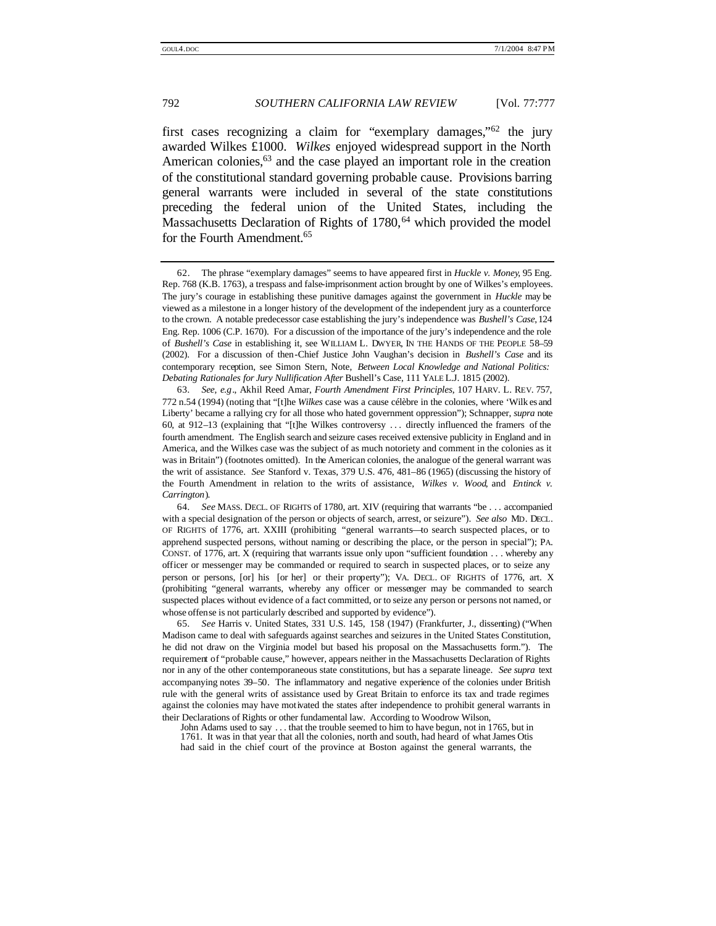first cases recognizing a claim for "exemplary damages,"<sup>62</sup> the jury awarded Wilkes £1000. *Wilkes* enjoyed widespread support in the North American colonies, $63$  and the case played an important role in the creation of the constitutional standard governing probable cause. Provisions barring general warrants were included in several of the state constitutions preceding the federal union of the United States, including the Massachusetts Declaration of Rights of  $1780$ ,  $64$  which provided the model for the Fourth Amendment.<sup>65</sup>

John Adams used to say . . . that the trouble seemed to him to have begun, not in 1765, but in

1761. It was in that year that all the colonies, north and south, had heard of what James Otis had said in the chief court of the province at Boston against the general warrants, the

<sup>62.</sup> The phrase "exemplary damages" seems to have appeared first in *Huckle v. Money*, 95 Eng. Rep. 768 (K.B. 1763), a trespass and false-imprisonment action brought by one of Wilkes's employees. The jury's courage in establishing these punitive damages against the government in *Huckle* may be viewed as a milestone in a longer history of the development of the independent jury as a counterforce to the crown. A notable predecessor case establishing the jury's independence was *Bushell's Case*, 124 Eng. Rep. 1006 (C.P. 1670). For a discussion of the importance of the jury's independence and the role of *Bushell's Case* in establishing it, see WILLIAM L. DWYER, IN THE HANDS OF THE PEOPLE 58–59 (2002). For a discussion of then-Chief Justice John Vaughan's decision in *Bushell's Case* and its contemporary reception, see Simon Stern, Note, *Between Local Knowledge and National Politics: Debating Rationales for Jury Nullification After* Bushell's Case, 111 YALE L.J. 1815 (2002).

<sup>63</sup>*. See, e.g*., Akhil Reed Amar, *Fourth Amendment First Principles*, 107 HARV. L. REV. 757, 772 n.54 (1994) (noting that "[t]he *Wilkes* case was a cause célèbre in the colonies, where 'Wilk es and Liberty' became a rallying cry for all those who hated government oppression"); Schnapper, *supra* note 60, at 912–13 (explaining that "[t]he Wilkes controversy . . . directly influenced the framers of the fourth amendment. The English search and seizure cases received extensive publicity in England and in America, and the Wilkes case was the subject of as much notoriety and comment in the colonies as it was in Britain") (footnotes omitted). In the American colonies, the analogue of the general warrant was the writ of assistance. *See* Stanford v. Texas, 379 U.S. 476, 481–86 (1965) (discussing the history of the Fourth Amendment in relation to the writs of assistance, *Wilkes v. Wood*, and *Entinck v. Carrington*).

<sup>64</sup>*. See* MASS. DECL. OF RIGHTS of 1780, art. XIV (requiring that warrants "be . . . accompanied with a special designation of the person or objects of search, arrest, or seizure"). *See also* MD. DECL. OF RIGHTS of 1776, art. XXIII (prohibiting "general warrants—to search suspected places, or to apprehend suspected persons, without naming or describing the place, or the person in special"); PA. CONST. of 1776, art. X (requiring that warrants issue only upon "sufficient foundation . . . whereby any officer or messenger may be commanded or required to search in suspected places, or to seize any person or persons, [or] his [or her] or their property"); VA. DECL. OF RIGHTS of 1776, art. X (prohibiting "general warrants, whereby any officer or messenger may be commanded to search suspected places without evidence of a fact committed, or to seize any person or persons not named, or whose offense is not particularly described and supported by evidence").

<sup>65</sup>*. See* Harris v. United States, 331 U.S. 145, 158 (1947) (Frankfurter, J., dissenting) ("When Madison came to deal with safeguards against searches and seizures in the United States Constitution, he did not draw on the Virginia model but based his proposal on the Massachusetts form."). The requirement of "probable cause," however, appears neither in the Massachusetts Declaration of Rights nor in any of the other contemporaneous state constitutions, but has a separate lineage. *See supra* text accompanying notes 39–50. The inflammatory and negative experience of the colonies under British rule with the general writs of assistance used by Great Britain to enforce its tax and trade regimes against the colonies may have motivated the states after independence to prohibit general warrants in their Declarations of Rights or other fundamental law. According to Woodrow Wilson,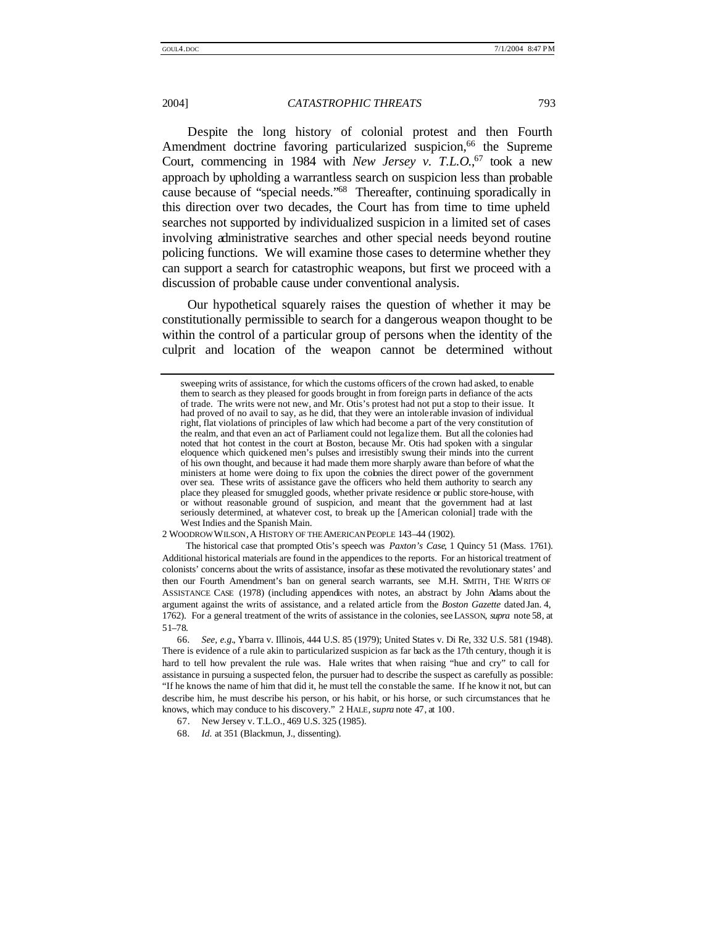Despite the long history of colonial protest and then Fourth Amendment doctrine favoring particularized suspicion,<sup>66</sup> the Supreme Court, commencing in 1984 with *New Jersey v. T.L.O.*,<sup>67</sup> took a new approach by upholding a warrantless search on suspicion less than probable cause because of "special needs." <sup>68</sup> Thereafter, continuing sporadically in this direction over two decades, the Court has from time to time upheld searches not supported by individualized suspicion in a limited set of cases involving administrative searches and other special needs beyond routine policing functions. We will examine those cases to determine whether they can support a search for catastrophic weapons, but first we proceed with a discussion of probable cause under conventional analysis.

Our hypothetical squarely raises the question of whether it may be constitutionally permissible to search for a dangerous weapon thought to be within the control of a particular group of persons when the identity of the culprit and location of the weapon cannot be determined without

2 WOODROW WILSON,A HISTORY OF THE AMERICAN PEOPLE 143–44 (1902).

The historical case that prompted Otis's speech was *Paxton's Case*, 1 Quincy 51 (Mass. 1761). Additional historical materials are found in the appendices to the reports. For an historical treatment of colonists' concerns about the writs of assistance, insofar as these motivated the revolutionary states' and then our Fourth Amendment's ban on general search warrants, see M.H. SMITH, THE WRITS OF ASSISTANCE CASE (1978) (including appendices with notes, an abstract by John Adams about the argument against the writs of assistance, and a related article from the *Boston Gazette* dated Jan. 4, 1762). For a general treatment of the writs of assistance in the colonies, see LASSON, *supra* note 58, at 51–78.

sweeping writs of assistance, for which the customs officers of the crown had asked, to enable them to search as they pleased for goods brought in from foreign parts in defiance of the acts of trade. The writs were not new, and Mr. Otis's protest had not put a stop to their issue. It had proved of no avail to say, as he did, that they were an intolerable invasion of individual right, flat violations of principles of law which had become a part of the very constitution of the realm, and that even an act of Parliament could not legalize them. But all the colonies had noted that hot contest in the court at Boston, because Mr. Otis had spoken with a singular eloquence which quickened men's pulses and irresistibly swung their minds into the current of his own thought, and because it had made them more sharply aware than before of what the ministers at home were doing to fix upon the cobnies the direct power of the government over sea. These writs of assistance gave the officers who held them authority to search any place they pleased for smuggled goods, whether private residence or public store-house, with or without reasonable ground of suspicion, and meant that the government had at last seriously determined, at whatever cost, to break up the [American colonial] trade with the West Indies and the Spanish Main.

<sup>66</sup>*. See, e.g.*, Ybarra v. Illinois, 444 U.S. 85 (1979); United States v. Di Re, 332 U.S. 581 (1948). There is evidence of a rule akin to particularized suspicion as far back as the 17th century, though it is hard to tell how prevalent the rule was. Hale writes that when raising "hue and cry" to call for assistance in pursuing a suspected felon, the pursuer had to describe the suspect as carefully as possible: "If he knows the name of him that did it, he must tell the constable the same. If he know it not, but can describe him, he must describe his person, or his habit, or his horse, or such circumstances that he knows, which may conduce to his discovery." 2 HALE, *supra* note 47, at 100.

<sup>67.</sup> New Jersey v. T.L.O., 469 U.S. 325 (1985).

<sup>68</sup>*. Id.* at 351 (Blackmun, J., dissenting).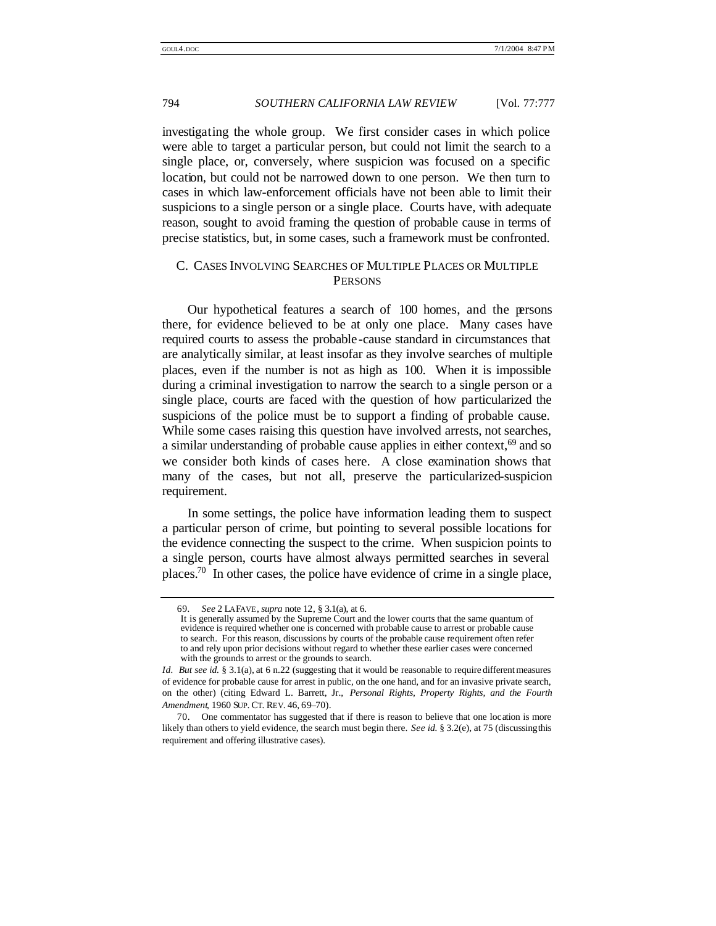investigating the whole group. We first consider cases in which police were able to target a particular person, but could not limit the search to a single place, or, conversely, where suspicion was focused on a specific location, but could not be narrowed down to one person. We then turn to cases in which law-enforcement officials have not been able to limit their suspicions to a single person or a single place. Courts have, with adequate reason, sought to avoid framing the question of probable cause in terms of precise statistics, but, in some cases, such a framework must be confronted.

# C. CASES INVOLVING SEARCHES OF MULTIPLE PLACES OR MULTIPLE **PERSONS**

Our hypothetical features a search of 100 homes, and the persons there, for evidence believed to be at only one place. Many cases have required courts to assess the probable -cause standard in circumstances that are analytically similar, at least insofar as they involve searches of multiple places, even if the number is not as high as 100. When it is impossible during a criminal investigation to narrow the search to a single person or a single place, courts are faced with the question of how particularized the suspicions of the police must be to support a finding of probable cause. While some cases raising this question have involved arrests, not searches, a similar understanding of probable cause applies in either context,<sup>69</sup> and so we consider both kinds of cases here. A close examination shows that many of the cases, but not all, preserve the particularized-suspicion requirement.

In some settings, the police have information leading them to suspect a particular person of crime, but pointing to several possible locations for the evidence connecting the suspect to the crime. When suspicion points to a single person, courts have almost always permitted searches in several places.<sup>70</sup> In other cases, the police have evidence of crime in a single place,

<sup>69</sup>*. See* 2 LAFAVE, *supra* note 12, § 3.1(a), at 6.

It is generally assumed by the Supreme Court and the lower courts that the same quantum of evidence is required whether one is concerned with probable cause to arrest or probable cause to search. For this reason, discussions by courts of the probable cause requirement often refer to and rely upon prior decisions without regard to whether these earlier cases were concerned with the grounds to arrest or the grounds to search.

*Id. But see id.* § 3.1(a), at 6 n.22 (suggesting that it would be reasonable to require different measures of evidence for probable cause for arrest in public, on the one hand, and for an invasive private search, on the other) (citing Edward L. Barrett, Jr., *Personal Rights, Property Rights, and the Fourth Amendment*, 1960 SUP. CT. REV. 46, 69–70).

<sup>70.</sup> One commentator has suggested that if there is reason to believe that one location is more likely than others to yield evidence, the search must begin there. *See id.* § 3.2(e), at 75 (discussing this requirement and offering illustrative cases).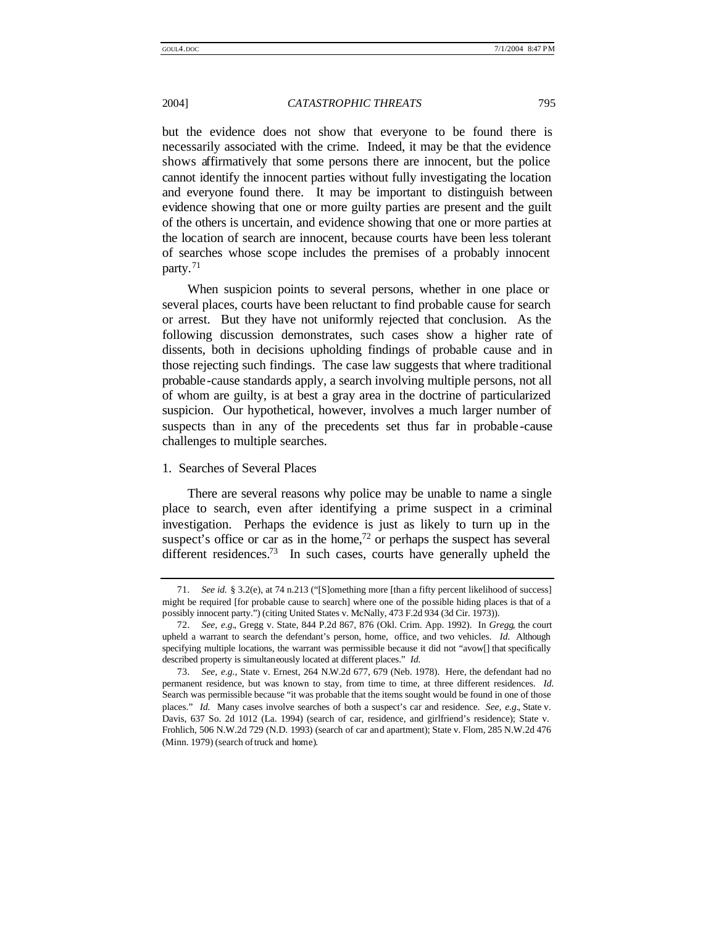but the evidence does not show that everyone to be found there is necessarily associated with the crime. Indeed, it may be that the evidence shows affirmatively that some persons there are innocent, but the police cannot identify the innocent parties without fully investigating the location and everyone found there. It may be important to distinguish between evidence showing that one or more guilty parties are present and the guilt of the others is uncertain, and evidence showing that one or more parties at the location of search are innocent, because courts have been less tolerant of searches whose scope includes the premises of a probably innocent party.<sup>71</sup>

When suspicion points to several persons, whether in one place or several places, courts have been reluctant to find probable cause for search or arrest. But they have not uniformly rejected that conclusion. As the following discussion demonstrates, such cases show a higher rate of dissents, both in decisions upholding findings of probable cause and in those rejecting such findings. The case law suggests that where traditional probable-cause standards apply, a search involving multiple persons, not all of whom are guilty, is at best a gray area in the doctrine of particularized suspicion. Our hypothetical, however, involves a much larger number of suspects than in any of the precedents set thus far in probable -cause challenges to multiple searches.

#### 1. Searches of Several Places

There are several reasons why police may be unable to name a single place to search, even after identifying a prime suspect in a criminal investigation. Perhaps the evidence is just as likely to turn up in the suspect's office or car as in the home,<sup>72</sup> or perhaps the suspect has several different residences.<sup>73</sup> In such cases, courts have generally upheld the

<sup>71</sup>*. See id.* § 3.2(e), at 74 n.213 ("[S]omething more [than a fifty percent likelihood of success] might be required [for probable cause to search] where one of the possible hiding places is that of a possibly innocent party.") (citing United States v. McNally, 473 F.2d 934 (3d Cir. 1973)).

<sup>72</sup>*. See, e.g.*, Gregg v. State, 844 P.2d 867, 876 (Okl. Crim. App. 1992). In *Gregg*, the court upheld a warrant to search the defendant's person, home, office, and two vehicles. *Id.* Although specifying multiple locations, the warrant was permissible because it did not "avow<sup>[]</sup> that specifically described property is simultaneously located at different places." *Id.*

<sup>73</sup>*. See, e.g.*, State v. Ernest, 264 N.W.2d 677, 679 (Neb. 1978). Here, the defendant had no permanent residence, but was known to stay, from time to time, at three different residences. *Id.* Search was permissible because "it was probable that the items sought would be found in one of those places." *Id.* Many cases involve searches of both a suspect's car and residence. *See, e.g.*, State v. Davis, 637 So. 2d 1012 (La. 1994) (search of car, residence, and girlfriend's residence); State v. Frohlich, 506 N.W.2d 729 (N.D. 1993) (search of car and apartment); State v. Flom, 285 N.W.2d 476 (Minn. 1979) (search of truck and home).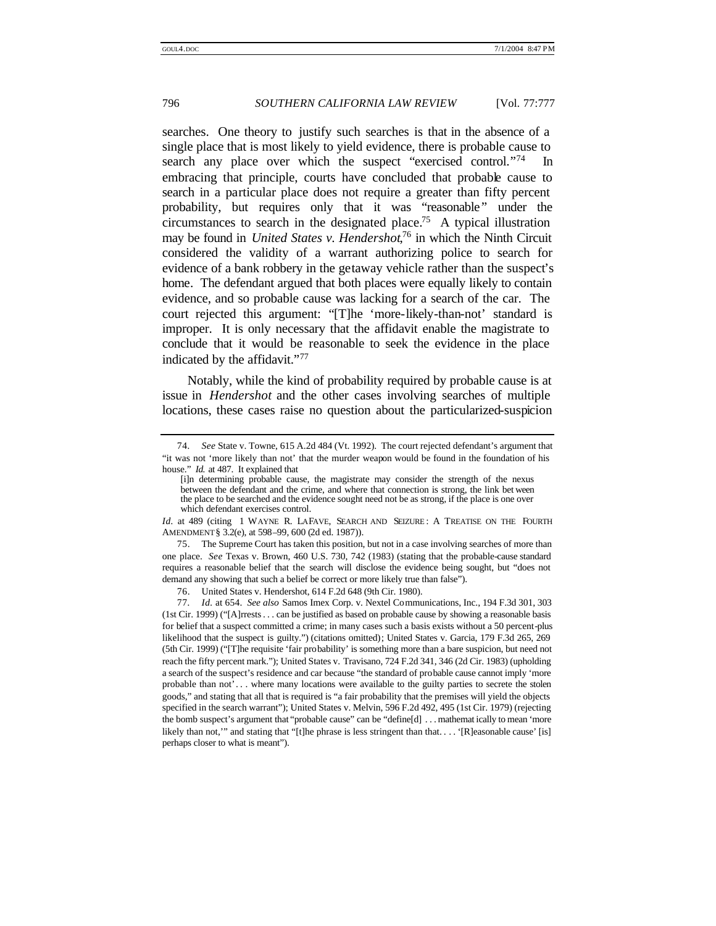searches. One theory to justify such searches is that in the absence of a single place that is most likely to yield evidence, there is probable cause to search any place over which the suspect "exercised control."<sup>74</sup> In embracing that principle, courts have concluded that probable cause to search in a particular place does not require a greater than fifty percent probability, but requires only that it was "reasonable" under the circumstances to search in the designated place.<sup>75</sup> A typical illustration may be found in *United States v. Hendershot*, <sup>76</sup> in which the Ninth Circuit considered the validity of a warrant authorizing police to search for evidence of a bank robbery in the getaway vehicle rather than the suspect's home. The defendant argued that both places were equally likely to contain evidence, and so probable cause was lacking for a search of the car. The court rejected this argument: "[T]he 'more-likely-than-not' standard is improper. It is only necessary that the affidavit enable the magistrate to conclude that it would be reasonable to seek the evidence in the place indicated by the affidavit."77

Notably, while the kind of probability required by probable cause is at issue in *Hendershot* and the other cases involving searches of multiple locations, these cases raise no question about the particularized-suspicion

<sup>74</sup>*. See* State v. Towne, 615 A.2d 484 (Vt. 1992). The court rejected defendant's argument that "it was not 'more likely than not' that the murder weapon would be found in the foundation of his house." *Id.* at 487. It explained that

<sup>[</sup>i]n determining probable cause, the magistrate may consider the strength of the nexus between the defendant and the crime, and where that connection is strong, the link bet ween the place to be searched and the evidence sought need not be as strong, if the place is one over which defendant exercises control.

*Id.* at 489 (citing 1 WAYNE R. LAFAVE, SEARCH AND SEIZURE: A TREATISE ON THE FOURTH AMENDMENT § 3.2(e), at 598–99, 600 (2d ed. 1987)).

<sup>75.</sup> The Supreme Court has taken this position, but not in a case involving searches of more than one place. *See* Texas v. Brown, 460 U.S. 730, 742 (1983) (stating that the probable-cause standard requires a reasonable belief that the search will disclose the evidence being sought, but "does not demand any showing that such a belief be correct or more likely true than false").

<sup>76.</sup> United States v. Hendershot, 614 F.2d 648 (9th Cir. 1980).

<sup>77</sup>*. Id.* at 654. *See also* Samos Imex Corp. v. Nextel Communications, Inc., 194 F.3d 301, 303 (1st Cir. 1999) ("[A]rrests. . . can be justified as based on probable cause by showing a reasonable basis for belief that a suspect committed a crime; in many cases such a basis exists without a 50 percent-plus likelihood that the suspect is guilty.") (citations omitted); United States v. Garcia, 179 F.3d 265, 269 (5th Cir. 1999) ("[T]he requisite 'fair probability' is something more than a bare suspicion, but need not reach the fifty percent mark."); United States v. Travisano, 724 F.2d 341, 346 (2d Cir. 1983) (upholding a search of the suspect's residence and car because "the standard of probable cause cannot imply 'more probable than not'. . . where many locations were available to the guilty parties to secrete the stolen goods," and stating that all that is required is "a fair probability that the premises will yield the objects specified in the search warrant"); United States v. Melvin, 596 F.2d 492, 495 (1st Cir. 1979) (rejecting the bomb suspect's argument that "probable cause" can be "define[d] . . . mathemat ically to mean 'more likely than not," and stating that "[t]he phrase is less stringent than that... . '[R]easonable cause' [is] perhaps closer to what is meant").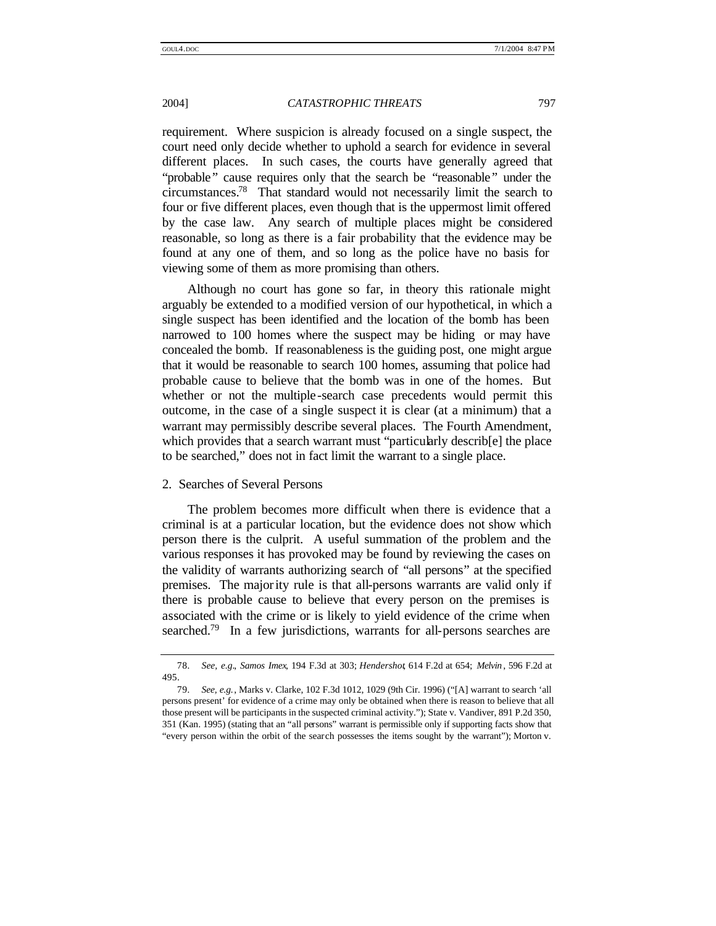requirement. Where suspicion is already focused on a single suspect, the court need only decide whether to uphold a search for evidence in several different places. In such cases, the courts have generally agreed that "probable" cause requires only that the search be "reasonable" under the circumstances.<sup>78</sup> That standard would not necessarily limit the search to four or five different places, even though that is the uppermost limit offered by the case law. Any search of multiple places might be considered reasonable, so long as there is a fair probability that the evidence may be found at any one of them, and so long as the police have no basis for viewing some of them as more promising than others.

Although no court has gone so far, in theory this rationale might arguably be extended to a modified version of our hypothetical, in which a single suspect has been identified and the location of the bomb has been narrowed to 100 homes where the suspect may be hiding or may have concealed the bomb. If reasonableness is the guiding post, one might argue that it would be reasonable to search 100 homes, assuming that police had probable cause to believe that the bomb was in one of the homes. But whether or not the multiple -search case precedents would permit this outcome, in the case of a single suspect it is clear (at a minimum) that a warrant may permissibly describe several places. The Fourth Amendment, which provides that a search warrant must "particularly describ<sup>[e]</sup> the place to be searched," does not in fact limit the warrant to a single place.

#### 2. Searches of Several Persons

The problem becomes more difficult when there is evidence that a criminal is at a particular location, but the evidence does not show which person there is the culprit. A useful summation of the problem and the various responses it has provoked may be found by reviewing the cases on the validity of warrants authorizing search of "all persons" at the specified premises. The majority rule is that all-persons warrants are valid only if there is probable cause to believe that every person on the premises is associated with the crime or is likely to yield evidence of the crime when searched.<sup>79</sup> In a few jurisdictions, warrants for all-persons searches are

<sup>78</sup>*. See, e.g.*, *Samos Imex*, 194 F.3d at 303; *Hendershot*, 614 F.2d at 654; *Melvin* , 596 F.2d at 495.

<sup>79</sup>*. See, e.g.*, Marks v. Clarke, 102 F.3d 1012, 1029 (9th Cir. 1996) ("[A] warrant to search 'all persons present' for evidence of a crime may only be obtained when there is reason to believe that all those present will be participants in the suspected criminal activity."); State v. Vandiver, 891 P.2d 350, 351 (Kan. 1995) (stating that an "all persons" warrant is permissible only if supporting facts show that "every person within the orbit of the search possesses the items sought by the warrant"); Morton v.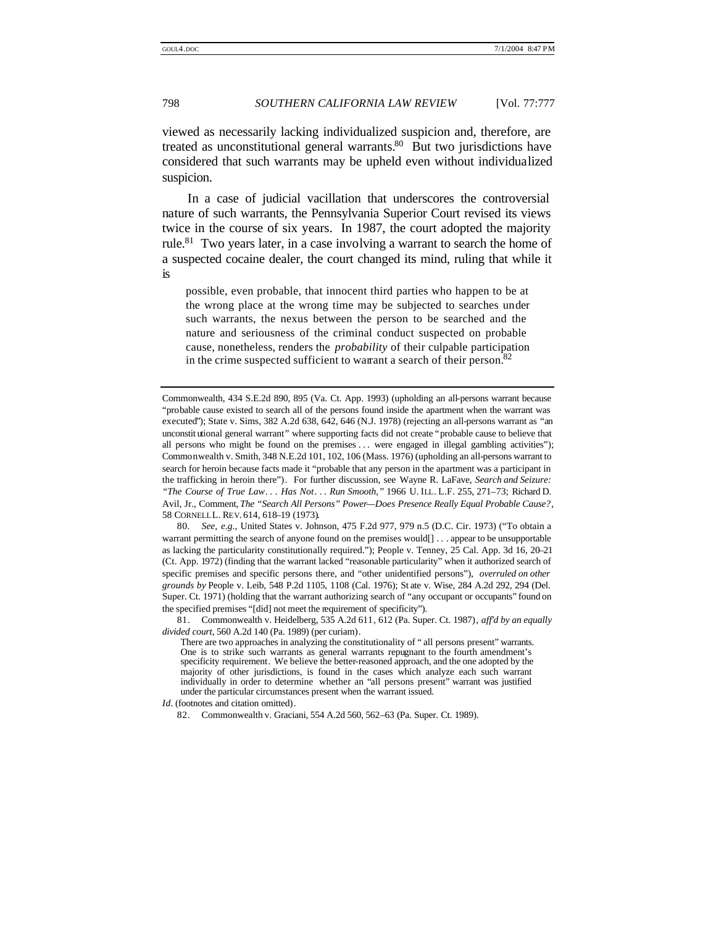viewed as necessarily lacking individualized suspicion and, therefore, are treated as unconstitutional general warrants. $80$  But two jurisdictions have considered that such warrants may be upheld even without individualized suspicion.

In a case of judicial vacillation that underscores the controversial nature of such warrants, the Pennsylvania Superior Court revised its views twice in the course of six years. In 1987, the court adopted the majority rule.<sup>81</sup> Two years later, in a case involving a warrant to search the home of a suspected cocaine dealer, the court changed its mind, ruling that while it is

possible, even probable, that innocent third parties who happen to be at the wrong place at the wrong time may be subjected to searches under such warrants, the nexus between the person to be searched and the nature and seriousness of the criminal conduct suspected on probable cause, nonetheless, renders the *probability* of their culpable participation in the crime suspected sufficient to warrant a search of their person. $82$ 

80*. See, e.g.*, United States v. Johnson, 475 F.2d 977, 979 n.5 (D.C. Cir. 1973) ("To obtain a warrant permitting the search of anyone found on the premises would[] . . . appear to be unsupportable as lacking the particularity constitutionally required."); People v. Tenney, 25 Cal. App. 3d 16, 20–21 (Ct. App. 1972) (finding that the warrant lacked "reasonable particularity" when it authorized search of specific premises and specific persons there, and "other unidentified persons"), *overruled on other grounds by* People v. Leib, 548 P.2d 1105, 1108 (Cal. 1976); St ate v. Wise, 284 A.2d 292, 294 (Del. Super. Ct. 1971) (holding that the warrant authorizing search of "any occupant or occupants" found on the specified premises "[did] not meet the requirement of specificity").

Commonwealth, 434 S.E.2d 890, 895 (Va. Ct. App. 1993) (upholding an all-persons warrant because "probable cause existed to search all of the persons found inside the apartment when the warrant was executed"); State v. Sims, 382 A.2d 638, 642, 646 (N.J. 1978) (rejecting an all-persons warrant as "an unconstit utional general warrant" where supporting facts did not create "probable cause to believe that all persons who might be found on the premises ... were engaged in illegal gambling activities"); Commonwealth v. Smith, 348 N.E.2d 101, 102, 106 (Mass. 1976) (upholding an all-persons warrant to search for heroin because facts made it "probable that any person in the apartment was a participant in the trafficking in heroin there"). For further discussion, see Wayne R. LaFave, *Search and Seizure: "The Course of True Law. . . Has Not. . . Run Smooth*,*"* 1966 U. ILL. L.F. 255, 271–73; Richard D. Avil, Jr., Comment, *The "Search All Persons" Power—Does Presence Really Equal Probable Cause?*, 58 CORNELLL. REV. 614, 618-19 (1973).

<sup>81.</sup> Commonwealth v. Heidelberg, 535 A.2d 611, 612 (Pa. Super. Ct. 1987), *aff'd by an equally divided court*, 560 A.2d 140 (Pa. 1989) (per curiam).

There are two approaches in analyzing the constitutionality of " all persons present" warrants. One is to strike such warrants as general warrants repugnant to the fourth amendment's specificity requirement. We believe the better-reasoned approach, and the one adopted by the majority of other jurisdictions, is found in the cases which analyze each such warrant individually in order to determine whether an "all persons present" warrant was justified under the particular circumstances present when the warrant issued.

*Id.* (footnotes and citation omitted).

<sup>82.</sup> Commonwealth v. Graciani, 554 A.2d 560, 562–63 (Pa. Super. Ct. 1989).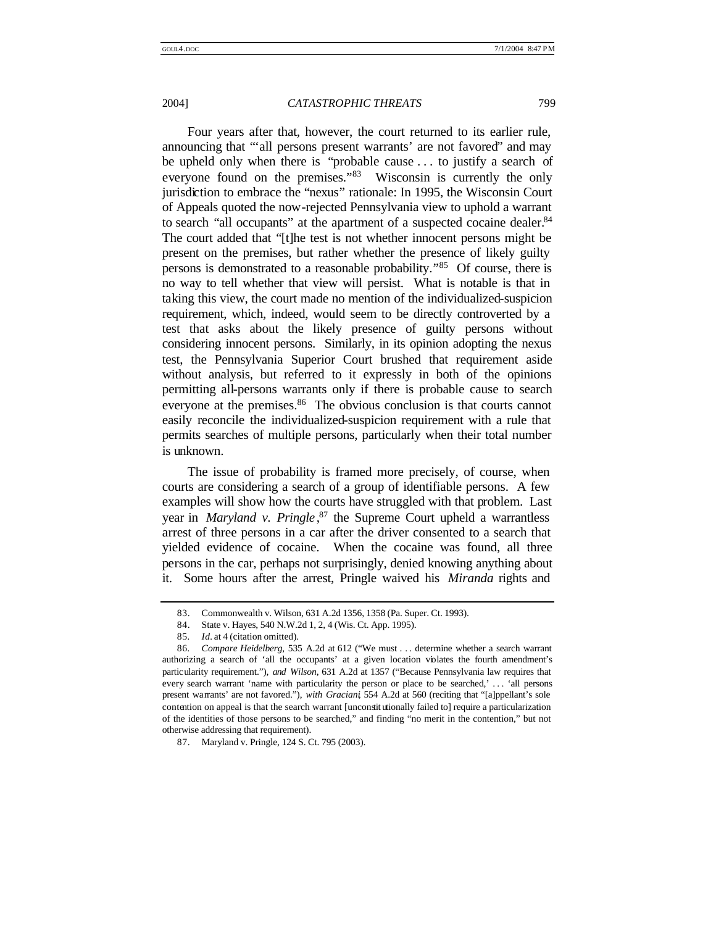Four years after that, however, the court returned to its earlier rule, announcing that "'all persons present warrants' are not favored" and may be upheld only when there is "probable cause . . . to justify a search of everyone found on the premises."<sup>83</sup> Wisconsin is currently the only jurisdiction to embrace the "nexus" rationale: In 1995, the Wisconsin Court of Appeals quoted the now-rejected Pennsylvania view to uphold a warrant to search "all occupants" at the apartment of a suspected cocaine dealer.<sup>84</sup> The court added that "[t]he test is not whether innocent persons might be present on the premises, but rather whether the presence of likely guilty persons is demonstrated to a reasonable probability." <sup>85</sup> Of course, there is no way to tell whether that view will persist. What is notable is that in taking this view, the court made no mention of the individualized-suspicion requirement, which, indeed, would seem to be directly controverted by a test that asks about the likely presence of guilty persons without considering innocent persons. Similarly, in its opinion adopting the nexus test, the Pennsylvania Superior Court brushed that requirement aside without analysis, but referred to it expressly in both of the opinions permitting all-persons warrants only if there is probable cause to search everyone at the premises.<sup>86</sup> The obvious conclusion is that courts cannot easily reconcile the individualized-suspicion requirement with a rule that permits searches of multiple persons, particularly when their total number is unknown.

The issue of probability is framed more precisely, of course, when courts are considering a search of a group of identifiable persons. A few examples will show how the courts have struggled with that problem. Last year in *Maryland v. Pringle* , <sup>87</sup> the Supreme Court upheld a warrantless arrest of three persons in a car after the driver consented to a search that yielded evidence of cocaine. When the cocaine was found, all three persons in the car, perhaps not surprisingly, denied knowing anything about it. Some hours after the arrest, Pringle waived his *Miranda* rights and

<sup>83.</sup> Commonwealth v. Wilson, 631 A.2d 1356, 1358 (Pa. Super. Ct. 1993).

<sup>84.</sup> State v. Hayes, 540 N.W.2d 1, 2, 4 (Wis. Ct. App. 1995).

<sup>85</sup>*. Id.* at 4 (citation omitted).

<sup>86</sup>*. Compare Heidelberg*, 535 A.2d at 612 ("We must . . . determine whether a search warrant authorizing a search of 'all the occupants' at a given location violates the fourth amendment's particularity requirement."), *and Wilson*, 631 A.2d at 1357 ("Because Pennsylvania law requires that every search warrant 'name with particularity the person or place to be searched,' . . . 'all persons present warrants' are not favored."), *with Graciani*, 554 A.2d at 560 (reciting that "[a]ppellant's sole contention on appeal is that the search warrant [unconstit utionally failed to] require a particularization of the identities of those persons to be searched," and finding "no merit in the contention," but not otherwise addressing that requirement).

<sup>87.</sup> Maryland v. Pringle, 124 S. Ct. 795 (2003).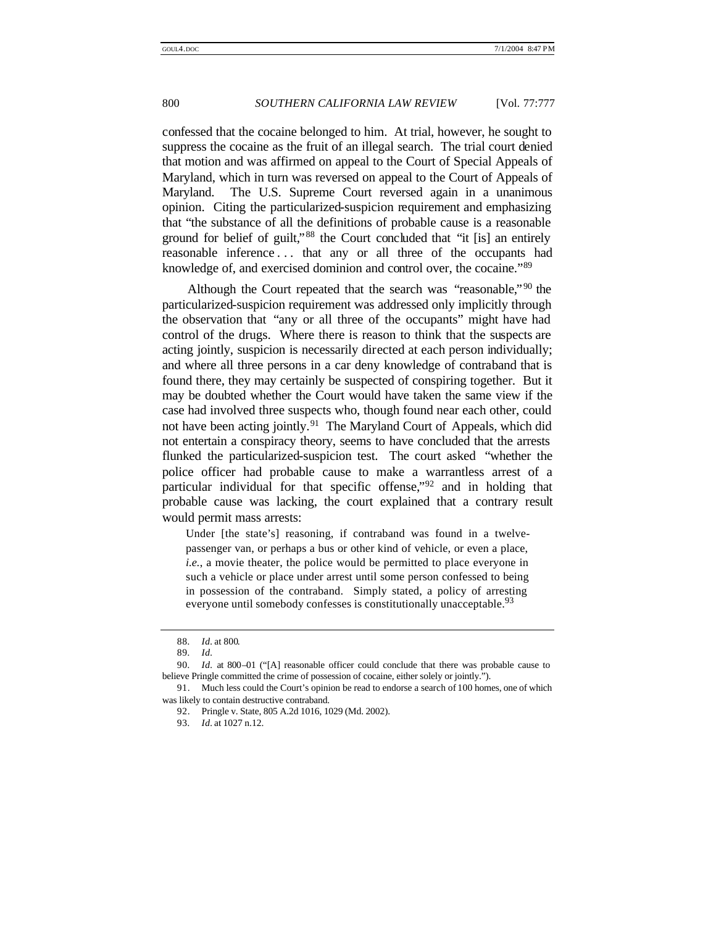confessed that the cocaine belonged to him. At trial, however, he sought to suppress the cocaine as the fruit of an illegal search. The trial court denied that motion and was affirmed on appeal to the Court of Special Appeals of Maryland, which in turn was reversed on appeal to the Court of Appeals of Maryland. The U.S. Supreme Court reversed again in a unanimous opinion. Citing the particularized-suspicion requirement and emphasizing that "the substance of all the definitions of probable cause is a reasonable ground for belief of guilt," <sup>88</sup> the Court concluded that "it [is] an entirely reasonable inference . . . that any or all three of the occupants had knowledge of, and exercised dominion and control over, the cocaine."89

Although the Court repeated that the search was "reasonable,"<sup>90</sup> the particularized-suspicion requirement was addressed only implicitly through the observation that "any or all three of the occupants" might have had control of the drugs. Where there is reason to think that the suspects are acting jointly, suspicion is necessarily directed at each person individually; and where all three persons in a car deny knowledge of contraband that is found there, they may certainly be suspected of conspiring together. But it may be doubted whether the Court would have taken the same view if the case had involved three suspects who, though found near each other, could not have been acting jointly.<sup>91</sup> The Maryland Court of Appeals, which did not entertain a conspiracy theory, seems to have concluded that the arrests flunked the particularized-suspicion test. The court asked "whether the police officer had probable cause to make a warrantless arrest of a particular individual for that specific offense,"<sup>92</sup> and in holding that probable cause was lacking, the court explained that a contrary result would permit mass arrests:

Under [the state's] reasoning, if contraband was found in a twelvepassenger van, or perhaps a bus or other kind of vehicle, or even a place, *i.e.*, a movie theater, the police would be permitted to place everyone in such a vehicle or place under arrest until some person confessed to being in possession of the contraband. Simply stated, a policy of arresting everyone until somebody confesses is constitutionally unacceptable.<sup>93</sup>

<sup>88</sup>*. Id.* at 800.

<sup>89</sup>*. Id.*

<sup>90</sup>*. Id.* at 800–01 ("[A] reasonable officer could conclude that there was probable cause to believe Pringle committed the crime of possession of cocaine, either solely or jointly.").

<sup>91.</sup> Much less could the Court's opinion be read to endorse a search of 100 homes, one of which was likely to contain destructive contraband.

<sup>92.</sup> Pringle v. State, 805 A.2d 1016, 1029 (Md. 2002).

<sup>93</sup>*. Id.* at 1027 n.12.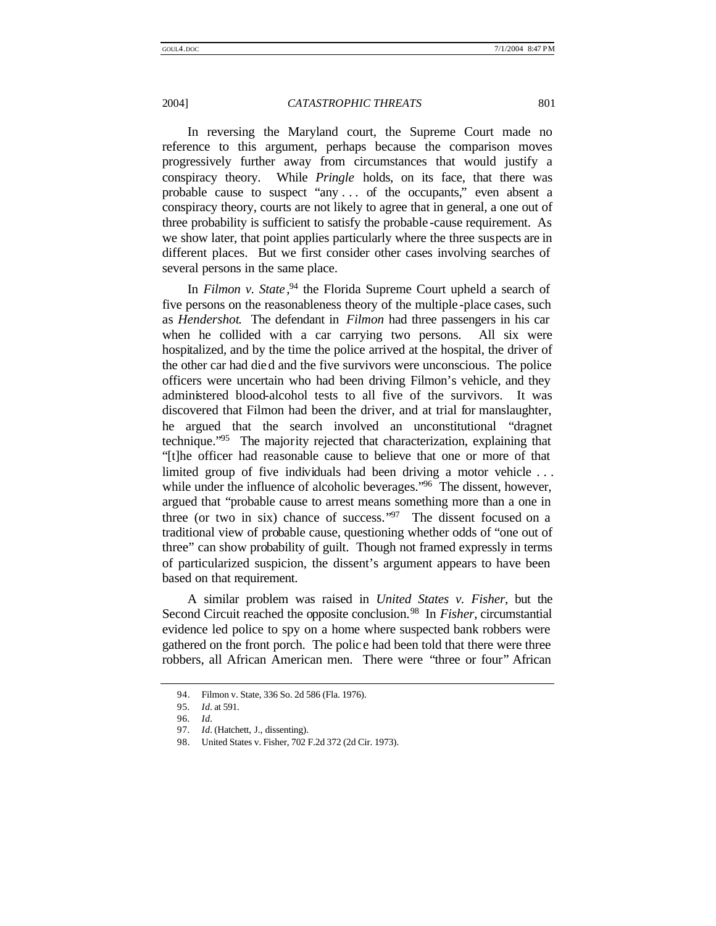In reversing the Maryland court, the Supreme Court made no reference to this argument, perhaps because the comparison moves progressively further away from circumstances that would justify a conspiracy theory. While *Pringle* holds, on its face, that there was probable cause to suspect "any . . . of the occupants," even absent a conspiracy theory, courts are not likely to agree that in general, a one out of three probability is sufficient to satisfy the probable -cause requirement. As we show later, that point applies particularly where the three suspects are in different places. But we first consider other cases involving searches of several persons in the same place.

In *Filmon v. State*,<sup>94</sup> the Florida Supreme Court upheld a search of five persons on the reasonableness theory of the multiple -place cases, such as *Hendershot*. The defendant in *Filmon* had three passengers in his car when he collided with a car carrying two persons. All six were hospitalized, and by the time the police arrived at the hospital, the driver of the other car had died and the five survivors were unconscious. The police officers were uncertain who had been driving Filmon's vehicle, and they administered blood-alcohol tests to all five of the survivors. It was discovered that Filmon had been the driver, and at trial for manslaughter, he argued that the search involved an unconstitutional "dragnet technique." <sup>95</sup> The majority rejected that characterization, explaining that "[t]he officer had reasonable cause to believe that one or more of that limited group of five individuals had been driving a motor vehicle . . . while under the influence of alcoholic beverages."<sup>96</sup> The dissent, however, argued that "probable cause to arrest means something more than a one in three (or two in six) chance of success." $97$  The dissent focused on a traditional view of probable cause, questioning whether odds of "one out of three" can show probability of guilt. Though not framed expressly in terms of particularized suspicion, the dissent's argument appears to have been based on that requirement.

A similar problem was raised in *United States v. Fisher*, but the Second Circuit reached the opposite conclusion.<sup>98</sup> In *Fisher*, circumstantial evidence led police to spy on a home where suspected bank robbers were gathered on the front porch. The polic e had been told that there were three robbers, all African American men. There were "three or four" African

<sup>94.</sup> Filmon v. State, 336 So. 2d 586 (Fla. 1976).

<sup>95</sup>*. Id.* at 591.

<sup>96</sup>*. Id.*

<sup>97</sup>*. Id.* (Hatchett, J., dissenting).

<sup>98.</sup> United States v. Fisher, 702 F.2d 372 (2d Cir. 1973).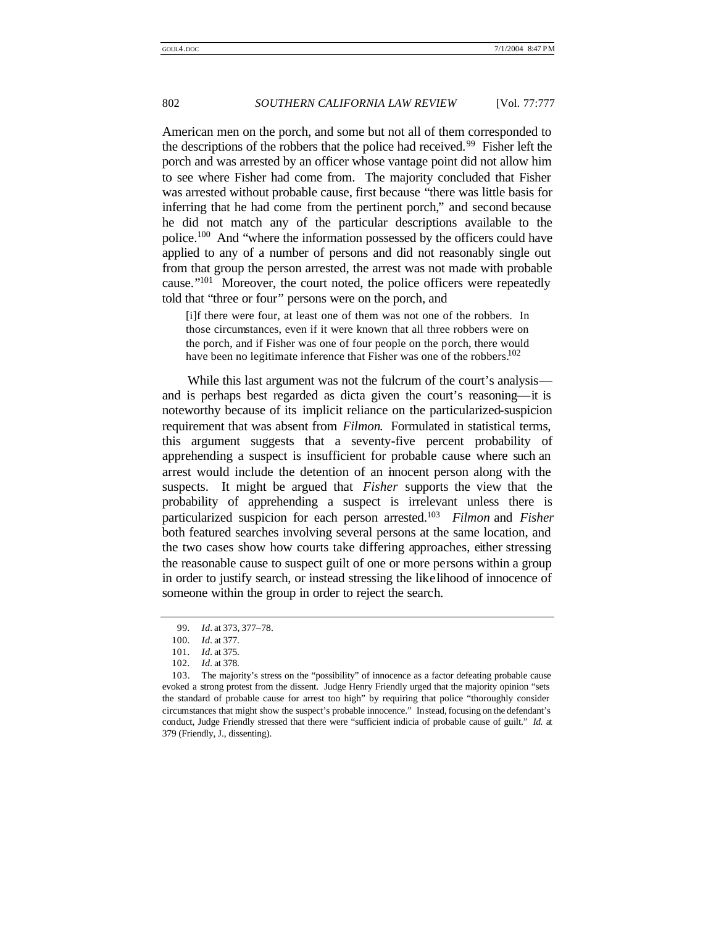American men on the porch, and some but not all of them corresponded to the descriptions of the robbers that the police had received.<sup>99</sup> Fisher left the porch and was arrested by an officer whose vantage point did not allow him to see where Fisher had come from. The majority concluded that Fisher was arrested without probable cause, first because "there was little basis for inferring that he had come from the pertinent porch," and second because he did not match any of the particular descriptions available to the police.<sup>100</sup> And "where the information possessed by the officers could have applied to any of a number of persons and did not reasonably single out from that group the person arrested, the arrest was not made with probable cause." <sup>101</sup> Moreover, the court noted, the police officers were repeatedly told that "three or four" persons were on the porch, and

[i]f there were four, at least one of them was not one of the robbers. In those circumstances, even if it were known that all three robbers were on the porch, and if Fisher was one of four people on the porch, there would have been no legitimate inference that Fisher was one of the robbers.<sup>102</sup>

While this last argument was not the fulcrum of the court's analysis and is perhaps best regarded as dicta given the court's reasoning—it is noteworthy because of its implicit reliance on the particularized-suspicion requirement that was absent from *Filmon*. Formulated in statistical terms, this argument suggests that a seventy-five percent probability of apprehending a suspect is insufficient for probable cause where such an arrest would include the detention of an innocent person along with the suspects. It might be argued that *Fisher* supports the view that the probability of apprehending a suspect is irrelevant unless there is particularized suspicion for each person arrested.<sup>103</sup> *Filmon* and *Fisher* both featured searches involving several persons at the same location, and the two cases show how courts take differing approaches, either stressing the reasonable cause to suspect guilt of one or more persons within a group in order to justify search, or instead stressing the likelihood of innocence of someone within the group in order to reject the search.

<sup>99</sup>*. Id.* at 373, 377–78.

<sup>100</sup>*. Id.* at 377.

<sup>101</sup>*. Id.* at 375.

<sup>102</sup>*. Id.* at 378.

<sup>103.</sup> The majority's stress on the "possibility" of innocence as a factor defeating probable cause evoked a strong protest from the dissent. Judge Henry Friendly urged that the majority opinion "sets the standard of probable cause for arrest too high" by requiring that police "thoroughly consider circumstances that might show the suspect's probable innocence." Instead, focusing on the defendant's conduct, Judge Friendly stressed that there were "sufficient indicia of probable cause of guilt." *Id.* at 379 (Friendly, J., dissenting).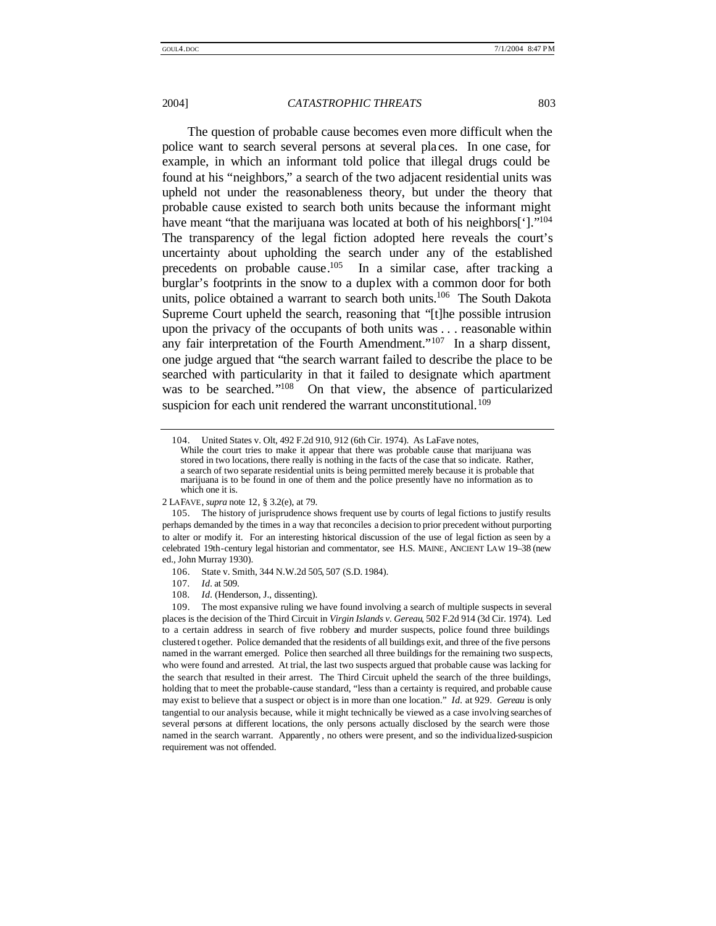The question of probable cause becomes even more difficult when the police want to search several persons at several pla ces. In one case, for example, in which an informant told police that illegal drugs could be found at his "neighbors," a search of the two adjacent residential units was upheld not under the reasonableness theory, but under the theory that probable cause existed to search both units because the informant might have meant "that the marijuana was located at both of his neighbors[']."<sup>104</sup> The transparency of the legal fiction adopted here reveals the court's uncertainty about upholding the search under any of the established precedents on probable cause.<sup>105</sup> In a similar case, after tracking a burglar's footprints in the snow to a duplex with a common door for both units, police obtained a warrant to search both units.<sup>106</sup> The South Dakota Supreme Court upheld the search, reasoning that "[t]he possible intrusion upon the privacy of the occupants of both units was . . . reasonable within any fair interpretation of the Fourth Amendment."<sup>107</sup> In a sharp dissent, one judge argued that "the search warrant failed to describe the place to be searched with particularity in that it failed to designate which apartment was to be searched."<sup>108</sup> On that view, the absence of particularized suspicion for each unit rendered the warrant unconstitutional.<sup>109</sup>

<sup>104.</sup> United States v. Olt, 492 F.2d 910, 912 (6th Cir. 1974). As LaFave notes,

While the court tries to make it appear that there was probable cause that marijuana was stored in two locations, there really is nothing in the facts of the case that so indicate. Rather, a search of two separate residential units is being permitted merely because it is probable that marijuana is to be found in one of them and the police presently have no information as to which one it is.

<sup>2</sup> LAFAVE, *supra* note 12, § 3.2(e), at 79.

<sup>105.</sup> The history of jurisprudence shows frequent use by courts of legal fictions to justify results perhaps demanded by the times in a way that reconciles a decision to prior precedent without purporting to alter or modify it. For an interesting historical discussion of the use of legal fiction as seen by a celebrated 19th-century legal historian and commentator, see H.S. MAINE, ANCIENT LAW 19–38 (new ed., John Murray 1930).

<sup>106.</sup> State v. Smith, 344 N.W.2d 505, 507 (S.D. 1984).

<sup>107</sup>*. Id.* at 509.

<sup>108</sup>*. Id.* (Henderson, J., dissenting).

<sup>109.</sup> The most expansive ruling we have found involving a search of multiple suspects in several places is the decision of the Third Circuit in *Virgin Islands v. Gereau*, 502 F.2d 914 (3d Cir. 1974). Led to a certain address in search of five robbery and murder suspects, police found three buildings clustered t ogether. Police demanded that the residents of all buildings exit, and three of the five persons named in the warrant emerged. Police then searched all three buildings for the remaining two suspects, who were found and arrested. At trial, the last two suspects argued that probable cause was lacking for the search that resulted in their arrest. The Third Circuit upheld the search of the three buildings, holding that to meet the probable-cause standard, "less than a certainty is required, and probable cause may exist to believe that a suspect or object is in more than one location." *Id.* at 929. *Gereau* is only tangential to our analysis because, while it might technically be viewed as a case involving searches of several persons at different locations, the only persons actually disclosed by the search were those named in the search warrant. Apparently , no others were present, and so the individualized-suspicion requirement was not offended.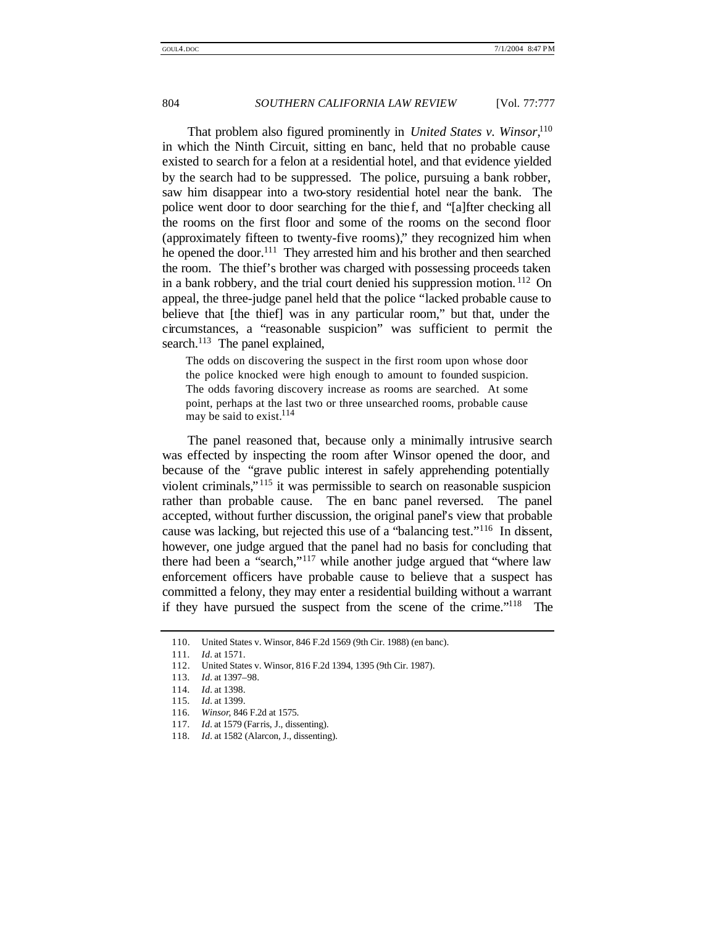That problem also figured prominently in *United States v. Winsor*, 110 in which the Ninth Circuit, sitting en banc, held that no probable cause existed to search for a felon at a residential hotel, and that evidence yielded by the search had to be suppressed. The police, pursuing a bank robber, saw him disappear into a two-story residential hotel near the bank. The police went door to door searching for the thie f, and "[a]fter checking all the rooms on the first floor and some of the rooms on the second floor (approximately fifteen to twenty-five rooms)," they recognized him when he opened the door.<sup>111</sup> They arrested him and his brother and then searched the room. The thief's brother was charged with possessing proceeds taken in a bank robbery, and the trial court denied his suppression motion. <sup>112</sup> On appeal, the three-judge panel held that the police "lacked probable cause to believe that [the thief] was in any particular room," but that, under the circumstances, a "reasonable suspicion" was sufficient to permit the search.<sup>113</sup> The panel explained,

The odds on discovering the suspect in the first room upon whose door the police knocked were high enough to amount to founded suspicion. The odds favoring discovery increase as rooms are searched. At some point, perhaps at the last two or three unsearched rooms, probable cause may be said to exist.<sup>114</sup>

The panel reasoned that, because only a minimally intrusive search was effected by inspecting the room after Winsor opened the door, and because of the "grave public interest in safely apprehending potentially violent criminals," <sup>115</sup> it was permissible to search on reasonable suspicion rather than probable cause. The en banc panel reversed. The panel accepted, without further discussion, the original panel's view that probable cause was lacking, but rejected this use of a "balancing test." <sup>116</sup> In dissent, however, one judge argued that the panel had no basis for concluding that there had been a "search,"<sup>117</sup> while another judge argued that "where law enforcement officers have probable cause to believe that a suspect has committed a felony, they may enter a residential building without a warrant if they have pursued the suspect from the scene of the crime."<sup>118</sup> The

<sup>110.</sup> United States v. Winsor, 846 F.2d 1569 (9th Cir. 1988) (en banc).

<sup>111</sup>*. Id.* at 1571.

<sup>112.</sup> United States v. Winsor, 816 F.2d 1394, 1395 (9th Cir. 1987).

<sup>113</sup>*. Id.* at 1397–98.

<sup>114</sup>*. Id.* at 1398.

<sup>115</sup>*. Id.* at 1399.

<sup>116</sup>*. Winsor*, 846 F.2d at 1575.

<sup>117</sup>*. Id.* at 1579 (Farris, J., dissenting).

<sup>118</sup>*. Id.* at 1582 (Alarcon, J., dissenting).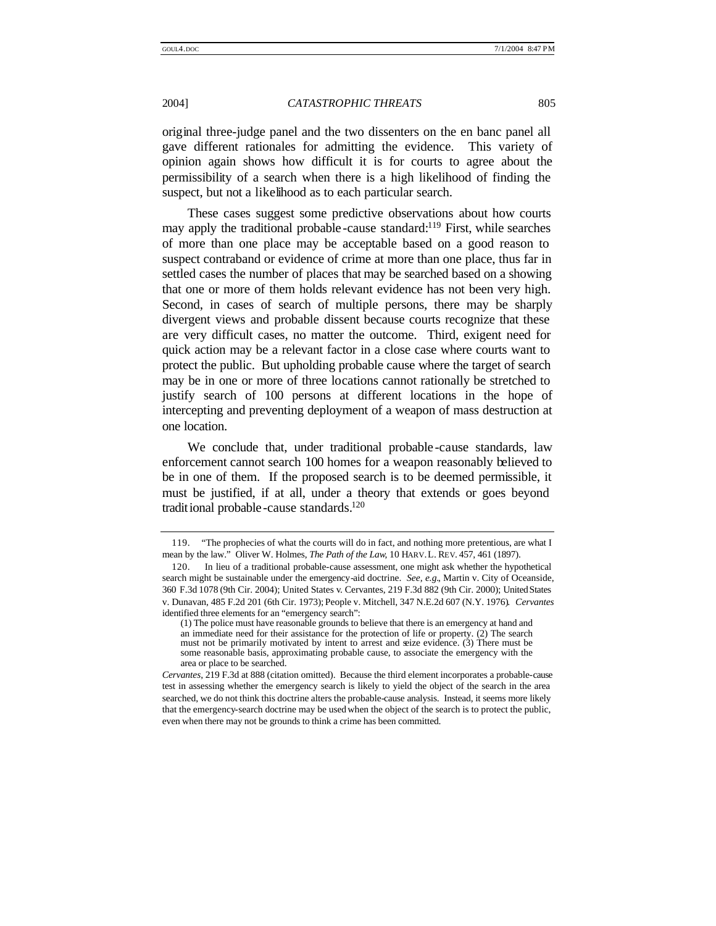original three-judge panel and the two dissenters on the en banc panel all gave different rationales for admitting the evidence. This variety of opinion again shows how difficult it is for courts to agree about the permissibility of a search when there is a high likelihood of finding the suspect, but not a likelihood as to each particular search.

These cases suggest some predictive observations about how courts may apply the traditional probable-cause standard:<sup>119</sup> First, while searches of more than one place may be acceptable based on a good reason to suspect contraband or evidence of crime at more than one place, thus far in settled cases the number of places that may be searched based on a showing that one or more of them holds relevant evidence has not been very high. Second, in cases of search of multiple persons, there may be sharply divergent views and probable dissent because courts recognize that these are very difficult cases, no matter the outcome. Third, exigent need for quick action may be a relevant factor in a close case where courts want to protect the public. But upholding probable cause where the target of search may be in one or more of three locations cannot rationally be stretched to justify search of 100 persons at different locations in the hope of intercepting and preventing deployment of a weapon of mass destruction at one location.

We conclude that, under traditional probable -cause standards, law enforcement cannot search 100 homes for a weapon reasonably believed to be in one of them. If the proposed search is to be deemed permissible, it must be justified, if at all, under a theory that extends or goes beyond traditional probable-cause standards.<sup>120</sup>

<sup>119.</sup> "The prophecies of what the courts will do in fact, and nothing more pretentious, are what I mean by the law." Oliver W. Holmes, *The Path of the Law*, 10 HARV.L. REV. 457, 461 (1897).

<sup>120.</sup> In lieu of a traditional probable-cause assessment, one might ask whether the hypothetical search might be sustainable under the emergency-aid doctrine. *See, e.g.*, Martin v. City of Oceanside, 360 F.3d 1078 (9th Cir. 2004); United States v. Cervantes, 219 F.3d 882 (9th Cir. 2000); United States v. Dunavan, 485 F.2d 201 (6th Cir. 1973); People v. Mitchell, 347 N.E.2d 607 (N.Y. 1976). *Cervantes* identified three elements for an "emergency search":

<sup>(1)</sup> The police must have reasonable grounds to believe that there is an emergency at hand and an immediate need for their assistance for the protection of life or property. (2) The search must not be primarily motivated by intent to arrest and seize evidence. (3) There must be some reasonable basis, approximating probable cause, to associate the emergency with the area or place to be searched.

*Cervantes*, 219 F.3d at 888 (citation omitted). Because the third element incorporates a probable-cause test in assessing whether the emergency search is likely to yield the object of the search in the area searched, we do not think this doctrine alters the probable-cause analysis. Instead, it seems more likely that the emergency-search doctrine may be used when the object of the search is to protect the public, even when there may not be grounds to think a crime has been committed.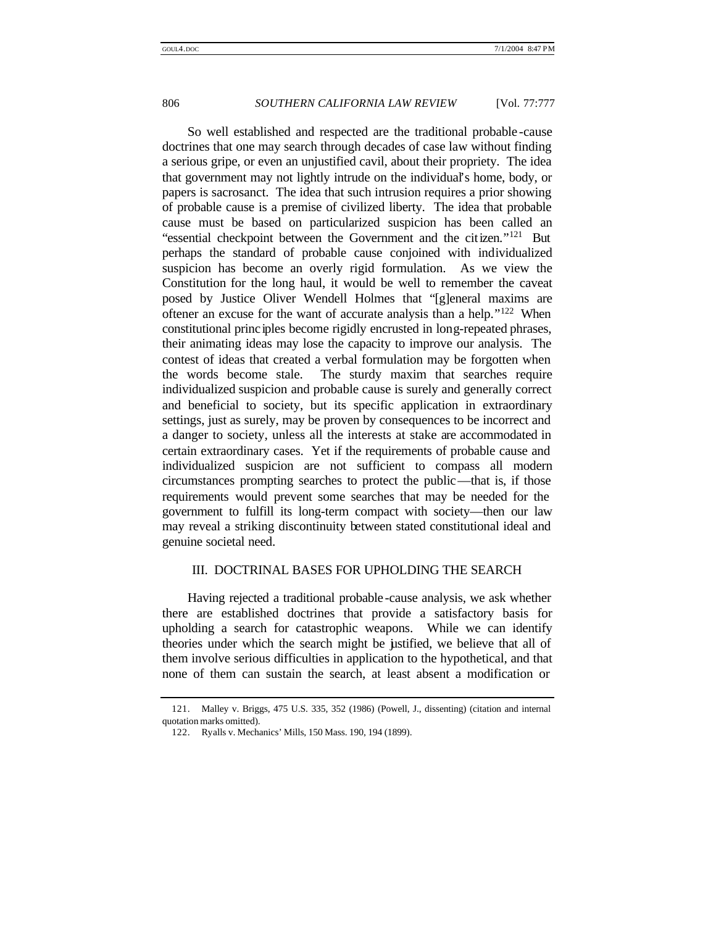So well established and respected are the traditional probable -cause doctrines that one may search through decades of case law without finding a serious gripe, or even an unjustified cavil, about their propriety. The idea that government may not lightly intrude on the individual's home, body, or papers is sacrosanct. The idea that such intrusion requires a prior showing of probable cause is a premise of civilized liberty. The idea that probable cause must be based on particularized suspicion has been called an "essential checkpoint between the Government and the citizen."<sup>121</sup> But perhaps the standard of probable cause conjoined with individualized suspicion has become an overly rigid formulation. As we view the Constitution for the long haul, it would be well to remember the caveat posed by Justice Oliver Wendell Holmes that "[g]eneral maxims are oftener an excuse for the want of accurate analysis than a help."<sup>122</sup> When constitutional princ iples become rigidly encrusted in long-repeated phrases, their animating ideas may lose the capacity to improve our analysis. The contest of ideas that created a verbal formulation may be forgotten when the words become stale. The sturdy maxim that searches require individualized suspicion and probable cause is surely and generally correct and beneficial to society, but its specific application in extraordinary settings, just as surely, may be proven by consequences to be incorrect and a danger to society, unless all the interests at stake are accommodated in certain extraordinary cases. Yet if the requirements of probable cause and individualized suspicion are not sufficient to compass all modern circumstances prompting searches to protect the public—that is, if those requirements would prevent some searches that may be needed for the government to fulfill its long-term compact with society—then our law may reveal a striking discontinuity between stated constitutional ideal and genuine societal need.

#### III. DOCTRINAL BASES FOR UPHOLDING THE SEARCH

Having rejected a traditional probable -cause analysis, we ask whether there are established doctrines that provide a satisfactory basis for upholding a search for catastrophic weapons. While we can identify theories under which the search might be justified, we believe that all of them involve serious difficulties in application to the hypothetical, and that none of them can sustain the search, at least absent a modification or

<sup>121.</sup> Malley v. Briggs, 475 U.S. 335, 352 (1986) (Powell, J., dissenting) (citation and internal quotation marks omitted).

<sup>122.</sup> Ryalls v. Mechanics' Mills, 150 Mass. 190, 194 (1899).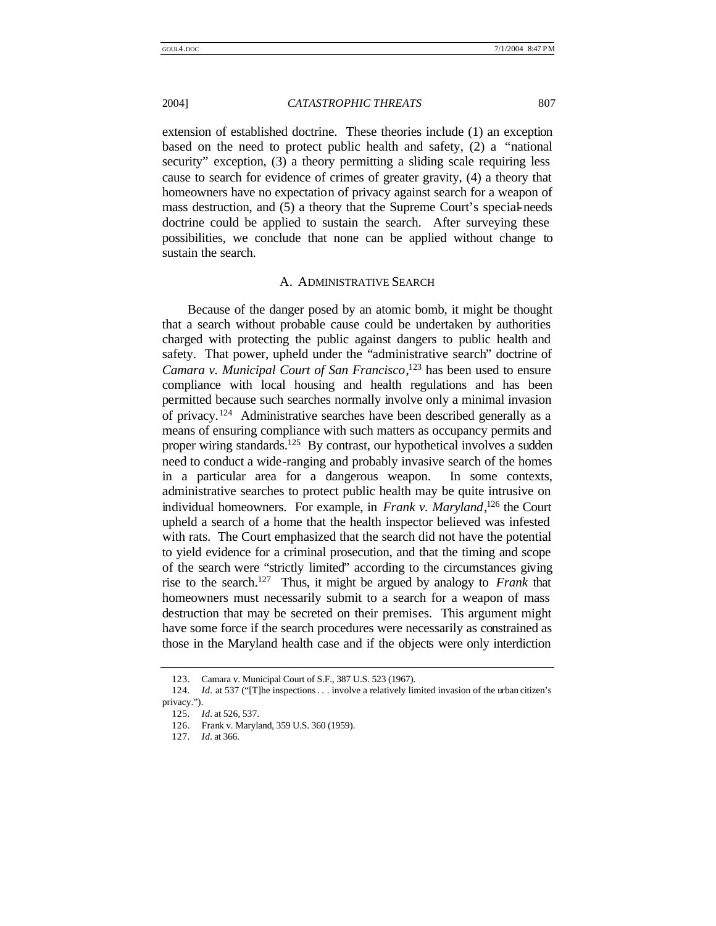extension of established doctrine. These theories include (1) an exception based on the need to protect public health and safety, (2) a "national security" exception, (3) a theory permitting a sliding scale requiring less cause to search for evidence of crimes of greater gravity, (4) a theory that homeowners have no expectation of privacy against search for a weapon of mass destruction, and (5) a theory that the Supreme Court's special-needs doctrine could be applied to sustain the search. After surveying these possibilities, we conclude that none can be applied without change to sustain the search.

#### A. ADMINISTRATIVE SEARCH

Because of the danger posed by an atomic bomb, it might be thought that a search without probable cause could be undertaken by authorities charged with protecting the public against dangers to public health and safety. That power, upheld under the "administrative search" doctrine of *Camara v. Municipal Court of San Francisco*, <sup>123</sup> has been used to ensure compliance with local housing and health regulations and has been permitted because such searches normally involve only a minimal invasion of privacy.<sup>124</sup> Administrative searches have been described generally as a means of ensuring compliance with such matters as occupancy permits and proper wiring standards.<sup>125</sup> By contrast, our hypothetical involves a sudden need to conduct a wide-ranging and probably invasive search of the homes in a particular area for a dangerous weapon. In some contexts, administrative searches to protect public health may be quite intrusive on individual homeowners. For example, in *Frank v. Maryland*, <sup>126</sup> the Court upheld a search of a home that the health inspector believed was infested with rats. The Court emphasized that the search did not have the potential to yield evidence for a criminal prosecution, and that the timing and scope of the search were "strictly limited" according to the circumstances giving rise to the search.<sup>127</sup> Thus, it might be argued by analogy to *Frank* that homeowners must necessarily submit to a search for a weapon of mass destruction that may be secreted on their premises. This argument might have some force if the search procedures were necessarily as constrained as those in the Maryland health case and if the objects were only interdiction

<sup>123.</sup> Camara v. Municipal Court of S.F., 387 U.S. 523 (1967).

<sup>124</sup>*. Id.* at 537 ("[T]he inspections. . . involve a relatively limited invasion of the urban citizen's privacy.").

<sup>125</sup>*. Id.* at 526, 537.

<sup>126.</sup> Frank v. Maryland, 359 U.S. 360 (1959).

<sup>127</sup>*. Id.* at 366.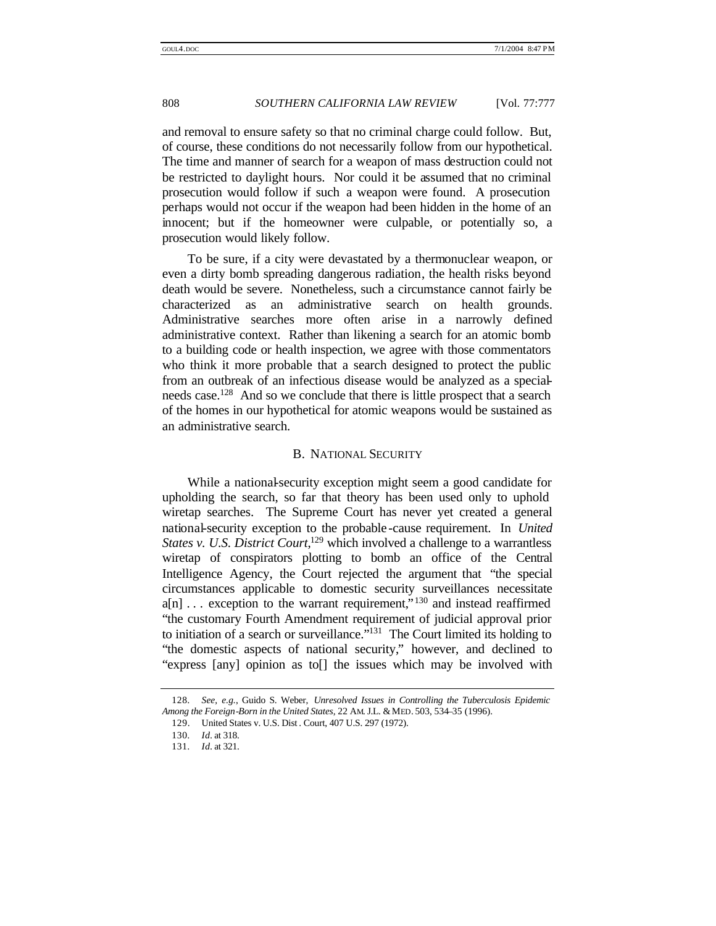and removal to ensure safety so that no criminal charge could follow. But, of course, these conditions do not necessarily follow from our hypothetical. The time and manner of search for a weapon of mass destruction could not be restricted to daylight hours. Nor could it be assumed that no criminal prosecution would follow if such a weapon were found. A prosecution perhaps would not occur if the weapon had been hidden in the home of an innocent; but if the homeowner were culpable, or potentially so, a prosecution would likely follow.

To be sure, if a city were devastated by a thermonuclear weapon, or even a dirty bomb spreading dangerous radiation, the health risks beyond death would be severe. Nonetheless, such a circumstance cannot fairly be characterized as an administrative search on health grounds. Administrative searches more often arise in a narrowly defined administrative context. Rather than likening a search for an atomic bomb to a building code or health inspection, we agree with those commentators who think it more probable that a search designed to protect the public from an outbreak of an infectious disease would be analyzed as a specialneeds case.<sup>128</sup> And so we conclude that there is little prospect that a search of the homes in our hypothetical for atomic weapons would be sustained as an administrative search.

#### B. NATIONAL SECURITY

While a national-security exception might seem a good candidate for upholding the search, so far that theory has been used only to uphold wiretap searches. The Supreme Court has never yet created a general national-security exception to the probable -cause requirement. In *United States v. U.S. District Court*, <sup>129</sup> which involved a challenge to a warrantless wiretap of conspirators plotting to bomb an office of the Central Intelligence Agency, the Court rejected the argument that "the special circumstances applicable to domestic security surveillances necessitate  $a[n]$ ... exception to the warrant requirement,"<sup>130</sup> and instead reaffirmed "the customary Fourth Amendment requirement of judicial approval prior to initiation of a search or surveillance."<sup>131</sup> The Court limited its holding to "the domestic aspects of national security," however, and declined to "express [any] opinion as to[] the issues which may be involved with

<sup>128</sup>*. See, e.g.*, Guido S. Weber, *Unresolved Issues in Controlling the Tuberculosis Epidemic Among the Foreign-Born in the United States*, 22 AM. J.L. &MED. 503, 534–35 (1996).

<sup>129.</sup> United States v. U.S. Dist . Court, 407 U.S. 297 (1972).

<sup>130</sup>*. Id.* at 318.

<sup>131</sup>*. Id.* at 321.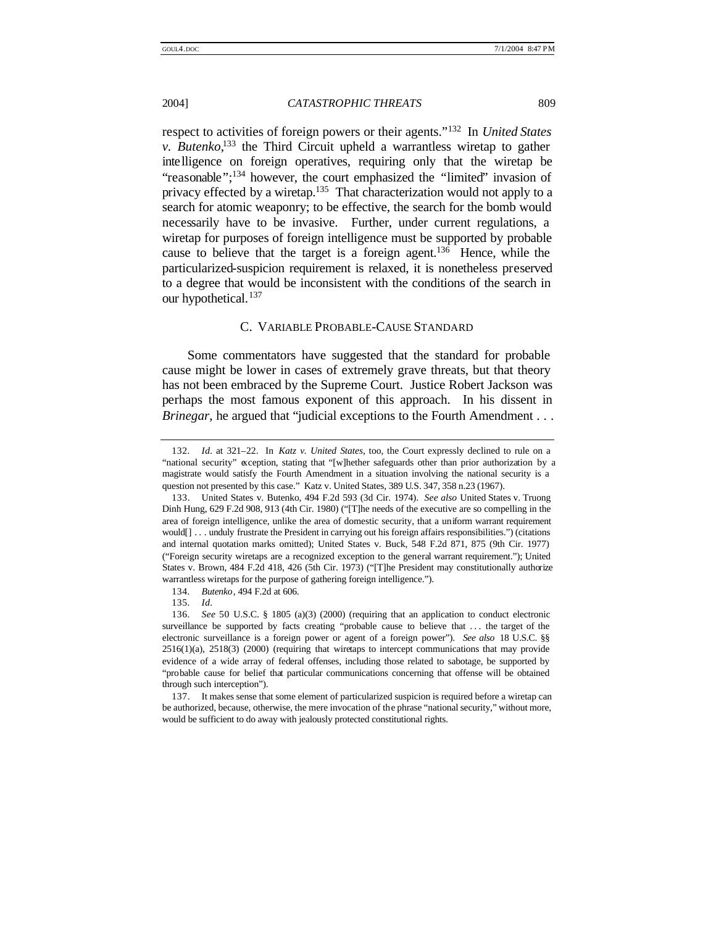respect to activities of foreign powers or their agents." <sup>132</sup> In *United States v. Butenko*, <sup>133</sup> the Third Circuit upheld a warrantless wiretap to gather intelligence on foreign operatives, requiring only that the wiretap be "reasonable";<sup>134</sup> however, the court emphasized the "limited" invasion of privacy effected by a wiretap.<sup>135</sup> That characterization would not apply to a search for atomic weaponry; to be effective, the search for the bomb would necessarily have to be invasive. Further, under current regulations, a wiretap for purposes of foreign intelligence must be supported by probable cause to believe that the target is a foreign agent.<sup>136</sup> Hence, while the particularized-suspicion requirement is relaxed, it is nonetheless preserved to a degree that would be inconsistent with the conditions of the search in our hypothetical.<sup>137</sup>

### C. VARIABLE PROBABLE-CAUSE STANDARD

Some commentators have suggested that the standard for probable cause might be lower in cases of extremely grave threats, but that theory has not been embraced by the Supreme Court. Justice Robert Jackson was perhaps the most famous exponent of this approach. In his dissent in *Brinegar*, he argued that "judicial exceptions to the Fourth Amendment . . .

134*. Butenko*, 494 F.2d at 606.

<sup>132</sup>*. Id.* at 321–22. In *Katz v. United States*, too, the Court expressly declined to rule on a "national security" exception, stating that "[w]hether safeguards other than prior authorization by a magistrate would satisfy the Fourth Amendment in a situation involving the national security is a question not presented by this case." Katz v. United States, 389 U.S. 347, 358 n.23 (1967).

<sup>133.</sup> United States v. Butenko, 494 F.2d 593 (3d Cir. 1974). *See also* United States v. Truong Dinh Hung, 629 F.2d 908, 913 (4th Cir. 1980) ("[T]he needs of the executive are so compelling in the area of foreign intelligence, unlike the area of domestic security, that a uniform warrant requirement would[] . . . unduly frustrate the President in carrying out his foreign affairs responsibilities.") (citations and internal quotation marks omitted); United States v. Buck, 548 F.2d 871, 875 (9th Cir. 1977) ("Foreign security wiretaps are a recognized exception to the general warrant requirement."); United States v. Brown, 484 F.2d 418, 426 (5th Cir. 1973) ("[T]he President may constitutionally authorize warrantless wiretaps for the purpose of gathering foreign intelligence.").

<sup>135</sup>*. Id.*

<sup>136</sup>*. See* 50 U.S.C. § 1805 (a)(3) (2000) (requiring that an application to conduct electronic surveillance be supported by facts creating "probable cause to believe that . . . the target of the electronic surveillance is a foreign power or agent of a foreign power"). *See also* 18 U.S.C. §§ 2516(1)(a), 2518(3) (2000) (requiring that wiretaps to intercept communications that may provide evidence of a wide array of federal offenses, including those related to sabotage, be supported by "probable cause for belief that particular communications concerning that offense will be obtained through such interception").

<sup>137.</sup> It makes sense that some element of particularized suspicion is required before a wiretap can be authorized, because, otherwise, the mere invocation of the phrase "national security," without more, would be sufficient to do away with jealously protected constitutional rights.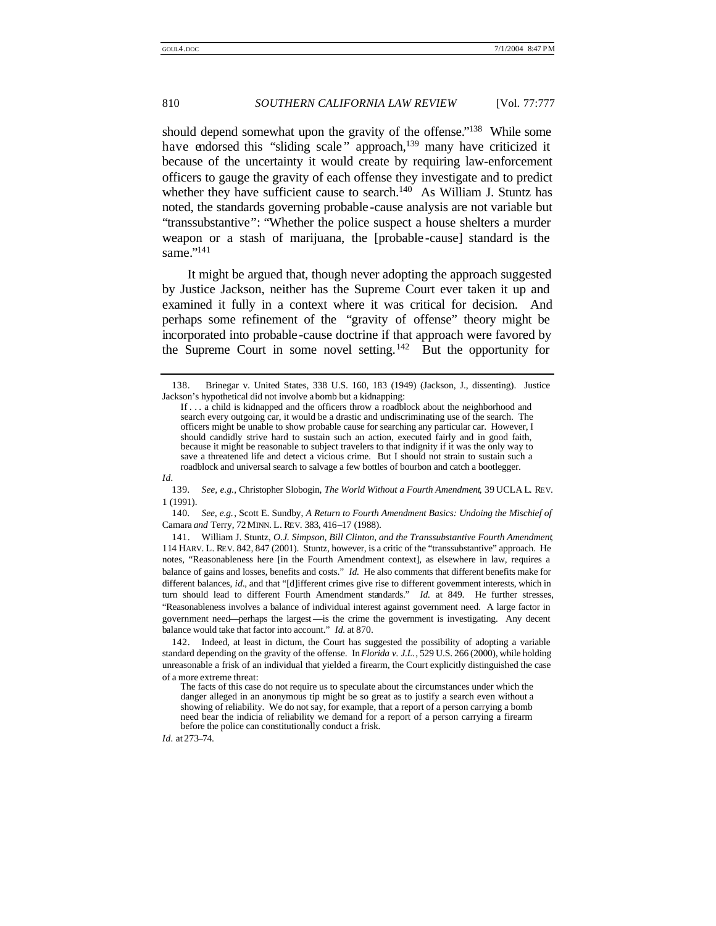should depend somewhat upon the gravity of the offense."<sup>138</sup> While some have endorsed this "sliding scale" approach,<sup>139</sup> many have criticized it because of the uncertainty it would create by requiring law-enforcement officers to gauge the gravity of each offense they investigate and to predict whether they have sufficient cause to search. $140$  As William J. Stuntz has noted, the standards governing probable -cause analysis are not variable but "transsubstantive": "Whether the police suspect a house shelters a murder weapon or a stash of marijuana, the [probable -cause] standard is the same."<sup>141</sup>

It might be argued that, though never adopting the approach suggested by Justice Jackson, neither has the Supreme Court ever taken it up and examined it fully in a context where it was critical for decision. And perhaps some refinement of the "gravity of offense" theory might be incorporated into probable -cause doctrine if that approach were favored by the Supreme Court in some novel setting.<sup>142</sup> But the opportunity for

139*. See, e.g.*, Christopher Slobogin, *The World Without a Fourth Amendment*, 39 UCLA L. REV. 1 (1991).

140*. See, e.g.*, Scott E. Sundby, *A Return to Fourth Amendment Basics: Undoing the Mischief of*  Camara *and* Terry, 72 MINN. L. REV. 383, 416–17 (1988).

141. William J. Stuntz, *O.J. Simpson, Bill Clinton, and the Transsubstantive Fourth Amendment*, 114 HARV. L. REV. 842, 847 (2001). Stuntz, however, is a critic of the "transsubstantive" approach. He notes, "Reasonableness here [in the Fourth Amendment context], as elsewhere in law, requires a balance of gains and losses, benefits and costs." *Id.* He also comments that different benefits make for different balances, *id.*, and that "[d]ifferent crimes give rise to different government interests, which in turn should lead to different Fourth Amendment standards." *Id.* at 849. He further stresses, "Reasonableness involves a balance of individual interest against government need. A large factor in government need—perhaps the largest—is the crime the government is investigating. Any decent balance would take that factor into account." *Id.* at 870.

142. Indeed, at least in dictum, the Court has suggested the possibility of adopting a variable standard depending on the gravity of the offense. In *Florida v. J.L.*, 529 U.S. 266 (2000), while holding unreasonable a frisk of an individual that yielded a firearm, the Court explicitly distinguished the case of a more extreme threat:

*Id.* at 273–74.

<sup>138.</sup> Brinegar v. United States, 338 U.S. 160, 183 (1949) (Jackson, J., dissenting). Justice Jackson's hypothetical did not involve a bomb but a kidnapping:

If . . . a child is kidnapped and the officers throw a roadblock about the neighborhood and search every outgoing car, it would be a drastic and undiscriminating use of the search. The officers might be unable to show probable cause for searching any particular car. However, I should candidly strive hard to sustain such an action, executed fairly and in good faith, because it might be reasonable to subject travelers to that indignity if it was the only way to save a threatened life and detect a vicious crime. But I should not strain to sustain such a roadblock and universal search to salvage a few bottles of bourbon and catch a bootlegger.

*Id.*

The facts of this case do not require us to speculate about the circumstances under which the danger alleged in an anonymous tip might be so great as to justify a search even without a showing of reliability. We do not say, for example, that a report of a person carrying a bomb need bear the indicia of reliability we demand for a report of a person carrying a firearm before the police can constitutionally conduct a frisk.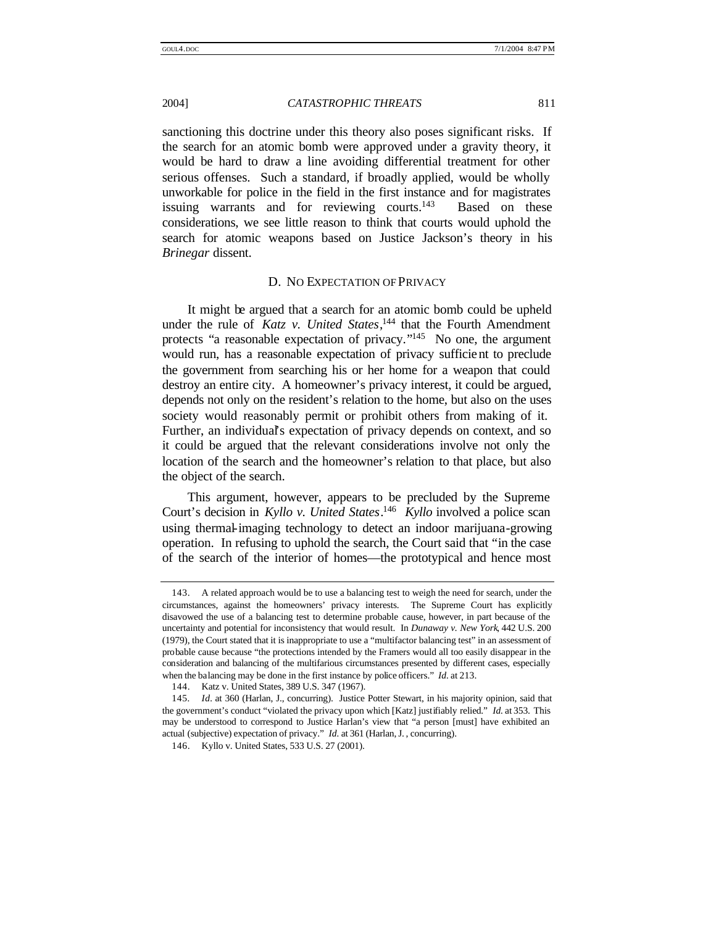sanctioning this doctrine under this theory also poses significant risks. If the search for an atomic bomb were approved under a gravity theory, it would be hard to draw a line avoiding differential treatment for other serious offenses. Such a standard, if broadly applied, would be wholly unworkable for police in the field in the first instance and for magistrates issuing warrants and for reviewing courts.<sup>143</sup> Based on these considerations, we see little reason to think that courts would uphold the search for atomic weapons based on Justice Jackson's theory in his *Brinegar* dissent.

#### D. NO EXPECTATION OF PRIVACY

It might be argued that a search for an atomic bomb could be upheld under the rule of *Katz v. United States*, <sup>144</sup> that the Fourth Amendment protects "a reasonable expectation of privacy."<sup>145</sup> No one, the argument would run, has a reasonable expectation of privacy sufficient to preclude the government from searching his or her home for a weapon that could destroy an entire city. A homeowner's privacy interest, it could be argued, depends not only on the resident's relation to the home, but also on the uses society would reasonably permit or prohibit others from making of it. Further, an individual's expectation of privacy depends on context, and so it could be argued that the relevant considerations involve not only the location of the search and the homeowner's relation to that place, but also the object of the search.

This argument, however, appears to be precluded by the Supreme Court's decision in *Kyllo v. United States*. 146 *Kyllo* involved a police scan using thermal-imaging technology to detect an indoor marijuana-growing operation. In refusing to uphold the search, the Court said that "in the case of the search of the interior of homes—the prototypical and hence most

<sup>143.</sup> A related approach would be to use a balancing test to weigh the need for search, under the circumstances, against the homeowners' privacy interests. The Supreme Court has explicitly disavowed the use of a balancing test to determine probable cause, however, in part because of the uncertainty and potential for inconsistency that would result. In *Dunaway v. New York*, 442 U.S. 200 (1979), the Court stated that it is inappropriate to use a "multifactor balancing test" in an assessment of probable cause because "the protections intended by the Framers would all too easily disappear in the consideration and balancing of the multifarious circumstances presented by different cases, especially when the balancing may be done in the first instance by police officers." *Id.* at 213.

<sup>144.</sup> Katz v. United States, 389 U.S. 347 (1967).

<sup>145</sup>*. Id.* at 360 (Harlan, J., concurring). Justice Potter Stewart, in his majority opinion, said that the government's conduct "violated the privacy upon which [Katz] justifiably relied." *Id.* at 353. This may be understood to correspond to Justice Harlan's view that "a person [must] have exhibited an actual (subjective) expectation of privacy." *Id.* at 361 (Harlan, J. , concurring).

<sup>146.</sup> Kyllo v. United States, 533 U.S. 27 (2001).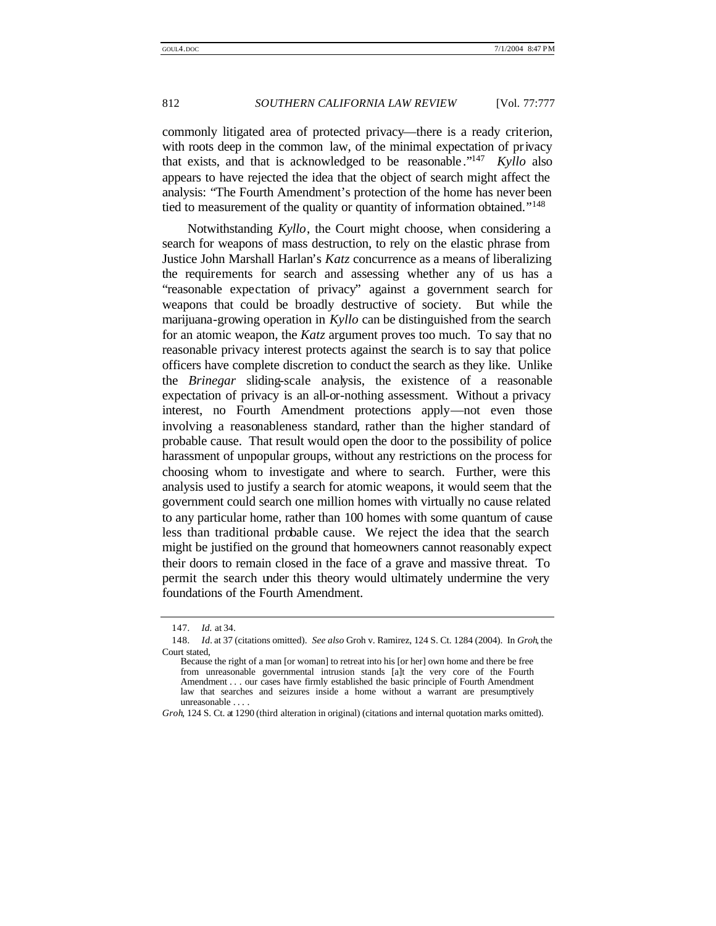commonly litigated area of protected privacy—there is a ready criterion, with roots deep in the common law, of the minimal expectation of privacy that exists, and that is acknowledged to be reasonable ." 147 *Kyllo* also appears to have rejected the idea that the object of search might affect the analysis: "The Fourth Amendment's protection of the home has never been tied to measurement of the quality or quantity of information obtained."<sup>148</sup>

Notwithstanding *Kyllo*, the Court might choose, when considering a search for weapons of mass destruction, to rely on the elastic phrase from Justice John Marshall Harlan's *Katz* concurrence as a means of liberalizing the requirements for search and assessing whether any of us has a "reasonable expectation of privacy" against a government search for weapons that could be broadly destructive of society. But while the marijuana-growing operation in *Kyllo* can be distinguished from the search for an atomic weapon, the *Katz* argument proves too much. To say that no reasonable privacy interest protects against the search is to say that police officers have complete discretion to conduct the search as they like. Unlike the *Brinegar* sliding-scale analysis, the existence of a reasonable expectation of privacy is an all-or-nothing assessment. Without a privacy interest, no Fourth Amendment protections apply—not even those involving a reasonableness standard, rather than the higher standard of probable cause. That result would open the door to the possibility of police harassment of unpopular groups, without any restrictions on the process for choosing whom to investigate and where to search. Further, were this analysis used to justify a search for atomic weapons, it would seem that the government could search one million homes with virtually no cause related to any particular home, rather than 100 homes with some quantum of cause less than traditional probable cause. We reject the idea that the search might be justified on the ground that homeowners cannot reasonably expect their doors to remain closed in the face of a grave and massive threat. To permit the search under this theory would ultimately undermine the very foundations of the Fourth Amendment.

<sup>147</sup>*. Id.* at 34.

<sup>148</sup>*. Id.* at 37 (citations omitted). *See also* Groh v. Ramirez, 124 S. Ct. 1284 (2004). In *Groh*, the Court stated,

Because the right of a man [or woman] to retreat into his [or her] own home and there be free from unreasonable governmental intrusion stands [a]t the very core of the Fourth Amendment . . . our cases have firmly established the basic principle of Fourth Amendment law that searches and seizures inside a home without a warrant are presumptively unreasonable . . . .

*Groh*, 124 S. Ct. at 1290 (third alteration in original) (citations and internal quotation marks omitted).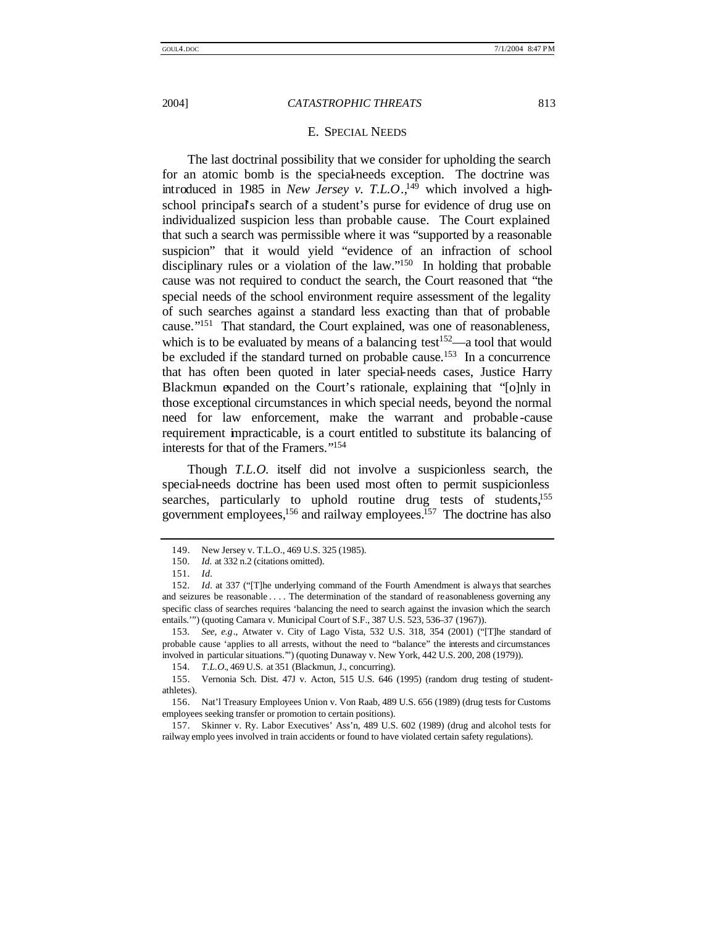#### E. SPECIAL NEEDS

The last doctrinal possibility that we consider for upholding the search for an atomic bomb is the special-needs exception. The doctrine was introduced in 1985 in *New Jersey v. T.L.O*., 149 which involved a highschool principal's search of a student's purse for evidence of drug use on individualized suspicion less than probable cause. The Court explained that such a search was permissible where it was "supported by a reasonable suspicion" that it would yield "evidence of an infraction of school disciplinary rules or a violation of the law."<sup>150</sup> In holding that probable cause was not required to conduct the search, the Court reasoned that "the special needs of the school environment require assessment of the legality of such searches against a standard less exacting than that of probable cause."<sup>151</sup> That standard, the Court explained, was one of reasonableness, which is to be evaluated by means of a balancing test<sup>152</sup>—a tool that would be excluded if the standard turned on probable cause.<sup>153</sup> In a concurrence that has often been quoted in later special-needs cases, Justice Harry Blackmun expanded on the Court's rationale, explaining that "[o]nly in those exceptional circumstances in which special needs, beyond the normal need for law enforcement, make the warrant and probable -cause requirement impracticable, is a court entitled to substitute its balancing of interests for that of the Framers." 154

Though *T.L.O.* itself did not involve a suspicionless search, the special-needs doctrine has been used most often to permit suspicionless searches, particularly to uphold routine drug tests of students,<sup>155</sup> government employees,<sup>156</sup> and railway employees.<sup>157</sup> The doctrine has also

<sup>149.</sup> New Jersey v. T.L.O., 469 U.S. 325 (1985).

<sup>150</sup>*. Id.* at 332 n.2 (citations omitted).

<sup>151</sup>*. Id.*

<sup>152</sup>*. Id.* at 337 ("[T]he underlying command of the Fourth Amendment is always that searches and seizures be reasonable . . . . The determination of the standard of reasonableness governing any specific class of searches requires 'balancing the need to search against the invasion which the search entails.'") (quoting Camara v. Municipal Court of S.F., 387 U.S. 523, 536–37 (1967)).

<sup>153</sup>*. See, e.g*., Atwater v. City of Lago Vista, 532 U.S. 318, 354 (2001) ("[T]he standard of probable cause 'applies to all arrests, without the need to "balance" the interests and circumstances involved in particular situations.'") (quoting Dunaway v. New York, 442 U.S. 200, 208 (1979)).

<sup>154</sup>*. T.L.O.*, 469 U.S. at 351 (Blackmun, J., concurring).

<sup>155.</sup> Vernonia Sch. Dist. 47J v. Acton, 515 U.S. 646 (1995) (random drug testing of studentathletes).

<sup>156.</sup> Nat'l Treasury Employees Union v. Von Raab, 489 U.S. 656 (1989) (drug tests for Customs employees seeking transfer or promotion to certain positions).

<sup>157.</sup> Skinner v. Ry. Labor Executives' Ass'n, 489 U.S. 602 (1989) (drug and alcohol tests for railway emplo yees involved in train accidents or found to have violated certain safety regulations).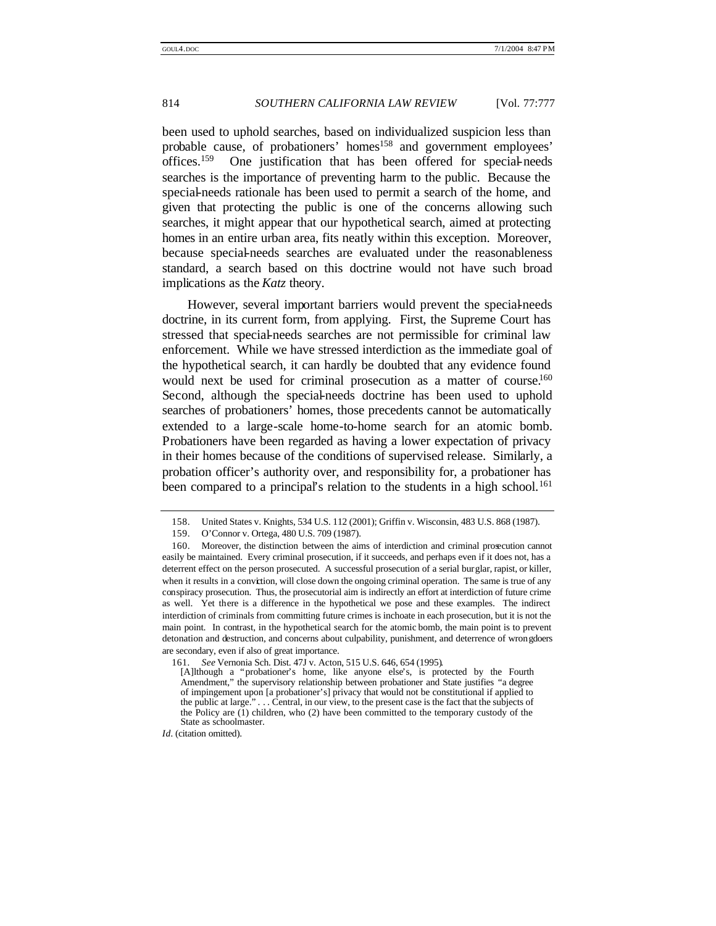been used to uphold searches, based on individualized suspicion less than probable cause, of probationers' homes<sup>158</sup> and government employees' offices.<sup>159</sup> One justification that has been offered for special-needs searches is the importance of preventing harm to the public. Because the special-needs rationale has been used to permit a search of the home, and given that protecting the public is one of the concerns allowing such searches, it might appear that our hypothetical search, aimed at protecting homes in an entire urban area, fits neatly within this exception. Moreover, because special-needs searches are evaluated under the reasonableness standard, a search based on this doctrine would not have such broad implications as the *Katz* theory.

However, several important barriers would prevent the special-needs doctrine, in its current form, from applying. First, the Supreme Court has stressed that special-needs searches are not permissible for criminal law enforcement. While we have stressed interdiction as the immediate goal of the hypothetical search, it can hardly be doubted that any evidence found would next be used for criminal prosecution as a matter of course.<sup>160</sup> Second, although the special-needs doctrine has been used to uphold searches of probationers' homes, those precedents cannot be automatically extended to a large-scale home-to-home search for an atomic bomb. Probationers have been regarded as having a lower expectation of privacy in their homes because of the conditions of supervised release. Similarly, a probation officer's authority over, and responsibility for, a probationer has been compared to a principal's relation to the students in a high school.<sup>161</sup>

<sup>158.</sup> United States v. Knights, 534 U.S. 112 (2001); Griffin v. Wisconsin, 483 U.S. 868 (1987).

<sup>159.</sup> O'Connor v. Ortega, 480 U.S. 709 (1987).

<sup>160.</sup> Moreover, the distinction between the aims of interdiction and criminal prosecution cannot easily be maintained. Every criminal prosecution, if it succeeds, and perhaps even if it does not, has a deterrent effect on the person prosecuted. A successful prosecution of a serial burglar, rapist, or killer, when it results in a conviction, will close down the ongoing criminal operation. The same is true of any conspiracy prosecution. Thus, the prosecutorial aim is indirectly an effort at interdiction of future crime as well. Yet there is a difference in the hypothetical we pose and these examples. The indirect interdiction of criminals from committing future crimes is inchoate in each prosecution, but it is not the main point. In contrast, in the hypothetical search for the atomic bomb, the main point is to prevent detonation and destruction, and concerns about culpability, punishment, and deterrence of wrongdoers are secondary, even if also of great importance.

<sup>161</sup>*. See* Vernonia Sch. Dist. 47J v. Acton, 515 U.S. 646, 654 (1995).

<sup>[</sup>A]lthough a "probationer's home, like anyone else's, is protected by the Fourth Amendment," the supervisory relationship between probationer and State justifies "a degree of impingement upon [a probationer's] privacy that would not be constitutional if applied to the public at large." . . . Central, in our view, to the present case is the fact that the subjects of the Policy are (1) children, who (2) have been committed to the temporary custody of the State as schoolmaster.

*Id.* (citation omitted).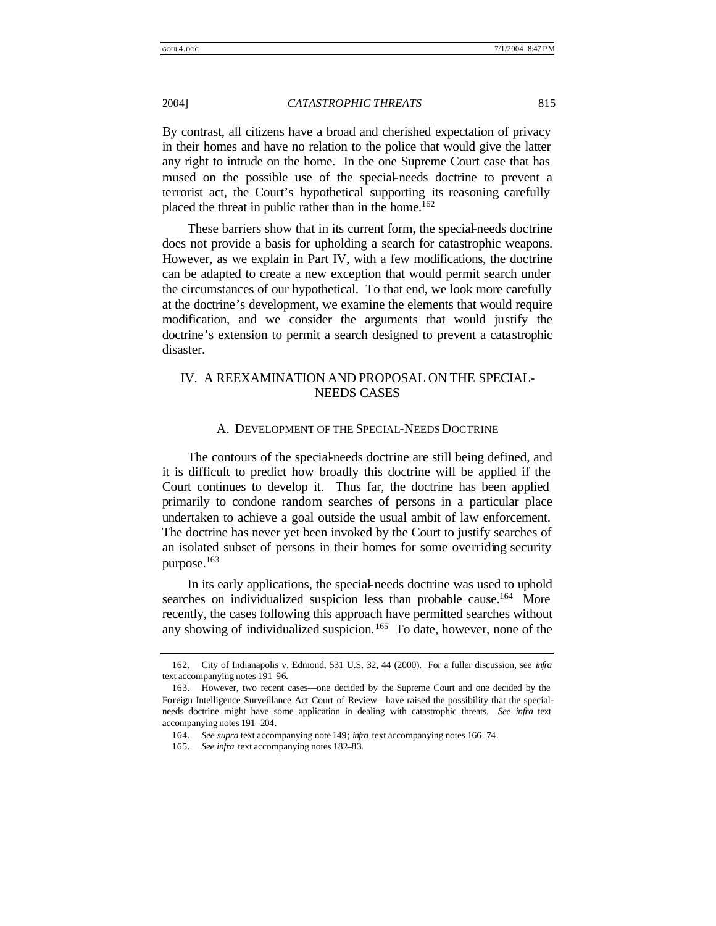By contrast, all citizens have a broad and cherished expectation of privacy in their homes and have no relation to the police that would give the latter any right to intrude on the home. In the one Supreme Court case that has mused on the possible use of the special-needs doctrine to prevent a terrorist act, the Court's hypothetical supporting its reasoning carefully placed the threat in public rather than in the home.<sup>162</sup>

These barriers show that in its current form, the special-needs doctrine does not provide a basis for upholding a search for catastrophic weapons. However, as we explain in Part IV, with a few modifications, the doctrine can be adapted to create a new exception that would permit search under the circumstances of our hypothetical. To that end, we look more carefully at the doctrine's development, we examine the elements that would require modification, and we consider the arguments that would justify the doctrine's extension to permit a search designed to prevent a catastrophic disaster.

# IV. A REEXAMINATION AND PROPOSAL ON THE SPECIAL-NEEDS CASES

#### A. DEVELOPMENT OF THE SPECIAL-NEEDS DOCTRINE

The contours of the special-needs doctrine are still being defined, and it is difficult to predict how broadly this doctrine will be applied if the Court continues to develop it. Thus far, the doctrine has been applied primarily to condone random searches of persons in a particular place undertaken to achieve a goal outside the usual ambit of law enforcement. The doctrine has never yet been invoked by the Court to justify searches of an isolated subset of persons in their homes for some overriding security purpose.<sup>163</sup>

In its early applications, the special-needs doctrine was used to uphold searches on individualized suspicion less than probable cause.<sup>164</sup> More recently, the cases following this approach have permitted searches without any showing of individualized suspicion.<sup>165</sup> To date, however, none of the

<sup>162.</sup> City of Indianapolis v. Edmond, 531 U.S. 32, 44 (2000). For a fuller discussion, see *infra* text accompanying notes 191–96.

<sup>163.</sup> However, two recent cases—one decided by the Supreme Court and one decided by the Foreign Intelligence Surveillance Act Court of Review—have raised the possibility that the specialneeds doctrine might have some application in dealing with catastrophic threats. *See infra* text accompanying notes 191–204.

<sup>164</sup>*. See supra* text accompanying note 149; *infra* text accompanying notes 166–74.

<sup>165</sup>*. See infra* text accompanying notes 182–83.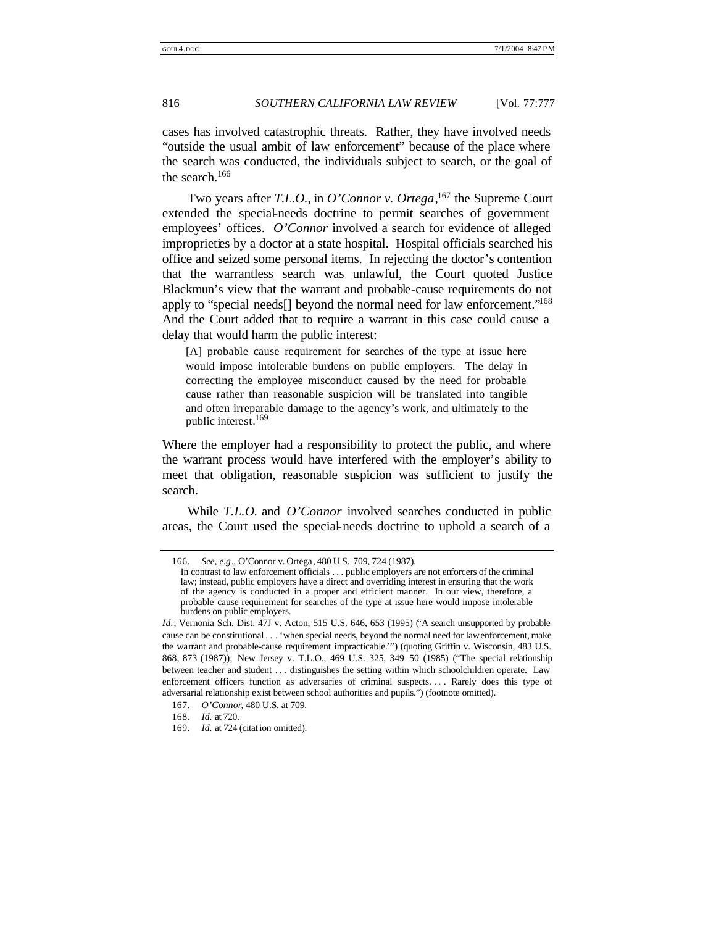cases has involved catastrophic threats. Rather, they have involved needs "outside the usual ambit of law enforcement" because of the place where the search was conducted, the individuals subject to search, or the goal of the search.<sup>166</sup>

Two years after *T.L.O.*, in *O'Connor v. Ortega*, <sup>167</sup> the Supreme Court extended the special-needs doctrine to permit searches of government employees' offices. *O'Connor* involved a search for evidence of alleged improprieties by a doctor at a state hospital. Hospital officials searched his office and seized some personal items. In rejecting the doctor's contention that the warrantless search was unlawful, the Court quoted Justice Blackmun's view that the warrant and probable-cause requirements do not apply to "special needs<sup>[]</sup> beyond the normal need for law enforcement."<sup>168</sup> And the Court added that to require a warrant in this case could cause a delay that would harm the public interest:

[A] probable cause requirement for searches of the type at issue here would impose intolerable burdens on public employers. The delay in correcting the employee misconduct caused by the need for probable cause rather than reasonable suspicion will be translated into tangible and often irreparable damage to the agency's work, and ultimately to the public interest.<sup>169</sup>

Where the employer had a responsibility to protect the public, and where the warrant process would have interfered with the employer's ability to meet that obligation, reasonable suspicion was sufficient to justify the search.

While *T.L.O.* and *O'Connor* involved searches conducted in public areas, the Court used the special-needs doctrine to uphold a search of a

<sup>166</sup>*. See, e.g*., O'Connor v. Ortega, 480 U.S. 709, 724 (1987).

In contrast to law enforcement officials . . . public employers are not enforcers of the criminal law; instead, public employers have a direct and overriding interest in ensuring that the work of the agency is conducted in a proper and efficient manner. In our view, therefore, a probable cause requirement for searches of the type at issue here would impose intolerable burdens on public employers.

*Id.*; Vernonia Sch. Dist. 47J v. Acton, 515 U.S. 646, 653 (1995) ("A search unsupported by probable cause can be constitutional . . . 'when special needs, beyond the normal need for law enforcement, make the warrant and probable-cause requirement impracticable.'") (quoting Griffin v. Wisconsin, 483 U.S. 868, 873 (1987)); New Jersey v. T.L.O., 469 U.S. 325, 349–50 (1985) ("The special relationship between teacher and student . . . distinguishes the setting within which schoolchildren operate. Law enforcement officers function as adversaries of criminal suspects. . . . Rarely does this type of adversarial relationship exist between school authorities and pupils.") (footnote omitted).

<sup>167</sup>*. O'Connor*, 480 U.S. at 709.

<sup>168</sup>*. Id.* at 720.

<sup>169</sup>*. Id.* at 724 (citat ion omitted).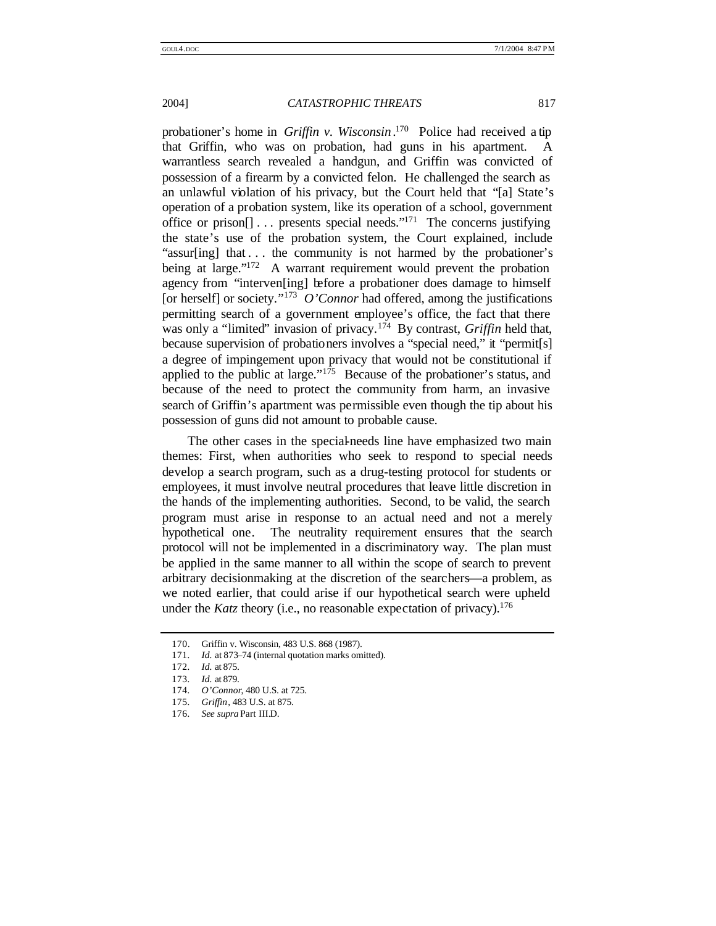probationer's home in *Griffin v. Wisconsin* . <sup>170</sup> Police had received a tip that Griffin, who was on probation, had guns in his apartment. A warrantless search revealed a handgun, and Griffin was convicted of possession of a firearm by a convicted felon. He challenged the search as an unlawful violation of his privacy, but the Court held that "[a] State's operation of a probation system, like its operation of a school, government office or prison $[] \dots$  presents special needs."<sup>171</sup> The concerns justifying the state's use of the probation system, the Court explained, include "assur[ing] that ... the community is not harmed by the probationer's being at large."<sup>172</sup> A warrant requirement would prevent the probation agency from "interven[ing] before a probationer does damage to himself [or herself] or society." 173 *O'Connor* had offered, among the justifications permitting search of a government employee's office, the fact that there was only a "limited" invasion of privacy.<sup>174</sup> By contrast, *Griffin* held that, because supervision of probationers involves a "special need," it "permit[s] a degree of impingement upon privacy that would not be constitutional if applied to the public at large."<sup>175</sup> Because of the probationer's status, and because of the need to protect the community from harm, an invasive search of Griffin's apartment was permissible even though the tip about his possession of guns did not amount to probable cause.

The other cases in the special-needs line have emphasized two main themes: First, when authorities who seek to respond to special needs develop a search program, such as a drug-testing protocol for students or employees, it must involve neutral procedures that leave little discretion in the hands of the implementing authorities. Second, to be valid, the search program must arise in response to an actual need and not a merely hypothetical one. The neutrality requirement ensures that the search protocol will not be implemented in a discriminatory way. The plan must be applied in the same manner to all within the scope of search to prevent arbitrary decisionmaking at the discretion of the searchers—a problem, as we noted earlier, that could arise if our hypothetical search were upheld under the *Katz* theory (i.e., no reasonable expectation of privacy).<sup>176</sup>

<sup>170.</sup> Griffin v. Wisconsin, 483 U.S. 868 (1987).

<sup>171</sup>*. Id.* at 873–74 (internal quotation marks omitted).

<sup>172</sup>*. Id.* at 875.

<sup>173</sup>*. Id.* at 879.

<sup>174</sup>*. O'Connor*, 480 U.S. at 725.

<sup>175</sup>*. Griffin*, 483 U.S. at 875.

<sup>176</sup>*. See supra* Part III.D.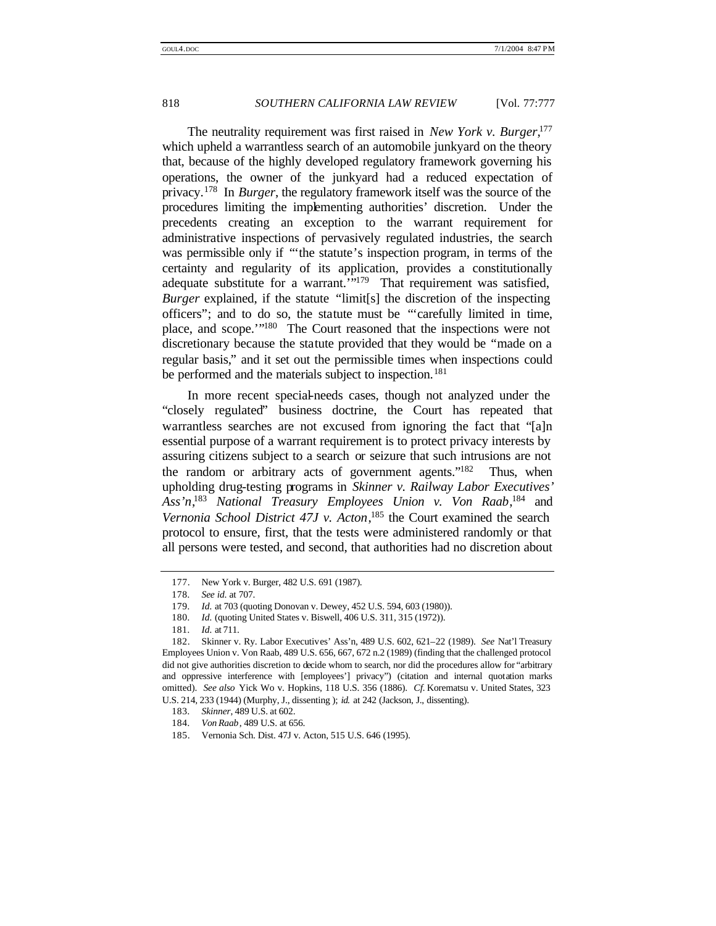The neutrality requirement was first raised in *New York v. Burger*, 177 which upheld a warrantless search of an automobile junkyard on the theory that, because of the highly developed regulatory framework governing his operations, the owner of the junkyard had a reduced expectation of privacy.<sup>178</sup> In *Burger*, the regulatory framework itself was the source of the procedures limiting the implementing authorities' discretion. Under the precedents creating an exception to the warrant requirement for administrative inspections of pervasively regulated industries, the search was permissible only if "'the statute's inspection program, in terms of the certainty and regularity of its application, provides a constitutionally adequate substitute for a warrant."<sup>179</sup> That requirement was satisfied, *Burger* explained, if the statute "limit[s] the discretion of the inspecting officers"; and to do so, the statute must be "'carefully limited in time, place, and scope."<sup>180</sup> The Court reasoned that the inspections were not discretionary because the statute provided that they would be "made on a regular basis," and it set out the permissible times when inspections could be performed and the materials subject to inspection.<sup>181</sup>

In more recent special-needs cases, though not analyzed under the "closely regulated" business doctrine, the Court has repeated that warrantless searches are not excused from ignoring the fact that "[a]n essential purpose of a warrant requirement is to protect privacy interests by assuring citizens subject to a search or seizure that such intrusions are not the random or arbitrary acts of government agents."<sup>182</sup> Thus, when upholding drug-testing programs in *Skinner v. Railway Labor Executives' Ass'n*, <sup>183</sup> *National Treasury Employees Union v. Von Raab*, <sup>184</sup> and *Vernonia School District 47J v. Acton*, <sup>185</sup> the Court examined the search protocol to ensure, first, that the tests were administered randomly or that all persons were tested, and second, that authorities had no discretion about

<sup>177.</sup> New York v. Burger, 482 U.S. 691 (1987).

<sup>178</sup>*. See id*. at 707.

<sup>179</sup>*. Id.* at 703 (quoting Donovan v. Dewey, 452 U.S. 594, 603 (1980)).

<sup>180</sup>*. Id.* (quoting United States v. Biswell, 406 U.S. 311, 315 (1972)).

<sup>181</sup>*. Id.* at 711.

<sup>182.</sup> Skinner v. Ry. Labor Executives' Ass'n, 489 U.S. 602, 621–22 (1989). *See* Nat'l Treasury Employees Union v. Von Raab, 489 U.S. 656, 667, 672 n.2 (1989) (finding that the challenged protocol did not give authorities discretion to decide whom to search, nor did the procedures allow for "arbitrary and oppressive interference with [employees'] privacy") (citation and internal quotation marks omitted). *See also* Yick Wo v. Hopkins, 118 U.S. 356 (1886). *Cf.* Korematsu v. United States, 323 U.S. 214, 233 (1944) (Murphy, J., dissenting ); *id.* at 242 (Jackson, J., dissenting).

<sup>183</sup>*. Skinner*, 489 U.S. at 602.

<sup>184</sup>*. Von Raab*, 489 U.S. at 656.

<sup>185.</sup> Vernonia Sch. Dist. 47J v. Acton, 515 U.S. 646 (1995).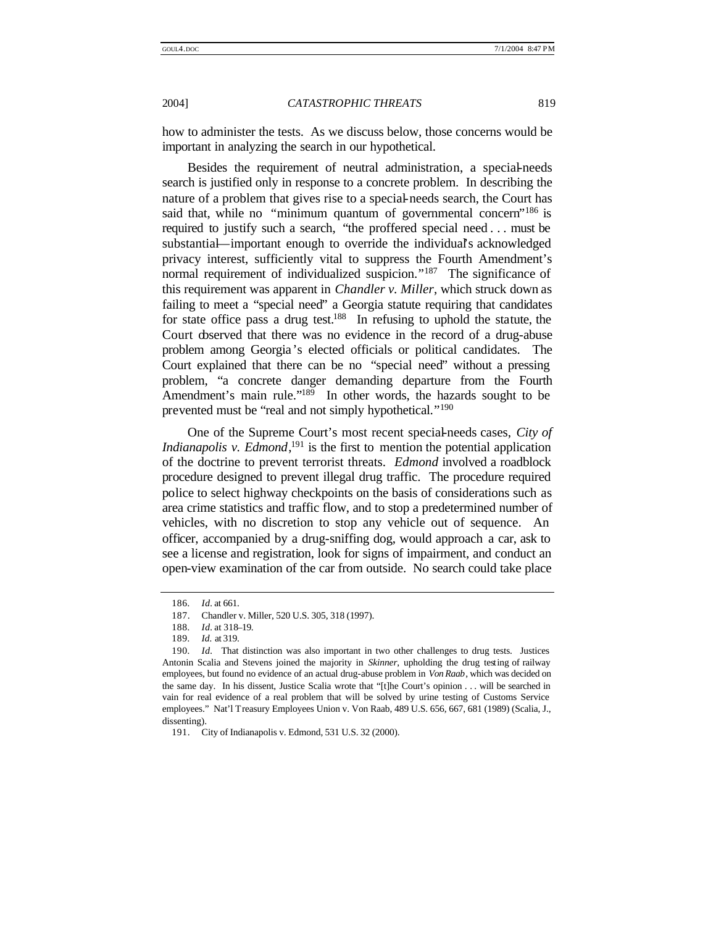how to administer the tests. As we discuss below, those concerns would be important in analyzing the search in our hypothetical.

Besides the requirement of neutral administration, a special-needs search is justified only in response to a concrete problem. In describing the nature of a problem that gives rise to a special-needs search, the Court has said that, while no "minimum quantum of governmental concern"<sup>186</sup> is required to justify such a search, "the proffered special need . . . must be substantial—important enough to override the individual's acknowledged privacy interest, sufficiently vital to suppress the Fourth Amendment's normal requirement of individualized suspicion."<sup>187</sup> The significance of this requirement was apparent in *Chandler v. Miller*, which struck down as failing to meet a "special need" a Georgia statute requiring that candidates for state office pass a drug test.<sup>188</sup> In refusing to uphold the statute, the Court observed that there was no evidence in the record of a drug-abuse problem among Georgia 's elected officials or political candidates. The Court explained that there can be no "special need" without a pressing problem, "a concrete danger demanding departure from the Fourth Amendment's main rule."<sup>189</sup> In other words, the hazards sought to be prevented must be "real and not simply hypothetical."<sup>190</sup>

One of the Supreme Court's most recent special-needs cases, *City of Indianapolis v. Edmond*<sup>191</sup> is the first to mention the potential application of the doctrine to prevent terrorist threats. *Edmond* involved a roadblock procedure designed to prevent illegal drug traffic. The procedure required police to select highway checkpoints on the basis of considerations such as area crime statistics and traffic flow, and to stop a predetermined number of vehicles, with no discretion to stop any vehicle out of sequence. An officer, accompanied by a drug-sniffing dog, would approach a car, ask to see a license and registration, look for signs of impairment, and conduct an open-view examination of the car from outside. No search could take place

<sup>186</sup>*. Id.* at 661.

<sup>187.</sup> Chandler v. Miller, 520 U.S. 305, 318 (1997).

<sup>188</sup>*. Id.* at 318–19.

<sup>189</sup>*. Id.* at 319.

<sup>190</sup>*. Id.* That distinction was also important in two other challenges to drug tests. Justices Antonin Scalia and Stevens joined the majority in *Skinner*, upholding the drug testing of railway employees, but found no evidence of an actual drug-abuse problem in *Von Raab*, which was decided on the same day. In his dissent, Justice Scalia wrote that "[t]he Court's opinion . . . will be searched in vain for real evidence of a real problem that will be solved by urine testing of Customs Service employees." Nat'l Treasury Employees Union v. Von Raab, 489 U.S. 656, 667, 681 (1989) (Scalia, J., dissenting).

<sup>191.</sup> City of Indianapolis v. Edmond, 531 U.S. 32 (2000).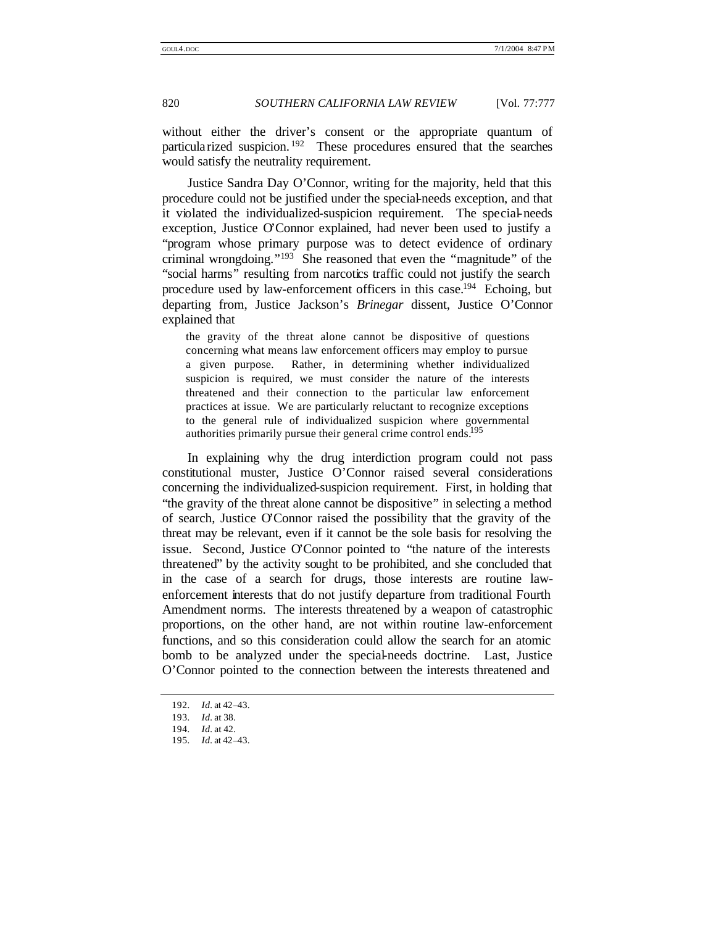without either the driver's consent or the appropriate quantum of particularized suspicion. <sup>192</sup> These procedures ensured that the searches would satisfy the neutrality requirement.

Justice Sandra Day O'Connor, writing for the majority, held that this procedure could not be justified under the special-needs exception, and that it violated the individualized-suspicion requirement. The special-needs exception, Justice O'Connor explained, had never been used to justify a "program whose primary purpose was to detect evidence of ordinary criminal wrongdoing." <sup>193</sup> She reasoned that even the "magnitude" of the "social harms" resulting from narcotics traffic could not justify the search procedure used by law-enforcement officers in this case.<sup>194</sup> Echoing, but departing from, Justice Jackson's *Brinegar* dissent, Justice O'Connor explained that

the gravity of the threat alone cannot be dispositive of questions concerning what means law enforcement officers may employ to pursue a given purpose. Rather, in determining whether individualized suspicion is required, we must consider the nature of the interests threatened and their connection to the particular law enforcement practices at issue. We are particularly reluctant to recognize exceptions to the general rule of individualized suspicion where governmental authorities primarily pursue their general crime control ends.<sup>195</sup>

In explaining why the drug interdiction program could not pass constitutional muster, Justice O'Connor raised several considerations concerning the individualized-suspicion requirement. First, in holding that "the gravity of the threat alone cannot be dispositive" in selecting a method of search, Justice O'Connor raised the possibility that the gravity of the threat may be relevant, even if it cannot be the sole basis for resolving the issue. Second, Justice O'Connor pointed to "the nature of the interests threatened" by the activity sought to be prohibited, and she concluded that in the case of a search for drugs, those interests are routine lawenforcement interests that do not justify departure from traditional Fourth Amendment norms. The interests threatened by a weapon of catastrophic proportions, on the other hand, are not within routine law-enforcement functions, and so this consideration could allow the search for an atomic bomb to be analyzed under the special-needs doctrine. Last, Justice O'Connor pointed to the connection between the interests threatened and

<sup>192</sup>*. Id.* at 42–43.

<sup>193</sup>*. Id.* at 38.

<sup>194</sup>*. Id.* at 42.

<sup>195</sup>*. Id.* at 42–43.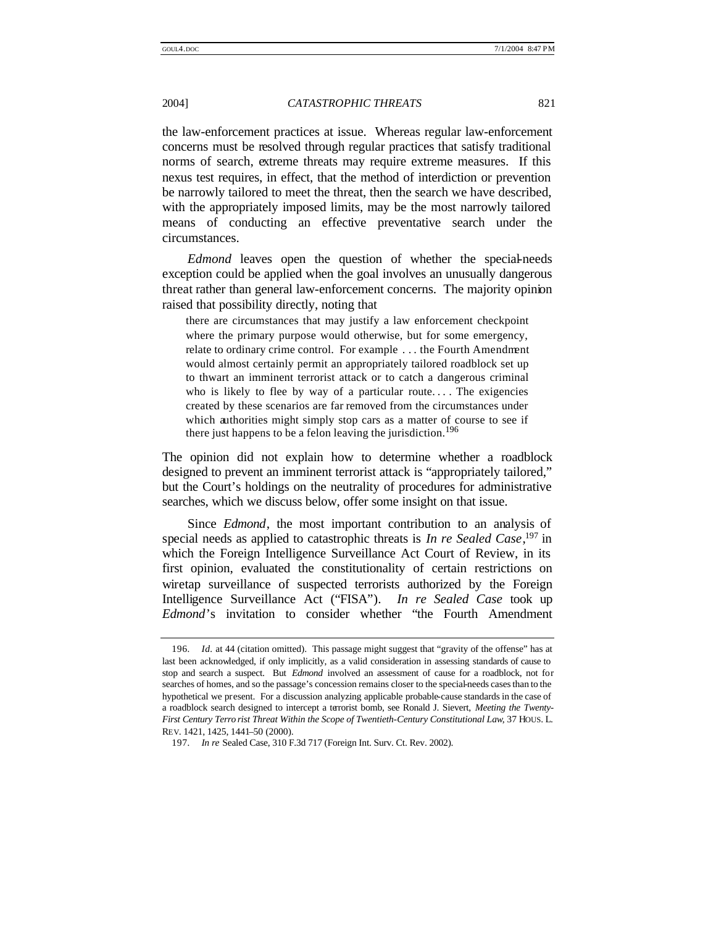the law-enforcement practices at issue. Whereas regular law-enforcement concerns must be resolved through regular practices that satisfy traditional norms of search, extreme threats may require extreme measures. If this nexus test requires, in effect, that the method of interdiction or prevention be narrowly tailored to meet the threat, then the search we have described, with the appropriately imposed limits, may be the most narrowly tailored means of conducting an effective preventative search under the circumstances.

*Edmond* leaves open the question of whether the special-needs exception could be applied when the goal involves an unusually dangerous threat rather than general law-enforcement concerns. The majority opinion raised that possibility directly, noting that

there are circumstances that may justify a law enforcement checkpoint where the primary purpose would otherwise, but for some emergency, relate to ordinary crime control. For example . . . the Fourth Amendment would almost certainly permit an appropriately tailored roadblock set up to thwart an imminent terrorist attack or to catch a dangerous criminal who is likely to flee by way of a particular route.... The exigencies created by these scenarios are far removed from the circumstances under which authorities might simply stop cars as a matter of course to see if there just happens to be a felon leaving the jurisdiction.<sup>196</sup>

The opinion did not explain how to determine whether a roadblock designed to prevent an imminent terrorist attack is "appropriately tailored," but the Court's holdings on the neutrality of procedures for administrative searches, which we discuss below, offer some insight on that issue.

Since *Edmond*, the most important contribution to an analysis of special needs as applied to catastrophic threats is *In re Sealed Case*, <sup>197</sup> in which the Foreign Intelligence Surveillance Act Court of Review, in its first opinion, evaluated the constitutionality of certain restrictions on wiretap surveillance of suspected terrorists authorized by the Foreign Intelligence Surveillance Act ("FISA"). *In re Sealed Case* took up *Edmond*'s invitation to consider whether "the Fourth Amendment

<sup>196</sup>*. Id.* at 44 (citation omitted). This passage might suggest that "gravity of the offense" has at last been acknowledged, if only implicitly, as a valid consideration in assessing standards of cause to stop and search a suspect. But *Edmond* involved an assessment of cause for a roadblock, not for searches of homes, and so the passage's concession remains closer to the special-needs cases than to the hypothetical we present. For a discussion analyzing applicable probable-cause standards in the case of a roadblock search designed to intercept a terrorist bomb, see Ronald J. Sievert, *Meeting the Twenty-First Century Terro rist Threat Within the Scope of Twentieth-Century Constitutional Law*, 37 HOUS. L. REV. 1421, 1425, 1441–50 (2000).

<sup>197</sup>*. In re* Sealed Case, 310 F.3d 717 (Foreign Int. Surv. Ct. Rev. 2002).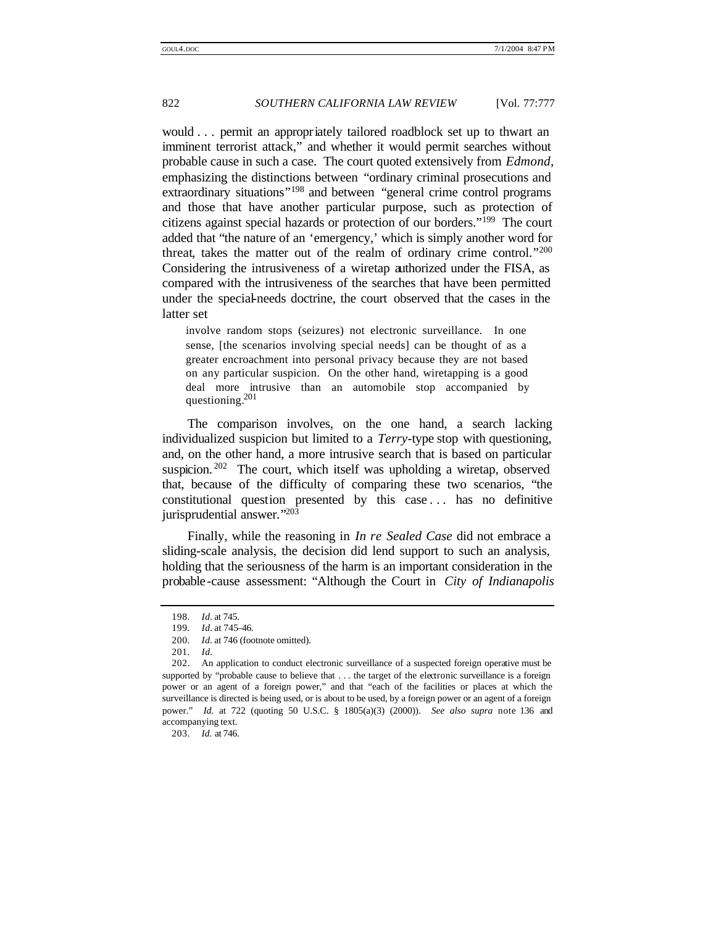would . . . permit an appropriately tailored roadblock set up to thwart an imminent terrorist attack," and whether it would permit searches without probable cause in such a case. The court quoted extensively from *Edmond*, emphasizing the distinctions between "ordinary criminal prosecutions and extraordinary situations<sup>"198</sup> and between "general crime control programs" and those that have another particular purpose, such as protection of citizens against special hazards or protection of our borders." <sup>199</sup> The court added that "the nature of an 'emergency,' which is simply another word for threat, takes the matter out of the realm of ordinary crime control."200 Considering the intrusiveness of a wiretap authorized under the FISA, as compared with the intrusiveness of the searches that have been permitted under the special-needs doctrine, the court observed that the cases in the latter set

involve random stops (seizures) not electronic surveillance. In one sense, [the scenarios involving special needs] can be thought of as a greater encroachment into personal privacy because they are not based on any particular suspicion. On the other hand, wiretapping is a good deal more intrusive than an automobile stop accompanied by questioning.<sup>201</sup>

The comparison involves, on the one hand, a search lacking individualized suspicion but limited to a *Terry*-type stop with questioning, and, on the other hand, a more intrusive search that is based on particular suspicion.<sup>202</sup> The court, which itself was upholding a wiretap, observed that, because of the difficulty of comparing these two scenarios, "the constitutional question presented by this case . . . has no definitive jurisprudential answer." 203

Finally, while the reasoning in *In re Sealed Case* did not embrace a sliding-scale analysis, the decision did lend support to such an analysis, holding that the seriousness of the harm is an important consideration in the probable-cause assessment: "Although the Court in *City of Indianapolis*

203*. Id.* at 746.

<sup>198</sup>*. Id.* at 745.

<sup>199</sup>*. Id.* at 745–46.

<sup>200</sup>*. Id.* at 746 (footnote omitted).

<sup>201</sup>*. Id.*

<sup>202.</sup> An application to conduct electronic surveillance of a suspected foreign operative must be supported by "probable cause to believe that . . . the target of the electronic surveillance is a foreign power or an agent of a foreign power," and that "each of the facilities or places at which the surveillance is directed is being used, or is about to be used, by a foreign power or an agent of a foreign power." *Id.* at 722 (quoting 50 U.S.C. § 1805(a)(3) (2000)). *See also supra* note 136 and accompanying text.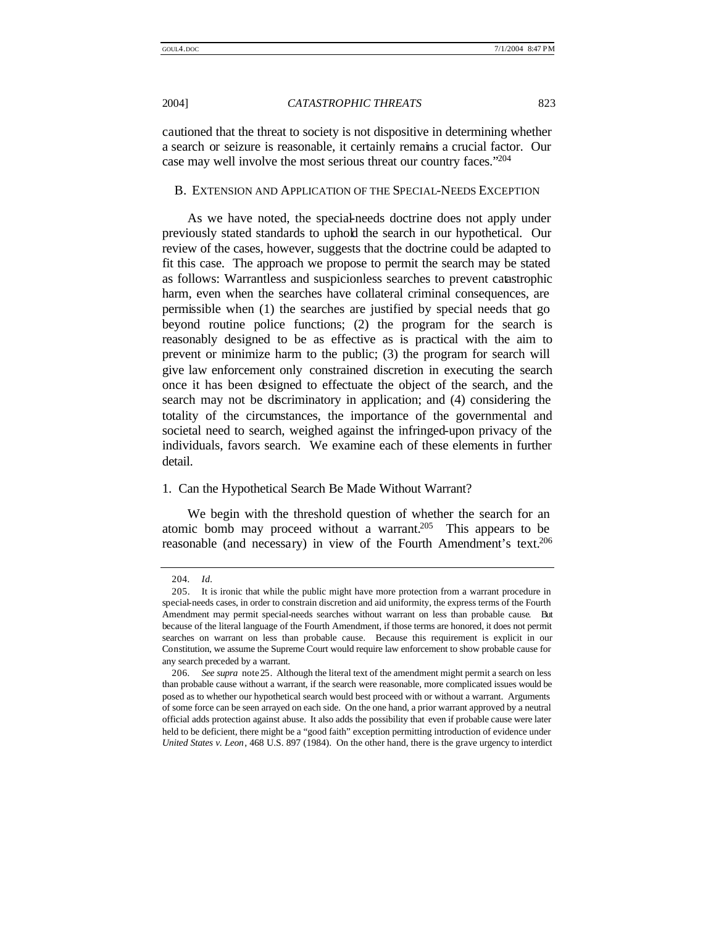cautioned that the threat to society is not dispositive in determining whether a search or seizure is reasonable, it certainly remains a crucial factor. Our case may well involve the most serious threat our country faces."204

#### B. EXTENSION AND APPLICATION OF THE SPECIAL-NEEDS EXCEPTION

As we have noted, the special-needs doctrine does not apply under previously stated standards to uphold the search in our hypothetical. Our review of the cases, however, suggests that the doctrine could be adapted to fit this case. The approach we propose to permit the search may be stated as follows: Warrantless and suspicionless searches to prevent catastrophic harm, even when the searches have collateral criminal consequences, are permissible when (1) the searches are justified by special needs that go beyond routine police functions; (2) the program for the search is reasonably designed to be as effective as is practical with the aim to prevent or minimize harm to the public; (3) the program for search will give law enforcement only constrained discretion in executing the search once it has been designed to effectuate the object of the search, and the search may not be discriminatory in application; and (4) considering the totality of the circumstances, the importance of the governmental and societal need to search, weighed against the infringed-upon privacy of the individuals, favors search. We examine each of these elements in further detail.

#### 1. Can the Hypothetical Search Be Made Without Warrant?

We begin with the threshold question of whether the search for an atomic bomb may proceed without a warrant.<sup>205</sup> This appears to be reasonable (and necessary) in view of the Fourth Amendment's text.<sup>206</sup>

<sup>204</sup>*. Id.*

<sup>205.</sup> It is ironic that while the public might have more protection from a warrant procedure in special-needs cases, in order to constrain discretion and aid uniformity, the express terms of the Fourth Amendment may permit special-needs searches without warrant on less than probable cause. But because of the literal language of the Fourth Amendment, if those terms are honored, it does not permit searches on warrant on less than probable cause. Because this requirement is explicit in our Constitution, we assume the Supreme Court would require law enforcement to show probable cause for any search preceded by a warrant.

<sup>206</sup>*. See supra* note25. Although the literal text of the amendment might permit a search on less than probable cause without a warrant, if the search were reasonable, more complicated issues would be posed as to whether our hypothetical search would best proceed with or without a warrant. Arguments of some force can be seen arrayed on each side. On the one hand, a prior warrant approved by a neutral official adds protection against abuse. It also adds the possibility that even if probable cause were later held to be deficient, there might be a "good faith" exception permitting introduction of evidence under *United States v. Leon*, 468 U.S. 897 (1984). On the other hand, there is the grave urgency to interdict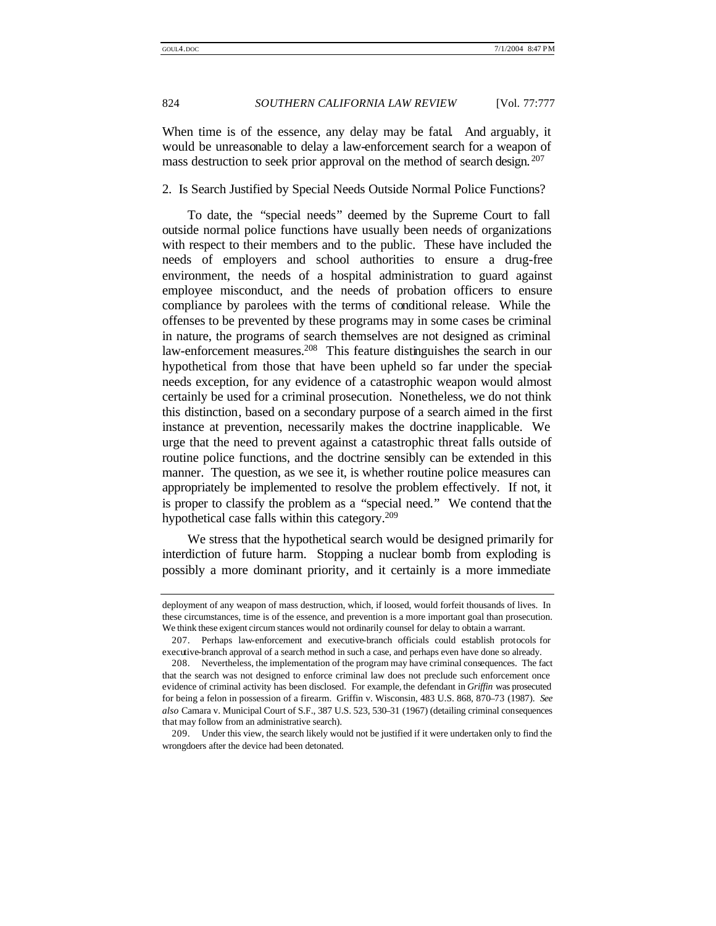When time is of the essence, any delay may be fatal. And arguably, it would be unreasonable to delay a law-enforcement search for a weapon of mass destruction to seek prior approval on the method of search design. <sup>207</sup>

### 2. Is Search Justified by Special Needs Outside Normal Police Functions?

To date, the "special needs" deemed by the Supreme Court to fall outside normal police functions have usually been needs of organizations with respect to their members and to the public. These have included the needs of employers and school authorities to ensure a drug-free environment, the needs of a hospital administration to guard against employee misconduct, and the needs of probation officers to ensure compliance by parolees with the terms of conditional release. While the offenses to be prevented by these programs may in some cases be criminal in nature, the programs of search themselves are not designed as criminal law-enforcement measures.<sup>208</sup> This feature distinguishes the search in our hypothetical from those that have been upheld so far under the specialneeds exception, for any evidence of a catastrophic weapon would almost certainly be used for a criminal prosecution. Nonetheless, we do not think this distinction, based on a secondary purpose of a search aimed in the first instance at prevention, necessarily makes the doctrine inapplicable. We urge that the need to prevent against a catastrophic threat falls outside of routine police functions, and the doctrine sensibly can be extended in this manner. The question, as we see it, is whether routine police measures can appropriately be implemented to resolve the problem effectively. If not, it is proper to classify the problem as a "special need." We contend that the hypothetical case falls within this category.<sup>209</sup>

We stress that the hypothetical search would be designed primarily for interdiction of future harm. Stopping a nuclear bomb from exploding is possibly a more dominant priority, and it certainly is a more immediate

deployment of any weapon of mass destruction, which, if loosed, would forfeit thousands of lives. In these circumstances, time is of the essence, and prevention is a more important goal than prosecution. We think these exigent circum stances would not ordinarily counsel for delay to obtain a warrant.

<sup>207.</sup> Perhaps law-enforcement and executive-branch officials could establish protocols for executive-branch approval of a search method in such a case, and perhaps even have done so already.

<sup>208.</sup> Nevertheless, the implementation of the program may have criminal consequences. The fact that the search was not designed to enforce criminal law does not preclude such enforcement once evidence of criminal activity has been disclosed. For example, the defendant in *Griffin* was prosecuted for being a felon in possession of a firearm. Griffin v. Wisconsin, 483 U.S. 868, 870–73 (1987). *See also* Camara v. Municipal Court of S.F., 387 U.S. 523, 530–31 (1967) (detailing criminal consequences that may follow from an administrative search).

<sup>209.</sup> Under this view, the search likely would not be justified if it were undertaken only to find the wrongdoers after the device had been detonated.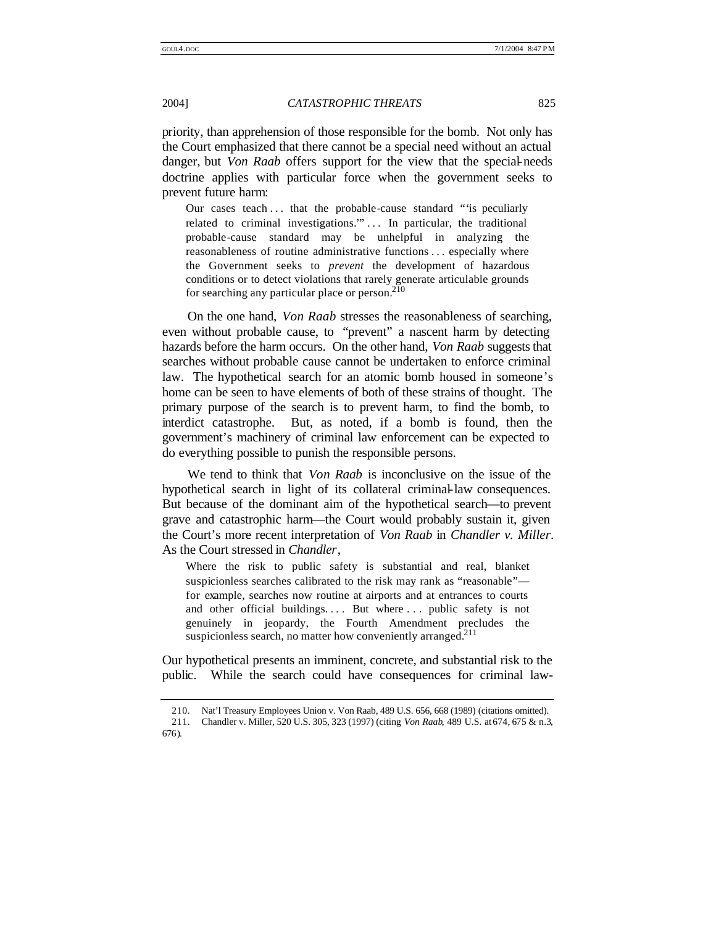priority, than apprehension of those responsible for the bomb. Not only has the Court emphasized that there cannot be a special need without an actual danger, but *Von Raab* offers support for the view that the special-needs doctrine applies with particular force when the government seeks to prevent future harm:

Our cases teach ... that the probable-cause standard ""is peculiarly related to criminal investigations."... In particular, the traditional probable-cause standard may be unhelpful in analyzing the reasonableness of routine administrative functions . . . especially where the Government seeks to *prevent* the development of hazardous conditions or to detect violations that rarely generate articulable grounds for searching any particular place or person.<sup>210</sup>

On the one hand, *Von Raab* stresses the reasonableness of searching, even without probable cause, to "prevent" a nascent harm by detecting hazards before the harm occurs. On the other hand, *Von Raab* suggests that searches without probable cause cannot be undertaken to enforce criminal law. The hypothetical search for an atomic bomb housed in someone's home can be seen to have elements of both of these strains of thought. The primary purpose of the search is to prevent harm, to find the bomb, to interdict catastrophe. But, as noted, if a bomb is found, then the government's machinery of criminal law enforcement can be expected to do everything possible to punish the responsible persons.

We tend to think that *Von Raab* is inconclusive on the issue of the hypothetical search in light of its collateral criminal-law consequences. But because of the dominant aim of the hypothetical search—to prevent grave and catastrophic harm—the Court would probably sustain it, given the Court's more recent interpretation of *Von Raab* in *Chandler v. Miller*. As the Court stressed in *Chandler*,

Where the risk to public safety is substantial and real, blanket suspicionless searches calibrated to the risk may rank as "reasonable" for example, searches now routine at airports and at entrances to courts and other official buildings.... But where ... public safety is not genuinely in jeopardy, the Fourth Amendment precludes the suspicionless search, no matter how conveniently arranged.<sup>211</sup>

Our hypothetical presents an imminent, concrete, and substantial risk to the public. While the search could have consequences for criminal law-

<sup>210.</sup> Nat'l Treasury Employees Union v. Von Raab, 489 U.S. 656, 668 (1989) (citations omitted).

<sup>211.</sup> Chandler v. Miller, 520 U.S. 305, 323 (1997) (citing *Von Raab*, 489 U.S. at 674, 675 & n.3, 676).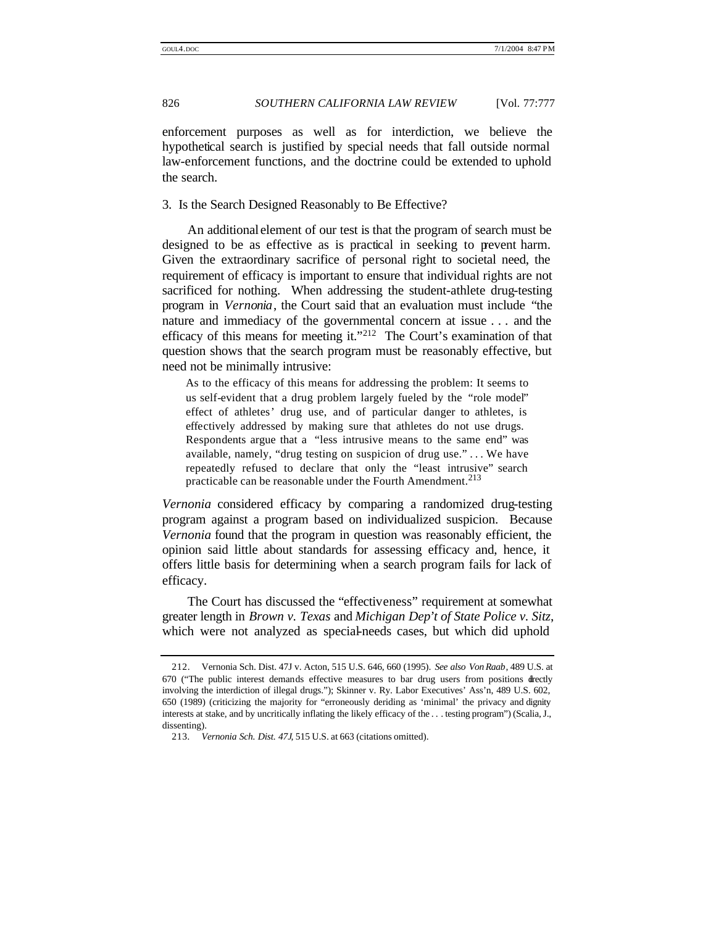enforcement purposes as well as for interdiction, we believe the hypothetical search is justified by special needs that fall outside normal law-enforcement functions, and the doctrine could be extended to uphold the search.

3. Is the Search Designed Reasonably to Be Effective?

An additional element of our test is that the program of search must be designed to be as effective as is practical in seeking to prevent harm. Given the extraordinary sacrifice of personal right to societal need, the requirement of efficacy is important to ensure that individual rights are not sacrificed for nothing. When addressing the student-athlete drug-testing program in *Vernonia*, the Court said that an evaluation must include "the nature and immediacy of the governmental concern at issue . . . and the efficacy of this means for meeting it."<sup>212</sup> The Court's examination of that question shows that the search program must be reasonably effective, but need not be minimally intrusive:

As to the efficacy of this means for addressing the problem: It seems to us self-evident that a drug problem largely fueled by the "role model" effect of athletes' drug use, and of particular danger to athletes, is effectively addressed by making sure that athletes do not use drugs. Respondents argue that a "less intrusive means to the same end" was available, namely, "drug testing on suspicion of drug use." . . . We have repeatedly refused to declare that only the "least intrusive" search practicable can be reasonable under the Fourth Amendment.<sup>213</sup>

*Vernonia* considered efficacy by comparing a randomized drug-testing program against a program based on individualized suspicion. Because *Vernonia* found that the program in question was reasonably efficient, the opinion said little about standards for assessing efficacy and, hence, it offers little basis for determining when a search program fails for lack of efficacy.

The Court has discussed the "effectiveness" requirement at somewhat greater length in *Brown v. Texas* and *Michigan Dep't of State Police v. Sitz*, which were not analyzed as special-needs cases, but which did uphold

<sup>212.</sup> Vernonia Sch. Dist. 47J v. Acton, 515 U.S. 646, 660 (1995). *See also Von Raab*, 489 U.S. at 670 ("The public interest demands effective measures to bar drug users from positions directly involving the interdiction of illegal drugs."); Skinner v. Ry. Labor Executives' Ass'n, 489 U.S. 602, 650 (1989) (criticizing the majority for "erroneously deriding as 'minimal' the privacy and dignity interests at stake, and by uncritically inflating the likely efficacy of the . . . testing program") (Scalia, J., dissenting).

<sup>213</sup>*. Vernonia Sch. Dist. 47J*, 515 U.S. at 663 (citations omitted).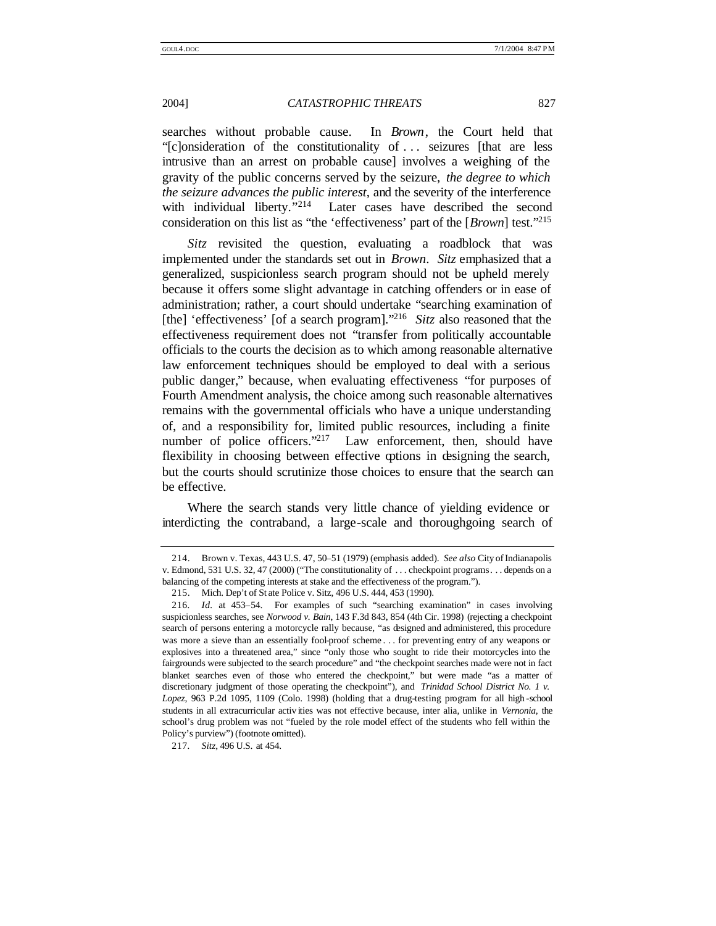searches without probable cause. In *Brown*, the Court held that "[c]onsideration of the constitutionality of . . . seizures [that are less intrusive than an arrest on probable cause] involves a weighing of the gravity of the public concerns served by the seizure, *the degree to which the seizure advances the public interest*, and the severity of the interference with individual liberty."<sup>214</sup> Later cases have described the second consideration on this list as "the 'effectiveness' part of the [*Brown*] test." 215

*Sitz* revisited the question, evaluating a roadblock that was implemented under the standards set out in *Brown*. *Sitz* emphasized that a generalized, suspicionless search program should not be upheld merely because it offers some slight advantage in catching offenders or in ease of administration; rather, a court should undertake "searching examination of [the] 'effectiveness' [of a search program]."<sup>216</sup> Sitz also reasoned that the effectiveness requirement does not "transfer from politically accountable officials to the courts the decision as to which among reasonable alternative law enforcement techniques should be employed to deal with a serious public danger," because, when evaluating effectiveness "for purposes of Fourth Amendment analysis, the choice among such reasonable alternatives remains with the governmental officials who have a unique understanding of, and a responsibility for, limited public resources, including a finite number of police officers."<sup>217</sup> Law enforcement, then, should have flexibility in choosing between effective options in designing the search, but the courts should scrutinize those choices to ensure that the search can be effective.

Where the search stands very little chance of yielding evidence or interdicting the contraband, a large-scale and thoroughgoing search of

217*. Sitz*, 496 U.S. at 454.

<sup>214.</sup> Brown v. Texas, 443 U.S. 47, 50–51 (1979) (emphasis added). *See also* City of Indianapolis v. Edmond, 531 U.S. 32, 47 (2000) ("The constitutionality of . . . checkpoint programs. . . depends on a balancing of the competing interests at stake and the effectiveness of the program.").

<sup>215.</sup> Mich. Dep't of St ate Police v. Sitz, 496 U.S. 444, 453 (1990).

<sup>216</sup>*. Id.* at 453–54. For examples of such "searching examination" in cases involving suspicionless searches, see *Norwood v. Bain*, 143 F.3d 843, 854 (4th Cir. 1998) (rejecting a checkpoint search of persons entering a motorcycle rally because, "as designed and administered, this procedure was more a sieve than an essentially fool-proof scheme . . . for preventing entry of any weapons or explosives into a threatened area," since "only those who sought to ride their motorcycles into the fairgrounds were subjected to the search procedure" and "the checkpoint searches made were not in fact blanket searches even of those who entered the checkpoint," but were made "as a matter of discretionary judgment of those operating the checkpoint"), and *Trinidad School District No. 1 v. Lopez*, 963 P.2d 1095, 1109 (Colo. 1998) (holding that a drug-testing program for all high -school students in all extracurricular activ ities was not effective because, inter alia, unlike in *Vernonia*, the school's drug problem was not "fueled by the role model effect of the students who fell within the Policy's purview") (footnote omitted).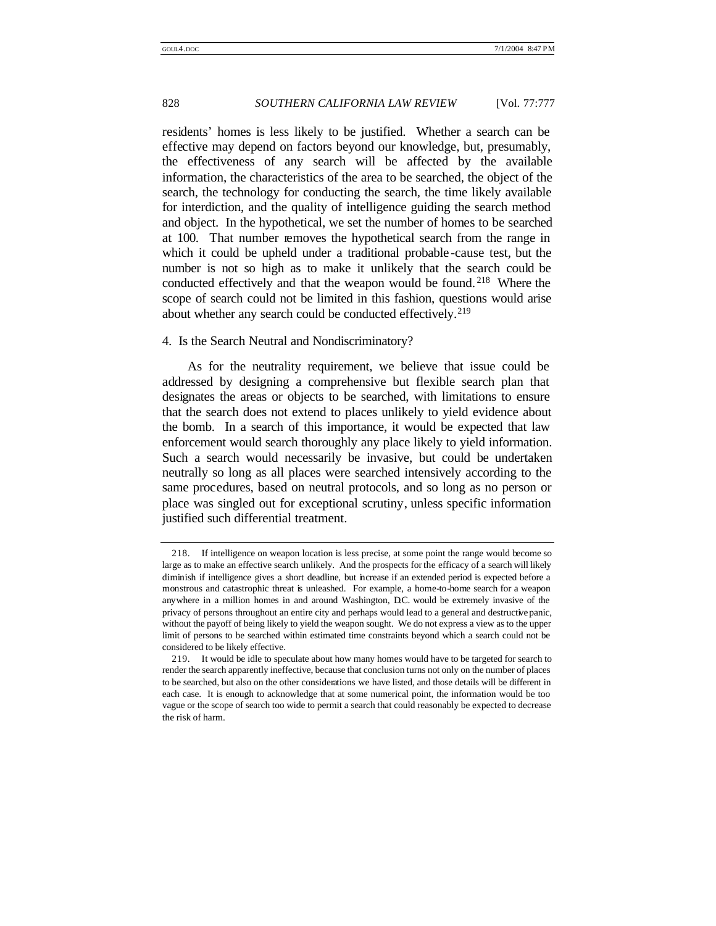residents' homes is less likely to be justified. Whether a search can be effective may depend on factors beyond our knowledge, but, presumably, the effectiveness of any search will be affected by the available information, the characteristics of the area to be searched, the object of the search, the technology for conducting the search, the time likely available for interdiction, and the quality of intelligence guiding the search method and object. In the hypothetical, we set the number of homes to be searched at 100. That number removes the hypothetical search from the range in which it could be upheld under a traditional probable -cause test, but the number is not so high as to make it unlikely that the search could be conducted effectively and that the weapon would be found. <sup>218</sup> Where the scope of search could not be limited in this fashion, questions would arise about whether any search could be conducted effectively.<sup>219</sup>

#### 4. Is the Search Neutral and Nondiscriminatory?

As for the neutrality requirement, we believe that issue could be addressed by designing a comprehensive but flexible search plan that designates the areas or objects to be searched, with limitations to ensure that the search does not extend to places unlikely to yield evidence about the bomb. In a search of this importance, it would be expected that law enforcement would search thoroughly any place likely to yield information. Such a search would necessarily be invasive, but could be undertaken neutrally so long as all places were searched intensively according to the same procedures, based on neutral protocols, and so long as no person or place was singled out for exceptional scrutiny, unless specific information justified such differential treatment.

<sup>218.</sup> If intelligence on weapon location is less precise, at some point the range would become so large as to make an effective search unlikely. And the prospects for the efficacy of a search will likely diminish if intelligence gives a short deadline, but increase if an extended period is expected before a monstrous and catastrophic threat is unleashed. For example, a home-to-home search for a weapon anywhere in a million homes in and around Washington, D.C. would be extremely invasive of the privacy of persons throughout an entire city and perhaps would lead to a general and destructive panic, without the payoff of being likely to yield the weapon sought. We do not express a view as to the upper limit of persons to be searched within estimated time constraints beyond which a search could not be considered to be likely effective.

<sup>219.</sup> It would be idle to speculate about how many homes would have to be targeted for search to render the search apparently ineffective, because that conclusion turns not only on the number of places to be searched, but also on the other considerations we have listed, and those details will be different in each case. It is enough to acknowledge that at some numerical point, the information would be too vague or the scope of search too wide to permit a search that could reasonably be expected to decrease the risk of harm.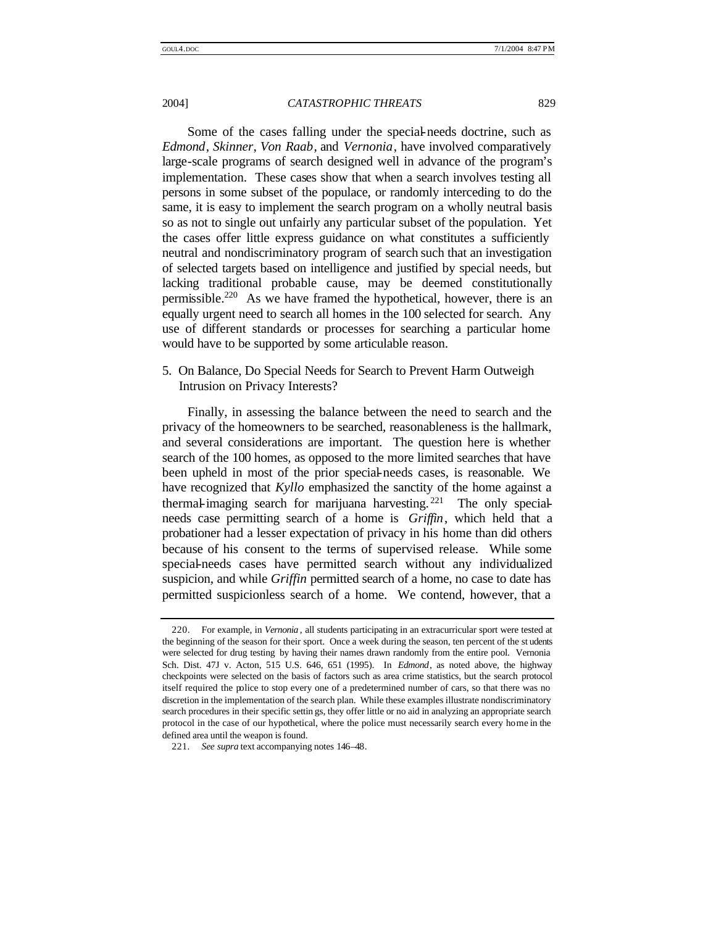Some of the cases falling under the special-needs doctrine, such as *Edmond*, *Skinner*, *Von Raab*, and *Vernonia*, have involved comparatively large-scale programs of search designed well in advance of the program's implementation. These cases show that when a search involves testing all persons in some subset of the populace, or randomly interceding to do the same, it is easy to implement the search program on a wholly neutral basis so as not to single out unfairly any particular subset of the population. Yet the cases offer little express guidance on what constitutes a sufficiently neutral and nondiscriminatory program of search such that an investigation of selected targets based on intelligence and justified by special needs, but lacking traditional probable cause, may be deemed constitutionally permissible.<sup>220</sup> As we have framed the hypothetical, however, there is an equally urgent need to search all homes in the 100 selected for search. Any use of different standards or processes for searching a particular home would have to be supported by some articulable reason.

5. On Balance, Do Special Needs for Search to Prevent Harm Outweigh Intrusion on Privacy Interests?

Finally, in assessing the balance between the need to search and the privacy of the homeowners to be searched, reasonableness is the hallmark, and several considerations are important. The question here is whether search of the 100 homes, as opposed to the more limited searches that have been upheld in most of the prior special-needs cases, is reasonable. We have recognized that *Kyllo* emphasized the sanctity of the home against a thermal-imaging search for marijuana harvesting. <sup>221</sup> The only specialneeds case permitting search of a home is *Griffin*, which held that a probationer had a lesser expectation of privacy in his home than did others because of his consent to the terms of supervised release. While some special-needs cases have permitted search without any individualized suspicion, and while *Griffin* permitted search of a home, no case to date has permitted suspicionless search of a home. We contend, however, that a

<sup>220.</sup> For example, in *Vernonia* , all students participating in an extracurricular sport were tested at the beginning of the season for their sport. Once a week during the season, ten percent of the st udents were selected for drug testing by having their names drawn randomly from the entire pool. Vernonia Sch. Dist. 47J v. Acton, 515 U.S. 646, 651 (1995). In *Edmond*, as noted above, the highway checkpoints were selected on the basis of factors such as area crime statistics, but the search protocol itself required the police to stop every one of a predetermined number of cars, so that there was no discretion in the implementation of the search plan. While these examples illustrate nondiscriminatory search procedures in their specific settin gs, they offer little or no aid in analyzing an appropriate search protocol in the case of our hypothetical, where the police must necessarily search every home in the defined area until the weapon is found.

<sup>221</sup>*. See supra* text accompanying notes 146–48.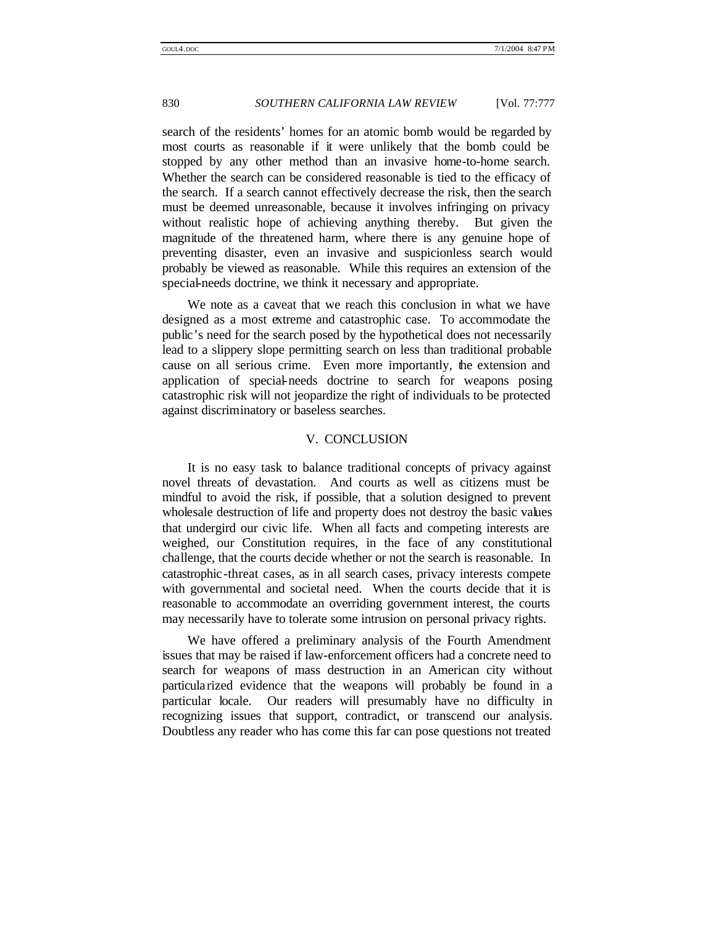search of the residents' homes for an atomic bomb would be regarded by most courts as reasonable if it were unlikely that the bomb could be stopped by any other method than an invasive home-to-home search. Whether the search can be considered reasonable is tied to the efficacy of the search. If a search cannot effectively decrease the risk, then the search must be deemed unreasonable, because it involves infringing on privacy without realistic hope of achieving anything thereby. But given the magnitude of the threatened harm, where there is any genuine hope of preventing disaster, even an invasive and suspicionless search would probably be viewed as reasonable. While this requires an extension of the special-needs doctrine, we think it necessary and appropriate.

We note as a caveat that we reach this conclusion in what we have designed as a most extreme and catastrophic case. To accommodate the public's need for the search posed by the hypothetical does not necessarily lead to a slippery slope permitting search on less than traditional probable cause on all serious crime. Even more importantly, the extension and application of special-needs doctrine to search for weapons posing catastrophic risk will not jeopardize the right of individuals to be protected against discriminatory or baseless searches.

### V. CONCLUSION

It is no easy task to balance traditional concepts of privacy against novel threats of devastation. And courts as well as citizens must be mindful to avoid the risk, if possible, that a solution designed to prevent wholesale destruction of life and property does not destroy the basic values that undergird our civic life. When all facts and competing interests are weighed, our Constitution requires, in the face of any constitutional challenge, that the courts decide whether or not the search is reasonable. In catastrophic-threat cases, as in all search cases, privacy interests compete with governmental and societal need. When the courts decide that it is reasonable to accommodate an overriding government interest, the courts may necessarily have to tolerate some intrusion on personal privacy rights.

We have offered a preliminary analysis of the Fourth Amendment issues that may be raised if law-enforcement officers had a concrete need to search for weapons of mass destruction in an American city without particularized evidence that the weapons will probably be found in a particular locale. Our readers will presumably have no difficulty in recognizing issues that support, contradict, or transcend our analysis. Doubtless any reader who has come this far can pose questions not treated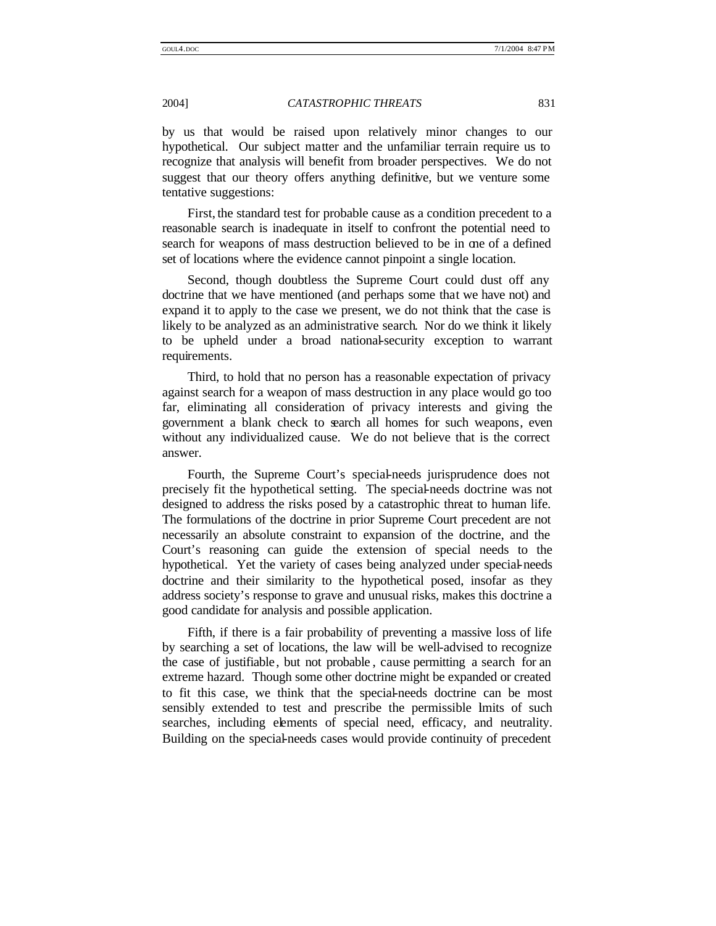by us that would be raised upon relatively minor changes to our hypothetical. Our subject matter and the unfamiliar terrain require us to recognize that analysis will benefit from broader perspectives. We do not suggest that our theory offers anything definitive, but we venture some tentative suggestions:

First, the standard test for probable cause as a condition precedent to a reasonable search is inadequate in itself to confront the potential need to search for weapons of mass destruction believed to be in one of a defined set of locations where the evidence cannot pinpoint a single location.

Second, though doubtless the Supreme Court could dust off any doctrine that we have mentioned (and perhaps some that we have not) and expand it to apply to the case we present, we do not think that the case is likely to be analyzed as an administrative search. Nor do we think it likely to be upheld under a broad national-security exception to warrant requirements.

Third, to hold that no person has a reasonable expectation of privacy against search for a weapon of mass destruction in any place would go too far, eliminating all consideration of privacy interests and giving the government a blank check to search all homes for such weapons, even without any individualized cause. We do not believe that is the correct answer.

Fourth, the Supreme Court's special-needs jurisprudence does not precisely fit the hypothetical setting. The special-needs doctrine was not designed to address the risks posed by a catastrophic threat to human life. The formulations of the doctrine in prior Supreme Court precedent are not necessarily an absolute constraint to expansion of the doctrine, and the Court's reasoning can guide the extension of special needs to the hypothetical. Yet the variety of cases being analyzed under special-needs doctrine and their similarity to the hypothetical posed, insofar as they address society's response to grave and unusual risks, makes this doctrine a good candidate for analysis and possible application.

Fifth, if there is a fair probability of preventing a massive loss of life by searching a set of locations, the law will be well-advised to recognize the case of justifiable , but not probable , cause permitting a search for an extreme hazard. Though some other doctrine might be expanded or created to fit this case, we think that the special-needs doctrine can be most sensibly extended to test and prescribe the permissible lmits of such searches, including elements of special need, efficacy, and neutrality. Building on the special-needs cases would provide continuity of precedent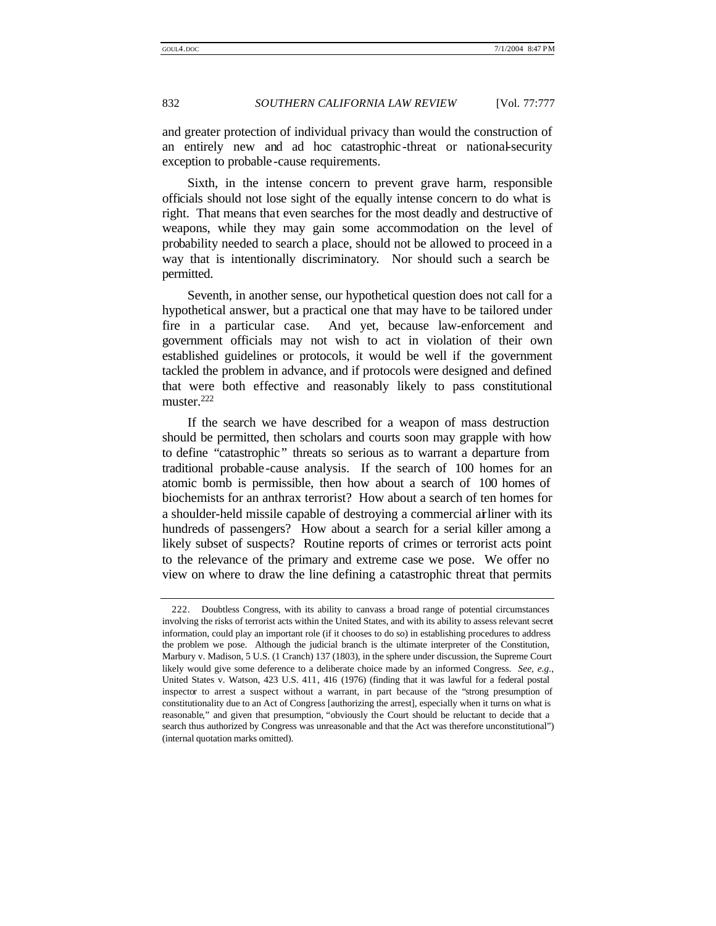and greater protection of individual privacy than would the construction of an entirely new and ad hoc catastrophic-threat or national-security exception to probable -cause requirements.

Sixth, in the intense concern to prevent grave harm, responsible officials should not lose sight of the equally intense concern to do what is right. That means that even searches for the most deadly and destructive of weapons, while they may gain some accommodation on the level of probability needed to search a place, should not be allowed to proceed in a way that is intentionally discriminatory. Nor should such a search be permitted.

Seventh, in another sense, our hypothetical question does not call for a hypothetical answer, but a practical one that may have to be tailored under fire in a particular case. And yet, because law-enforcement and government officials may not wish to act in violation of their own established guidelines or protocols, it would be well if the government tackled the problem in advance, and if protocols were designed and defined that were both effective and reasonably likely to pass constitutional muster.<sup>222</sup>

If the search we have described for a weapon of mass destruction should be permitted, then scholars and courts soon may grapple with how to define "catastrophic " threats so serious as to warrant a departure from traditional probable -cause analysis. If the search of 100 homes for an atomic bomb is permissible, then how about a search of 100 homes of biochemists for an anthrax terrorist? How about a search of ten homes for a shoulder-held missile capable of destroying a commercial airliner with its hundreds of passengers? How about a search for a serial killer among a likely subset of suspects? Routine reports of crimes or terrorist acts point to the relevance of the primary and extreme case we pose. We offer no view on where to draw the line defining a catastrophic threat that permits

<sup>222.</sup> Doubtless Congress, with its ability to canvass a broad range of potential circumstances involving the risks of terrorist acts within the United States, and with its ability to assess relevant secret information, could play an important role (if it chooses to do so) in establishing procedures to address the problem we pose. Although the judicial branch is the ultimate interpreter of the Constitution, Marbury v. Madison, 5 U.S. (1 Cranch) 137 (1803), in the sphere under discussion, the Supreme Court likely would give some deference to a deliberate choice made by an informed Congress. *See, e.g.*, United States v. Watson, 423 U.S. 411, 416 (1976) (finding that it was lawful for a federal postal inspector to arrest a suspect without a warrant, in part because of the "strong presumption of constitutionality due to an Act of Congress [authorizing the arrest], especially when it turns on what is reasonable," and given that presumption, "obviously the Court should be reluctant to decide that a search thus authorized by Congress was unreasonable and that the Act was therefore unconstitutional") (internal quotation marks omitted).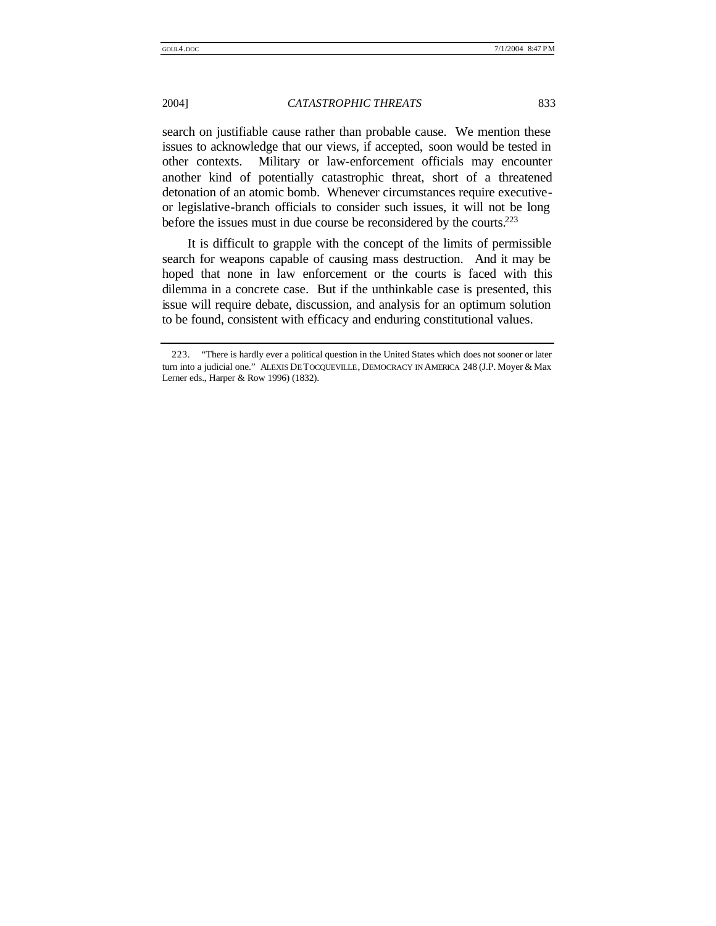search on justifiable cause rather than probable cause. We mention these issues to acknowledge that our views, if accepted, soon would be tested in other contexts. Military or law-enforcement officials may encounter another kind of potentially catastrophic threat, short of a threatened detonation of an atomic bomb. Whenever circumstances require executiveor legislative-branch officials to consider such issues, it will not be long before the issues must in due course be reconsidered by the courts.<sup>223</sup>

It is difficult to grapple with the concept of the limits of permissible search for weapons capable of causing mass destruction. And it may be hoped that none in law enforcement or the courts is faced with this dilemma in a concrete case. But if the unthinkable case is presented, this issue will require debate, discussion, and analysis for an optimum solution to be found, consistent with efficacy and enduring constitutional values.

<sup>223.</sup> "There is hardly ever a political question in the United States which does not sooner or later turn into a judicial one." ALEXIS DE TOCQUEVILLE, DEMOCRACY IN AMERICA 248 (J.P. Moyer & Max Lerner eds., Harper & Row 1996) (1832).